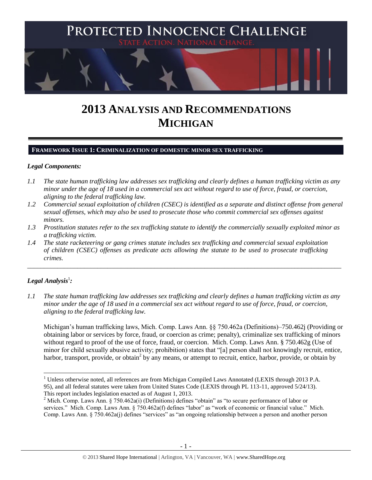

# **2013 ANALYSIS AND RECOMMENDATIONS MICHIGAN**

## **FRAMEWORK ISSUE 1: CRIMINALIZATION OF DOMESTIC MINOR SEX TRAFFICKING**

#### *Legal Components:*

- *1.1 The state human trafficking law addresses sex trafficking and clearly defines a human trafficking victim as any minor under the age of 18 used in a commercial sex act without regard to use of force, fraud, or coercion, aligning to the federal trafficking law.*
- *1.2 Commercial sexual exploitation of children (CSEC) is identified as a separate and distinct offense from general sexual offenses, which may also be used to prosecute those who commit commercial sex offenses against minors.*
- *1.3 Prostitution statutes refer to the sex trafficking statute to identify the commercially sexually exploited minor as a trafficking victim.*

\_\_\_\_\_\_\_\_\_\_\_\_\_\_\_\_\_\_\_\_\_\_\_\_\_\_\_\_\_\_\_\_\_\_\_\_\_\_\_\_\_\_\_\_\_\_\_\_\_\_\_\_\_\_\_\_\_\_\_\_\_\_\_\_\_\_\_\_\_\_\_\_\_\_\_\_\_\_\_\_\_\_\_\_\_\_\_\_\_\_\_\_\_\_

*1.4 The state racketeering or gang crimes statute includes sex trafficking and commercial sexual exploitation of children (CSEC) offenses as predicate acts allowing the statute to be used to prosecute trafficking crimes.* 

# $\bm{L}$ egal Analysis $^1$ :

 $\overline{\phantom{a}}$ 

*1.1 The state human trafficking law addresses sex trafficking and clearly defines a human trafficking victim as any minor under the age of 18 used in a commercial sex act without regard to use of force, fraud, or coercion, aligning to the federal trafficking law.*

Michigan's human trafficking laws, Mich. Comp. Laws Ann. §§ 750.462a (Definitions)–750.462j (Providing or obtaining labor or services by force, fraud, or coercion as crime; penalty), criminalize sex trafficking of minors without regard to proof of the use of force, fraud, or coercion. Mich. Comp. Laws Ann. § 750.462g (Use of minor for child sexually abusive activity; prohibition) states that "[a] person shall not knowingly recruit, entice, harbor, transport, provide, or obtain<sup>2</sup> by any means, or attempt to recruit, entice, harbor, provide, or obtain by

 $1$  Unless otherwise noted, all references are from Michigan Compiled Laws Annotated (LEXIS through 2013 P.A. 95), and all federal statutes were taken from United States Code (LEXIS through PL 113-11, approved 5/24/13). This report includes legislation enacted as of August 1, 2013.

<sup>&</sup>lt;sup>2</sup> Mich. Comp. Laws Ann. § 750.462a(i) (Definitions) defines "obtain" as "to secure performance of labor or services." Mich. Comp. Laws Ann. § 750.462a(f) defines "labor" as "work of economic or financial value." Mich. Comp. Laws Ann. § 750.462a(j) defines "services" as "an ongoing relationship between a person and another person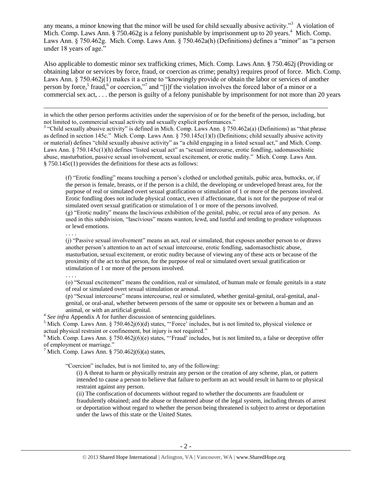<span id="page-1-0"></span>any means, a minor knowing that the minor will be used for child sexually abusive activity."<sup>3</sup> A violation of Mich. Comp. Laws Ann. § 750.462g is a felony punishable by imprisonment up to 20 years.<sup>4</sup> Mich. Comp. Laws Ann. § 750.462g. Mich. Comp. Laws Ann. § 750.462a(h) (Definitions) defines a "minor" as "a person under 18 years of age."

Also applicable to domestic minor sex trafficking crimes, Mich. Comp. Laws Ann. § 750.462j (Providing or obtaining labor or services by force, fraud, or coercion as crime; penalty) requires proof of force. Mich. Comp. Laws Ann. § 750.462 $j(1)$  makes it a crime to "knowingly provide or obtain the labor or services of another person by force,<sup>5</sup> fraud,<sup>6</sup> or coercion,"<sup>7</sup> and "[i]f the violation involves the forced labor of a minor or a commercial sex act, . . . the person is guilty of a felony punishable by imprisonment for not more than 20 years

in which the other person performs activities under the supervision of or for the benefit of the person, including, but not limited to, commercial sexual activity and sexually explicit performances."

<sup>3</sup> "Child sexually abusive activity" is defined in Mich. Comp. Laws Ann. § 750.462a(a) (Definitions) as "that phrase as defined in section 145c." Mich. Comp. Laws Ann. § 750.145c(1)(l) (Definitions; child sexually abusive activity or material) defines "child sexually abusive activity" as "a child engaging in a listed sexual act," and Mich. Comp. Laws Ann. § 750.145c(1)(h) defines "listed sexual act" as "sexual intercourse, erotic fondling, sadomasochistic abuse, masturbation, passive sexual involvement, sexual excitement, or erotic nudity." Mich. Comp. Laws Ann. § 750.145c(1) provides the definitions for these acts as follows:

(f) "Erotic fondling" means touching a person's clothed or unclothed genitals, pubic area, buttocks, or, if the person is female, breasts, or if the person is a child, the developing or undeveloped breast area, for the purpose of real or simulated overt sexual gratification or stimulation of 1 or more of the persons involved. Erotic fondling does not include physical contact, even if affectionate, that is not for the purpose of real or simulated overt sexual gratification or stimulation of 1 or more of the persons involved. (g) "Erotic nudity" means the lascivious exhibition of the genital, pubic, or rectal area of any person. As

used in this subdivision, "lascivious" means wanton, lewd, and lustful and tending to produce voluptuous or lewd emotions.

. . . .

l

(j) "Passive sexual involvement" means an act, real or simulated, that exposes another person to or draws another person's attention to an act of sexual intercourse, erotic fondling, sadomasochistic abuse, masturbation, sexual excitement, or erotic nudity because of viewing any of these acts or because of the proximity of the act to that person, for the purpose of real or simulated overt sexual gratification or stimulation of 1 or more of the persons involved.

. . . .

(o) "Sexual excitement" means the condition, real or simulated, of human male or female genitals in a state of real or simulated overt sexual stimulation or arousal.

(p) "Sexual intercourse" means intercourse, real or simulated, whether genital-genital, oral-genital, analgenital, or oral-anal, whether between persons of the same or opposite sex or between a human and an animal, or with an artificial genital.

<sup>4</sup> See infra Appendix A for further discussion of sentencing guidelines.

<sup>5</sup> Mich. Comp. Laws Ann. § 750.462j(6)(d) states, "'Force' includes, but is not limited to, physical violence or actual physical restraint or confinement, but injury is not required."

<sup>6</sup> Mich. Comp. Laws Ann. § 750.462 $j(6)(e)$  states, "Fraud' includes, but is not limited to, a false or deceptive offer of employment or marriage."

<sup>7</sup> Mich. Comp. Laws Ann. § 750.462 $j(6)(a)$  states,

"Coercion" includes, but is not limited to, any of the following:

(i) A threat to harm or physically restrain any person or the creation of any scheme, plan, or pattern intended to cause a person to believe that failure to perform an act would result in harm to or physical restraint against any person.

(ii) The confiscation of documents without regard to whether the documents are fraudulent or fraudulently obtained; and the abuse or threatened abuse of the legal system, including threats of arrest or deportation without regard to whether the person being threatened is subject to arrest or deportation under the laws of this state or the United States.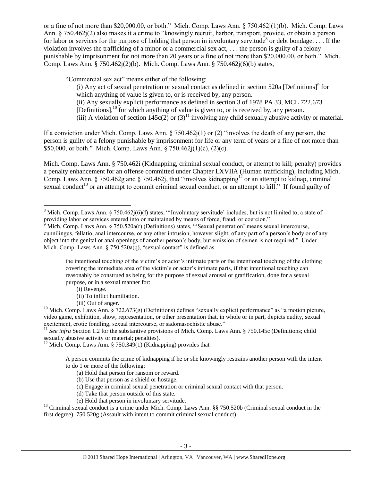or a fine of not more than \$20,000.00, or both." Mich. Comp. Laws Ann. § 750.462j(1)(b). Mich. Comp. Laws Ann. § 750.462j(2) also makes it a crime to "knowingly recruit, harbor, transport, provide, or obtain a person for labor or services for the purpose of holding that person in involuntary servitude<sup>8</sup> or debt bondage.... If the violation involves the trafficking of a minor or a commercial sex act, . . . the person is guilty of a felony punishable by imprisonment for not more than 20 years or a fine of not more than \$20,000.00, or both." Mich. Comp. Laws Ann. § 750.462j(2)(b). Mich. Comp. Laws Ann. § 750.462j(6)(b) states,

"Commercial sex act" means either of the following:

<span id="page-2-0"></span>(i) Any act of sexual penetration or sexual contact as defined in section  $520a$  [Definitions]<sup>9</sup> for which anything of value is given to, or is received by, any person. (ii) Any sexually explicit performance as defined in section 3 of 1978 PA 33, MCL 722.673 [Definitions],<sup>10</sup> for which anything of value is given to, or is received by, any person. (iii) A violation of section  $145c(2)$  or  $(3)^{11}$  involving any child sexually abusive activity or material.

If a conviction under Mich. Comp. Laws Ann. § 750.462j(1) or (2) "involves the death of any person, the person is guilty of a felony punishable by imprisonment for life or any term of years or a fine of not more than \$50,000, or both." Mich. Comp. Laws Ann. § 750.462j(1)(c), (2)(c).

Mich. Comp. Laws Ann. § 750.462i (Kidnapping, criminal sexual conduct, or attempt to kill; penalty) provides a penalty enhancement for an offense committed under Chapter LXVIIA (Human trafficking), including Mich. Comp. Laws Ann. § 750.462g and § 750.462j, that "involves kidnapping<sup>12</sup> or an attempt to kidnap, criminal sexual conduct<sup>13</sup> or an attempt to commit criminal sexual conduct, or an attempt to kill." If found guilty of

the intentional touching of the victim's or actor's intimate parts or the intentional touching of the clothing covering the immediate area of the victim's or actor's intimate parts, if that intentional touching can reasonably be construed as being for the purpose of sexual arousal or gratification, done for a sexual purpose, or in a sexual manner for:

(i) Revenge.

 $\overline{\phantom{a}}$ 

(iii) Out of anger.

<sup>11</sup> See infra Section 1.2 for the substantive provisions of Mich. Comp. Laws Ann. § 750.145c (Definitions; child sexually abusive activity or material; penalties).

 $12$  Mich. Comp. Laws Ann. § 750.349(1) (Kidnapping) provides that

A person commits the crime of kidnapping if he or she knowingly restrains another person with the intent to do 1 or more of the following:

- (a) Hold that person for ransom or reward.
- (b) Use that person as a shield or hostage.
- (c) Engage in criminal sexual penetration or criminal sexual contact with that person.
- (d) Take that person outside of this state.
- (e) Hold that person in involuntary servitude.

 $<sup>13</sup>$  Criminal sexual conduct is a crime under Mich. Comp. Laws Ann. §§ 750.520b (Criminal sexual conduct in the</sup> first degree)–750.520g (Assault with intent to commit criminal sexual conduct).

<sup>&</sup>lt;sup>8</sup> Mich. Comp. Laws Ann. § 750.462j(6)(f) states, "Involuntary servitude' includes, but is not limited to, a state of providing labor or services entered into or maintained by means of force, fraud, or coercion."

 $\delta$  Mich. Comp. Laws Ann. § 750.520a(r) (Definitions) states, "Sexual penetration' means sexual intercourse, cunnilingus, fellatio, anal intercourse, or any other intrusion, however slight, of any part of a person's body or of any object into the genital or anal openings of another person's body, but emission of semen is not required." Under Mich. Comp. Laws Ann. § 750.520a(q), "sexual contact" is defined as

<sup>(</sup>ii) To inflict humiliation.

<sup>&</sup>lt;sup>10</sup> Mich. Comp. Laws Ann. § 722.673(g) (Definitions) defines "sexually explicit performance" as "a motion picture, video game, exhibition, show, representation, or other presentation that, in whole or in part, depicts nudity, sexual excitement, erotic fondling, sexual intercourse, or sadomasochistic abuse."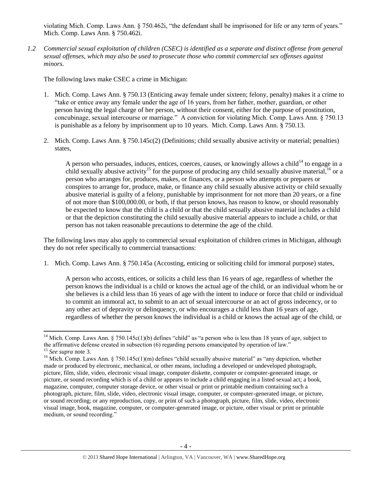violating Mich. Comp. Laws Ann. § 750.462i, "the defendant shall be imprisoned for life or any term of years." Mich. Comp. Laws Ann. § 750.462i.

*1.2 Commercial sexual exploitation of children (CSEC) is identified as a separate and distinct offense from general sexual offenses, which may also be used to prosecute those who commit commercial sex offenses against minors.*

The following laws make CSEC a crime in Michigan:

- 1. Mich. Comp. Laws Ann. § 750.13 (Enticing away female under sixteen; felony, penalty) makes it a crime to "take or entice away any female under the age of 16 years, from her father, mother, guardian, or other person having the legal charge of her person, without their consent, either for the purpose of prostitution, concubinage, sexual intercourse or marriage." A conviction for violating Mich. Comp. Laws Ann. § 750.13 is punishable as a felony by imprisonment up to 10 years. Mich. Comp. Laws Ann. § 750.13.
- 2. Mich. Comp. Laws Ann. § 750.145c(2) (Definitions; child sexually abusive activity or material; penalties) states,

A person who persuades, induces, entices, coerces, causes, or knowingly allows a child<sup>14</sup> to engage in a child sexually abusive activity<sup>15</sup> for the purpose of producing any child sexually abusive material,<sup>16</sup> or a person who arranges for, produces, makes, or finances, or a person who attempts or prepares or conspires to arrange for, produce, make, or finance any child sexually abusive activity or child sexually abusive material is guilty of a felony, punishable by imprisonment for not more than 20 years, or a fine of not more than \$100,000.00, or both, if that person knows, has reason to know, or should reasonably be expected to know that the child is a child or that the child sexually abusive material includes a child or that the depiction constituting the child sexually abusive material appears to include a child, or that person has not taken reasonable precautions to determine the age of the child.

The following laws may also apply to commercial sexual exploitation of children crimes in Michigan, although they do not refer specifically to commercial transactions:

1. Mich. Comp. Laws Ann. § 750.145a (Accosting, enticing or soliciting child for immoral purpose) states,

A person who accosts, entices, or solicits a child less than 16 years of age, regardless of whether the person knows the individual is a child or knows the actual age of the child, or an individual whom he or she believes is a child less than 16 years of age with the intent to induce or force that child or individual to commit an immoral act, to submit to an act of sexual intercourse or an act of gross indecency, or to any other act of depravity or delinquency, or who encourages a child less than 16 years of age, regardless of whether the person knows the individual is a child or knows the actual age of the child, or

 $\overline{\phantom{a}}$ 

<sup>&</sup>lt;sup>14</sup> Mich. Comp. Laws Ann. § 750.145c(1)(b) defines "child" as "a person who is less than 18 years of age, subject to the affirmative defense created in subsection (6) regarding persons emancipated by operation of law." <sup>15</sup> *See supra* note [3.](#page-1-0)

<sup>&</sup>lt;sup>16</sup> Mich. Comp. Laws Ann. § 750.145c(1)(m) defines "child sexually abusive material" as "any depiction, whether made or produced by electronic, mechanical, or other means, including a developed or undeveloped photograph, picture, film, slide, video, electronic visual image, computer diskette, computer or computer-generated image, or picture, or sound recording which is of a child or appears to include a child engaging in a listed sexual act; a book, magazine, computer, computer storage device, or other visual or print or printable medium containing such a photograph, picture, film, slide, video, electronic visual image, computer, or computer-generated image, or picture, or sound recording; or any reproduction, copy, or print of such a photograph, picture, film, slide, video, electronic visual image, book, magazine, computer, or computer-generated image, or picture, other visual or print or printable medium, or sound recording."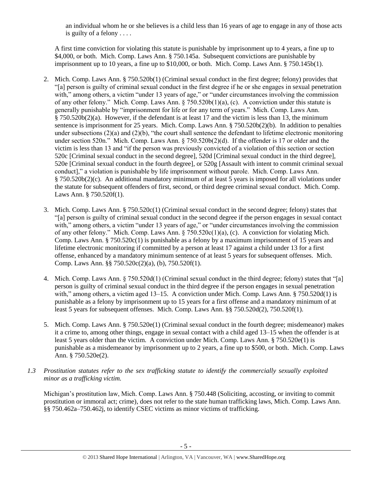an individual whom he or she believes is a child less than 16 years of age to engage in any of those acts is guilty of a felony . . . .

A first time conviction for violating this statute is punishable by imprisonment up to 4 years, a fine up to \$4,000, or both. Mich. Comp. Laws Ann. § 750.145a. Subsequent convictions are punishable by imprisonment up to 10 years, a fine up to \$10,000, or both. Mich. Comp. Laws Ann. § 750.145b(1).

- 2. Mich. Comp. Laws Ann. § 750.520b(1) (Criminal sexual conduct in the first degree; felony) provides that "[a] person is guilty of criminal sexual conduct in the first degree if he or she engages in sexual penetration with," among others, a victim "under 13 years of age," or "under circumstances involving the commission of any other felony." Mich. Comp. Laws Ann. § 750.520b(1)(a), (c). A conviction under this statute is generally punishable by "imprisonment for life or for any term of years." Mich. Comp. Laws Ann. § 750.520b(2)(a). However, if the defendant is at least 17 and the victim is less than 13, the minimum sentence is imprisonment for 25 years. Mich. Comp. Laws Ann. § 750.520b(2)(b). In addition to penalties under subsections (2)(a) and (2)(b), "the court shall sentence the defendant to lifetime electronic monitoring under section 520n." Mich. Comp. Laws Ann. § 750.520b(2)(d). If the offender is 17 or older and the victim is less than 13 and "if the person was previously convicted of a violation of this section or section 520c [Criminal sexual conduct in the second degree], 520d [Criminal sexual conduct in the third degree], 520e [Criminal sexual conduct in the fourth degree], or 520g [Assault with intent to commit criminal sexual conduct]," a violation is punishable by life imprisonment without parole. Mich. Comp. Laws Ann. § 750.520b(2)(c). An additional mandatory minimum of at least 5 years is imposed for all violations under the statute for subsequent offenders of first, second, or third degree criminal sexual conduct. Mich. Comp. Laws Ann. § 750.520f(1).
- 3. Mich. Comp. Laws Ann. § 750.520c(1) (Criminal sexual conduct in the second degree; felony) states that "[a] person is guilty of criminal sexual conduct in the second degree if the person engages in sexual contact with," among others, a victim "under 13 years of age," or "under circumstances involving the commission of any other felony." Mich. Comp. Laws Ann.  $\S 750.520c(1)(a)$ , (c). A conviction for violating Mich. Comp. Laws Ann. § 750.520c(1) is punishable as a felony by a maximum imprisonment of 15 years and lifetime electronic monitoring if committed by a person at least 17 against a child under 13 for a first offense, enhanced by a mandatory minimum sentence of at least 5 years for subsequent offenses. Mich. Comp. Laws Ann. §§ 750.520c(2)(a), (b), 750.520f(1).
- 4. Mich. Comp. Laws Ann. § 750.520d(1) (Criminal sexual conduct in the third degree; felony) states that "[a] person is guilty of criminal sexual conduct in the third degree if the person engages in sexual penetration with," among others, a victim aged 13–15. A conviction under Mich. Comp. Laws Ann. § 750.520d(1) is punishable as a felony by imprisonment up to 15 years for a first offense and a mandatory minimum of at least 5 years for subsequent offenses. Mich. Comp. Laws Ann. §§ 750.520d(2), 750.520f(1).
- 5. Mich. Comp. Laws Ann. § 750.520e(1) (Criminal sexual conduct in the fourth degree; misdemeanor) makes it a crime to, among other things, engage in sexual contact with a child aged 13–15 when the offender is at least 5 years older than the victim. A conviction under Mich. Comp. Laws Ann. § 750.520e(1) is punishable as a misdemeanor by imprisonment up to 2 years, a fine up to \$500, or both. Mich. Comp. Laws Ann. § 750.520e(2).
- *1.3 Prostitution statutes refer to the sex trafficking statute to identify the commercially sexually exploited minor as a trafficking victim.*

Michigan's prostitution law, Mich. Comp. Laws Ann. § 750.448 (Soliciting, accosting, or inviting to commit prostitution or immoral act; crime), does not refer to the state human trafficking laws, Mich. Comp. Laws Ann. §§ 750.462a–750.462j, to identify CSEC victims as minor victims of trafficking.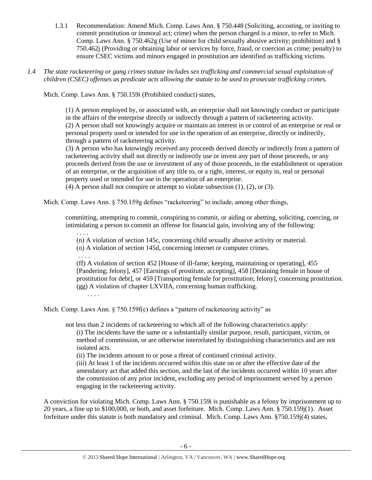- 1.3.1 Recommendation: Amend Mich. Comp. Laws Ann. § 750.448 (Soliciting, accosting, or inviting to commit prostitution or immoral act; crime) when the person charged is a minor, to refer to Mich. Comp. Laws Ann. § 750.462g (Use of minor for child sexually abusive activity; prohibition) and § 750.462j (Providing or obtaining labor or services by force, fraud, or coercion as crime; penalty) to ensure CSEC victims and minors engaged in prostitution are identified as trafficking victims.
- *1.4 The state racketeering or gang crimes statute includes sex trafficking and commercial sexual exploitation of children (CSEC) offenses as predicate acts allowing the statute to be used to prosecute trafficking crimes.*

Mich. Comp. Laws Ann. § 750.159i (Prohibited conduct) states,

(1) A person employed by, or associated with, an enterprise shall not knowingly conduct or participate in the affairs of the enterprise directly or indirectly through a pattern of racketeering activity. (2) A person shall not knowingly acquire or maintain an interest in or control of an enterprise or real or personal property used or intended for use in the operation of an enterprise, directly or indirectly, through a pattern of racketeering activity.

(3) A person who has knowingly received any proceeds derived directly or indirectly from a pattern of racketeering activity shall not directly or indirectly use or invest any part of those proceeds, or any proceeds derived from the use or investment of any of those proceeds, in the establishment or operation of an enterprise, or the acquisition of any title to, or a right, interest, or equity in, real or personal property used or intended for use in the operation of an enterprise.

(4) A person shall not conspire or attempt to violate subsection (1), (2), or (3).

Mich. Comp. Laws Ann.  $\S$  750.159g defines "racketeering" to include, among other things,

committing, attempting to commit, conspiring to commit, or aiding or abetting, soliciting, coercing, or intimidating a person to commit an offense for financial gain, involving any of the following:

(n) A violation of section 145c, concerning child sexually abusive activity or material.

(o) A violation of section 145d, concerning internet or computer crimes.

. . . .

. . . .

(ff) A violation of section 452 [House of ill-fame; keeping, maintaining or operating], 455 [Pandering; felony], 457 [Earnings of prostitute, accepting], 458 [Detaining female in house of prostitution for debt], or 459 [Transporting female for prostitution; felony], concerning prostitution. (gg) A violation of chapter LXVIIA, concerning human trafficking.

. . . .

Mich. Comp. Laws Ann. § 750.159f(c) defines a "pattern of racketeering activity" as

not less than 2 incidents of racketeering to which all of the following characteristics apply:

(i) The incidents have the same or a substantially similar purpose, result, participant, victim, or method of commission, or are otherwise interrelated by distinguishing characteristics and are not isolated acts.

(ii) The incidents amount to or pose a threat of continued criminal activity.

(iii) At least 1 of the incidents occurred within this state on or after the effective date of the amendatory act that added this section, and the last of the incidents occurred within 10 years after the commission of any prior incident, excluding any period of imprisonment served by a person engaging in the racketeering activity.

A conviction for violating Mich. Comp. Laws Ann. § 750.159i is punishable as a felony by imprisonment up to 20 years, a fine up to \$100,000, or both, and asset forfeiture. Mich. Comp. Laws Ann. § 750.159j(1). Asset forfeiture under this statute is both mandatory and criminal. Mich. Comp. Laws Ann. §750.159j(4) states,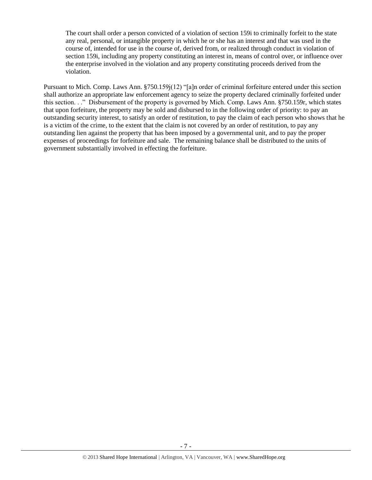The court shall order a person convicted of a violation of section 159i to criminally forfeit to the state any real, personal, or intangible property in which he or she has an interest and that was used in the course of, intended for use in the course of, derived from, or realized through conduct in violation of section 159i, including any property constituting an interest in, means of control over, or influence over the enterprise involved in the violation and any property constituting proceeds derived from the violation.

Pursuant to Mich. Comp. Laws Ann. §750.159j(12) "[a]n order of criminal forfeiture entered under this section shall authorize an appropriate law enforcement agency to seize the property declared criminally forfeited under this section. . ." Disbursement of the property is governed by Mich. Comp. Laws Ann. §750.159r, which states that upon forfeiture, the property may be sold and disbursed to in the following order of priority: to pay an outstanding security interest, to satisfy an order of restitution, to pay the claim of each person who shows that he is a victim of the crime, to the extent that the claim is not covered by an order of restitution, to pay any outstanding lien against the property that has been imposed by a governmental unit, and to pay the proper expenses of proceedings for forfeiture and sale. The remaining balance shall be distributed to the units of government substantially involved in effecting the forfeiture.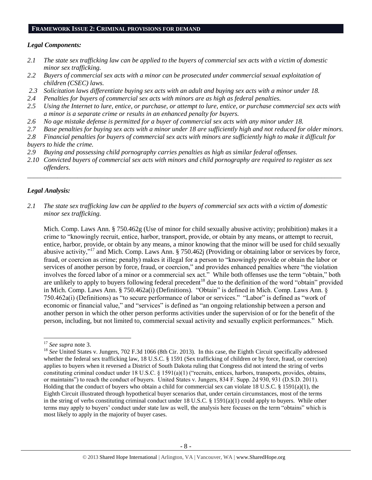#### **FRAMEWORK ISSUE 2: CRIMINAL PROVISIONS FOR DEMAND**

## *Legal Components:*

- *2.1 The state sex trafficking law can be applied to the buyers of commercial sex acts with a victim of domestic minor sex trafficking.*
- *2.2 Buyers of commercial sex acts with a minor can be prosecuted under commercial sexual exploitation of children (CSEC) laws.*
- *2.3 Solicitation laws differentiate buying sex acts with an adult and buying sex acts with a minor under 18.*
- *2.4 Penalties for buyers of commercial sex acts with minors are as high as federal penalties.*
- *2.5 Using the Internet to lure, entice, or purchase, or attempt to lure, entice, or purchase commercial sex acts with a minor is a separate crime or results in an enhanced penalty for buyers.*
- *2.6 No age mistake defense is permitted for a buyer of commercial sex acts with any minor under 18.*
- *2.7 Base penalties for buying sex acts with a minor under 18 are sufficiently high and not reduced for older minors.*
- *2.8 Financial penalties for buyers of commercial sex acts with minors are sufficiently high to make it difficult for buyers to hide the crime.*
- *2.9 Buying and possessing child pornography carries penalties as high as similar federal offenses.*
- *2.10 Convicted buyers of commercial sex acts with minors and child pornography are required to register as sex offenders.*

\_\_\_\_\_\_\_\_\_\_\_\_\_\_\_\_\_\_\_\_\_\_\_\_\_\_\_\_\_\_\_\_\_\_\_\_\_\_\_\_\_\_\_\_\_\_\_\_\_\_\_\_\_\_\_\_\_\_\_\_\_\_\_\_\_\_\_\_\_\_\_\_\_\_\_\_\_\_\_\_\_\_\_\_\_\_\_\_\_\_\_\_\_\_

# *Legal Analysis:*

*2.1 The state sex trafficking law can be applied to the buyers of commercial sex acts with a victim of domestic minor sex trafficking.*

Mich. Comp. Laws Ann. § 750.462g (Use of minor for child sexually abusive activity; prohibition) makes it a crime to "knowingly recruit, entice, harbor, transport, provide, or obtain by any means, or attempt to recruit, entice, harbor, provide, or obtain by any means, a minor knowing that the minor will be used for child sexually abusive activity,"<sup>17</sup> and Mich. Comp. Laws Ann. § 750.462j (Providing or obtaining labor or services by force, fraud, or coercion as crime; penalty) makes it illegal for a person to "knowingly provide or obtain the labor or services of another person by force, fraud, or coercion," and provides enhanced penalties where "the violation involves the forced labor of a minor or a commercial sex act." While both offenses use the term "obtain," both are unlikely to apply to buyers following federal precedent<sup>18</sup> due to the definition of the word "obtain" provided in Mich. Comp. Laws Ann. § 750.462a(i) (Definitions). "Obtain" is defined in Mich. Comp. Laws Ann. § 750.462a(i) (Definitions) as "to secure performance of labor or services." "Labor" is defined as "work of economic or financial value," and "services" is defined as "an ongoing relationship between a person and another person in which the other person performs activities under the supervision of or for the benefit of the person, including, but not limited to, commercial sexual activity and sexually explicit performances." Mich.

l

<sup>17</sup> *See supra* note [3.](#page-1-0)

<sup>&</sup>lt;sup>18</sup> See United States v. Jungers, 702 F.3d 1066 (8th Cir. 2013). In this case, the Eighth Circuit specifically addressed whether the federal sex trafficking law, 18 U.S.C. § 1591 (Sex trafficking of children or by force, fraud, or coercion) applies to buyers when it reversed a District of South Dakota ruling that Congress did not intend the string of verbs constituting criminal conduct under 18 U.S.C. § 1591(a)(1) ("recruits, entices, harbors, transports, provides, obtains, or maintains") to reach the conduct of buyers. United States v. Jungers, 834 F. Supp. 2d 930, 931 (D.S.D. 2011). Holding that the conduct of buyers who obtain a child for commercial sex can violate 18 U.S.C. § 1591(a)(1), the Eighth Circuit illustrated through hypothetical buyer scenarios that, under certain circumstances, most of the terms in the string of verbs constituting criminal conduct under 18 U.S.C. § 1591(a)(1) could apply to buyers. While other terms may apply to buyers' conduct under state law as well, the analysis here focuses on the term "obtains" which is most likely to apply in the majority of buyer cases.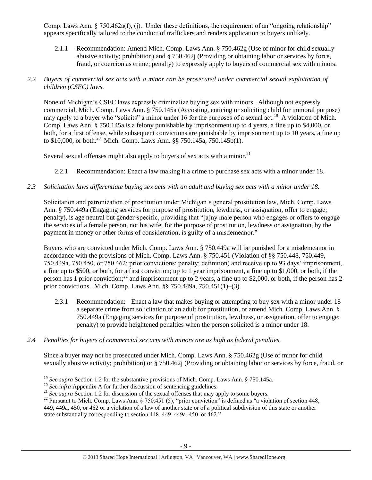Comp. Laws Ann. § 750.462a(f), (j). Under these definitions, the requirement of an "ongoing relationship" appears specifically tailored to the conduct of traffickers and renders application to buyers unlikely.

2.1.1 Recommendation: Amend Mich. Comp. Laws Ann. § 750.462g (Use of minor for child sexually abusive activity; prohibition) and § 750.462j (Providing or obtaining labor or services by force, fraud, or coercion as crime; penalty) to expressly apply to buyers of commercial sex with minors.

# *2.2 Buyers of commercial sex acts with a minor can be prosecuted under commercial sexual exploitation of children (CSEC) laws.*

None of Michigan's CSEC laws expressly criminalize buying sex with minors. Although not expressly commercial, Mich. Comp. Laws Ann. § 750.145a (Accosting, enticing or soliciting child for immoral purpose) may apply to a buyer who "solicits" a minor under 16 for the purposes of a sexual act.<sup>19</sup> A violation of Mich. Comp. Laws Ann. § 750.145a is a felony punishable by imprisonment up to 4 years, a fine up to \$4,000, or both, for a first offense, while subsequent convictions are punishable by imprisonment up to 10 years, a fine up to \$10,000, or both.<sup>20</sup> Mich. Comp. Laws Ann. §§ 750.145a, 750.145b(1).

Several sexual offenses might also apply to buyers of sex acts with a minor.<sup>21</sup>

2.2.1 Recommendation: Enact a law making it a crime to purchase sex acts with a minor under 18.

# *2.3 Solicitation laws differentiate buying sex acts with an adult and buying sex acts with a minor under 18.*

Solicitation and patronization of prostitution under Michigan's general prostitution law, Mich. Comp. Laws Ann. § 750.449a (Engaging services for purpose of prostitution, lewdness, or assignation, offer to engage; penalty), is age neutral but gender-specific, providing that "[a]ny male person who engages or offers to engage the services of a female person, not his wife, for the purpose of prostitution, lewdness or assignation, by the payment in money or other forms of consideration, is guilty of a misdemeanor."

Buyers who are convicted under Mich. Comp. Laws Ann. § 750.449a will be punished for a misdemeanor in accordance with the provisions of Mich. Comp. Laws Ann. § 750.451 (Violation of §§ 750.448, 750.449, 750.449a, 750.450, or 750.462; prior convictions; penalty; definition) and receive up to 93 days' imprisonment, a fine up to \$500, or both, for a first conviction; up to 1 year imprisonment, a fine up to \$1,000, or both, if the person has 1 prior conviction;<sup>22</sup> and imprisonment up to 2 years, a fine up to \$2,000, or both, if the person has 2 prior convictions. Mich. Comp. Laws Ann. §§ 750.449a, 750.451(1)–(3).

- 2.3.1 Recommendation: Enact a law that makes buying or attempting to buy sex with a minor under 18 a separate crime from solicitation of an adult for prostitution, or amend Mich. Comp. Laws Ann. § 750.449a (Engaging services for purpose of prostitution, lewdness, or assignation, offer to engage; penalty) to provide heightened penalties when the person solicited is a minor under 18.
- *2.4 Penalties for buyers of commercial sex acts with minors are as high as federal penalties.*

Since a buyer may not be prosecuted under Mich. Comp. Laws Ann. § 750.462g (Use of minor for child sexually abusive activity; prohibition) or § 750.462j (Providing or obtaining labor or services by force, fraud, or

 $\overline{\phantom{a}}$ <sup>19</sup> *See supra* Section 1.2 for the substantive provisions of Mich. Comp. Laws Ann. § 750.145a.

<sup>&</sup>lt;sup>20</sup> See infra Appendix A for further discussion of sentencing guidelines.

<sup>&</sup>lt;sup>21</sup> See supra Section 1.2 for discussion of the sexual offenses that may apply to some buyers.

<sup>&</sup>lt;sup>22</sup> Pursuant to Mich. Comp. Laws Ann. § 750.451 (5), "prior conviction" is defined as "a violation of section 448, 449, 449a, 450, or 462 or a violation of a law of another state or of a political subdivision of this state or another state substantially corresponding to section 448, 449, 449a, 450, or 462."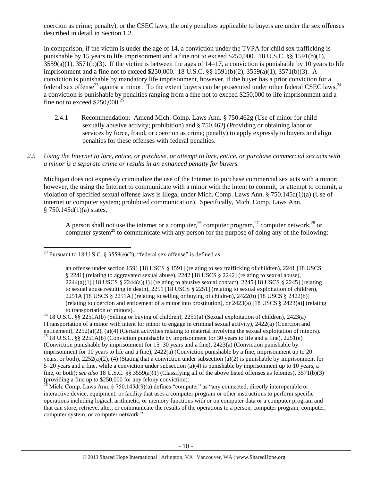coercion as crime; penalty), or the CSEC laws, the only penalties applicable to buyers are under the sex offenses described in detail in Section 1.2.

In comparison, if the victim is under the age of 14, a conviction under the TVPA for child sex trafficking is punishable by 15 years to life imprisonment and a fine not to exceed \$250,000. 18 U.S.C. §§ 1591(b)(1),  $3559(a)(1)$ ,  $3571(b)(3)$ . If the victim is between the ages of  $14-17$ , a conviction is punishable by 10 years to life imprisonment and a fine not to exceed \$250,000. 18 U.S.C. §§ 1591(b)(2), 3559(a)(1), 3571(b)(3). A conviction is punishable by mandatory life imprisonment, however, if the buyer has a prior conviction for a federal sex offense<sup>23</sup> against a minor. To the extent buyers can be prosecuted under other federal CSEC laws,<sup>24</sup> a conviction is punishable by penalties ranging from a fine not to exceed \$250,000 to life imprisonment and a fine not to exceed  $$250,000.<sup>2</sup>$ 

- <span id="page-9-0"></span>2.4.1 Recommendation: Amend Mich. Comp. Laws Ann. § 750.462g (Use of minor for child sexually abusive activity; prohibition) and § 750.462j (Providing or obtaining labor or services by force, fraud, or coercion as crime; penalty) to apply expressly to buyers and align penalties for these offenses with federal penalties.
- *2.5 Using the Internet to lure, entice, or purchase, or attempt to lure, entice, or purchase commercial sex acts with a minor is a separate crime or results in an enhanced penalty for buyers.*

Michigan does not expressly criminalize the use of the Internet to purchase commercial sex acts with a minor; however, the using the Internet to communicate with a minor with the intent to commit, or attempt to commit, a violation of specified sexual offense laws is illegal under Mich. Comp. Laws Ann. § 750.145d(1)(a) (Use of internet or computer system; prohibited communication). Specifically, Mich. Comp. Laws Ann.  $§ 750.145d(1)(a) states,$ 

<span id="page-9-4"></span><span id="page-9-3"></span><span id="page-9-2"></span><span id="page-9-1"></span>A person shall not use the internet or a computer,  $^{26}$  computer program,  $^{27}$  computer network,  $^{28}$  or computer system<sup>29</sup> to communicate with any person for the purpose of doing any of the following:

 $\overline{\phantom{a}}$ 

<sup>&</sup>lt;sup>23</sup> Pursuant to 18 U.S.C. § 3559(e)(2), "federal sex offense" is defined as

an offense under section 1591 [18 USCS § 1591] (relating to sex trafficking of children), 2241 [18 USCS § 2241] (relating to aggravated sexual abuse), 2242 [18 USCS § 2242] (relating to sexual abuse), 2244(a)(1) [18 USCS § 2244(a)(1)] (relating to abusive sexual contact), 2245 [18 USCS § 2245] (relating to sexual abuse resulting in death), 2251 [18 USCS § 2251] (relating to sexual exploitation of children), 2251A [18 USCS § 2251A] (relating to selling or buying of children), 2422(b) [18 USCS § 2422(b)] (relating to coercion and enticement of a minor into prostitution), or 2423(a) [18 USCS § 2423(a)] (relating to transportation of minors).

<sup>&</sup>lt;sup>24</sup> 18 U.S.C. §§ 2251A(b) (Selling or buying of children), 2251(a) (Sexual exploitation of children), 2423(a) (Transportation of a minor with intent for minor to engage in criminal sexual activity), 2422(a) (Coercion and enticement), 2252(a)(2), (a)(4) (Certain activities relating to material involving the sexual exploitation of minors). <sup>25</sup> 18 U.S.C. §§ 2251A(b) (Conviction punishable by imprisonment for 30 years to life and a fine), 2251(e) (Conviction punishable by imprisonment for 15–30 years and a fine), 2423(a) (Conviction punishable by imprisonment for 10 years to life and a fine), 2422(a) (Conviction punishable by a fine, imprisonment up to 20 years, or both),  $2252(a)(2)$ , (4) (Stating that a conviction under subsection (a)(2) is punishable by imprisonment for 5–20 years and a fine, while a conviction under subsection (a)(4) is punishable by imprisonment up to 10 years, a fine, or both); *see also* 18 U.S.C. §§ 3559(a)(1) (Classifying all of the above listed offenses as felonies), 3571(b)(3) (providing a fine up to \$250,000 for any felony conviction).

 $^{26}$  Mich. Comp. Laws Ann. § 750.145d(9)(a) defines "computer" as "any connected, directly interoperable or interactive device, equipment, or facility that uses a computer program or other instructions to perform specific operations including logical, arithmetic, or memory functions with or on computer data or a computer program and that can store, retrieve, alter, or communicate the results of the operations to a person, computer program, computer, computer system, or computer network."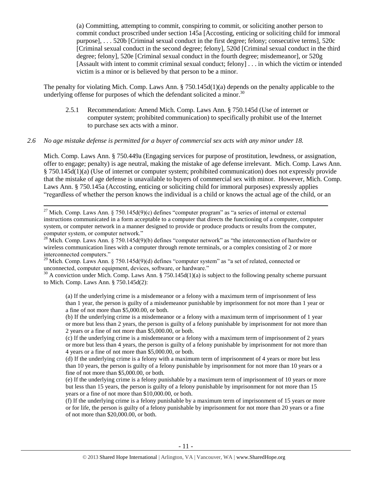(a) Committing, attempting to commit, conspiring to commit, or soliciting another person to commit conduct proscribed under section 145a [Accosting, enticing or soliciting child for immoral purpose], . . . 520b [Criminal sexual conduct in the first degree; felony; consecutive terms], 520c [Criminal sexual conduct in the second degree; felony], 520d [Criminal sexual conduct in the third degree; felony], 520e [Criminal sexual conduct in the fourth degree; misdemeanor], or 520g [Assault with intent to commit criminal sexual conduct; felony] . . . in which the victim or intended victim is a minor or is believed by that person to be a minor.

The penalty for violating Mich. Comp. Laws Ann. § 750.145d(1)(a) depends on the penalty applicable to the underlying offense for purposes of which the defendant solicited a minor.<sup>30</sup>

<span id="page-10-0"></span>2.5.1 Recommendation: Amend Mich. Comp. Laws Ann. § 750.145d (Use of internet or computer system; prohibited communication) to specifically prohibit use of the Internet to purchase sex acts with a minor.

#### *2.6 No age mistake defense is permitted for a buyer of commercial sex acts with any minor under 18.*

Mich. Comp. Laws Ann. § 750.449a (Engaging services for purpose of prostitution, lewdness, or assignation, offer to engage; penalty) is age neutral, making the mistake of age defense irrelevant. Mich. Comp. Laws Ann. § 750.145d(1)(a) (Use of internet or computer system; prohibited communication) does not expressly provide that the mistake of age defense is unavailable to buyers of commercial sex with minor. However, Mich. Comp. Laws Ann. § 750.145a (Accosting, enticing or soliciting child for immoral purposes) expressly applies "regardless of whether the person knows the individual is a child or knows the actual age of the child, or an

 $\overline{\phantom{a}}$ <sup>27</sup> Mich. Comp. Laws Ann. § 750.145d(9)(c) defines "computer program" as "a series of internal or external instructions communicated in a form acceptable to a computer that directs the functioning of a computer, computer system, or computer network in a manner designed to provide or produce products or results from the computer, computer system, or computer network."

 $^{28}$  Mich. Comp. Laws Ann. § 750.145d(9)(b) defines "computer network" as "the interconnection of hardwire or wireless communication lines with a computer through remote terminals, or a complex consisting of 2 or more interconnected computers."

<sup>29</sup> Mich. Comp. Laws Ann. § 750.145d(9)(d) defines "computer system" as "a set of related, connected or unconnected, computer equipment, devices, software, or hardware."

 $30$  A conviction under Mich. Comp. Laws Ann. § 750.145d(1)(a) is subject to the following penalty scheme pursuant to Mich. Comp. Laws Ann. § 750.145d(2):

(a) If the underlying crime is a misdemeanor or a felony with a maximum term of imprisonment of less than 1 year, the person is guilty of a misdemeanor punishable by imprisonment for not more than 1 year or a fine of not more than \$5,000.00, or both.

(b) If the underlying crime is a misdemeanor or a felony with a maximum term of imprisonment of 1 year or more but less than 2 years, the person is guilty of a felony punishable by imprisonment for not more than 2 years or a fine of not more than \$5,000.00, or both.

(c) If the underlying crime is a misdemeanor or a felony with a maximum term of imprisonment of 2 years or more but less than 4 years, the person is guilty of a felony punishable by imprisonment for not more than 4 years or a fine of not more than \$5,000.00, or both.

(d) If the underlying crime is a felony with a maximum term of imprisonment of 4 years or more but less than 10 years, the person is guilty of a felony punishable by imprisonment for not more than 10 years or a fine of not more than \$5,000.00, or both.

(e) If the underlying crime is a felony punishable by a maximum term of imprisonment of 10 years or more but less than 15 years, the person is guilty of a felony punishable by imprisonment for not more than 15 years or a fine of not more than \$10,000.00, or both.

(f) If the underlying crime is a felony punishable by a maximum term of imprisonment of 15 years or more or for life, the person is guilty of a felony punishable by imprisonment for not more than 20 years or a fine of not more than \$20,000.00, or both.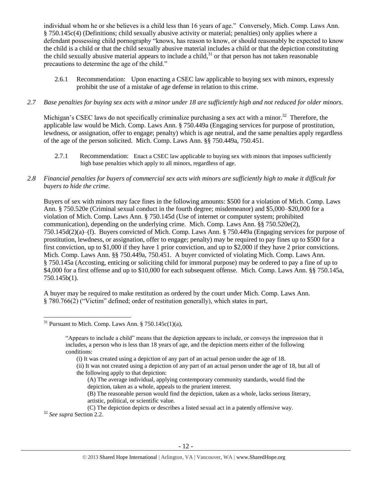individual whom he or she believes is a child less than 16 years of age." Conversely, Mich. Comp. Laws Ann. § 750.145c(4) (Definitions; child sexually abusive activity or material; penalties) only applies where a defendant possessing child pornography "knows, has reason to know, or should reasonably be expected to know the child is a child or that the child sexually abusive material includes a child or that the depiction constituting the child sexually abusive material appears to include a child, $3<sup>1</sup>$  or that person has not taken reasonable precautions to determine the age of the child."

2.6.1 Recommendation: Upon enacting a CSEC law applicable to buying sex with minors, expressly prohibit the use of a mistake of age defense in relation to this crime.

#### *2.7 Base penalties for buying sex acts with a minor under 18 are sufficiently high and not reduced for older minors.*

Michigan's CSEC laws do not specifically criminalize purchasing a sex act with a minor.<sup>32</sup> Therefore, the applicable law would be Mich. Comp. Laws Ann. § 750.449a (Engaging services for purpose of prostitution, lewdness, or assignation, offer to engage; penalty) which is age neutral, and the same penalties apply regardless of the age of the person solicited. Mich. Comp. Laws Ann. §§ 750.449a, 750.451.

- 2.7.1 Recommendation: Enact a CSEC law applicable to buying sex with minors that imposes sufficiently high base penalties which apply to all minors, regardless of age.
- *2.8 Financial penalties for buyers of commercial sex acts with minors are sufficiently high to make it difficult for buyers to hide the crime.*

Buyers of sex with minors may face fines in the following amounts: \$500 for a violation of Mich. Comp. Laws Ann. § 750.520e (Criminal sexual conduct in the fourth degree; misdemeanor) and \$5,000–\$20,000 for a violation of Mich. Comp. Laws Ann. § 750.145d (Use of internet or computer system; prohibited communication), depending on the underlying crime. Mich. Comp. Laws Ann. §§ 750.520e(2), 750.145d(2)(a)–(f). Buyers convicted of Mich. Comp. Laws Ann. § 750.449a (Engaging services for purpose of prostitution, lewdness, or assignation, offer to engage; penalty) may be required to pay fines up to \$500 for a first conviction, up to \$1,000 if they have 1 prior conviction, and up to \$2,000 if they have 2 prior convictions. Mich. Comp. Laws Ann. §§ 750.449a, 750.451. A buyer convicted of violating Mich. Comp. Laws Ann. § 750.145a (Accosting, enticing or soliciting child for immoral purpose) may be ordered to pay a fine of up to \$4,000 for a first offense and up to \$10,000 for each subsequent offense. Mich. Comp. Laws Ann. §§ 750.145a, 750.145b(1).

A buyer may be required to make restitution as ordered by the court under Mich. Comp. Laws Ann. § 780.766(2) ("Victim" defined; order of restitution generally), which states in part,

- (ii) It was not created using a depiction of any part of an actual person under the age of 18, but all of the following apply to that depiction:
	- (A) The average individual, applying contemporary community standards, would find the depiction, taken as a whole, appeals to the prurient interest.
	- (B) The reasonable person would find the depiction, taken as a whole, lacks serious literary, artistic, political, or scientific value.

(C) The depiction depicts or describes a listed sexual act in a patently offensive way.

<sup>32</sup> *See supra* Section 2.2.

 $\overline{\phantom{a}}$ 

<sup>&</sup>lt;sup>31</sup> Pursuant to Mich. Comp. Laws Ann. § 750.145 $c(1)(a)$ ,

<sup>&</sup>quot;Appears to include a child" means that the depiction appears to include, or conveys the impression that it includes, a person who is less than 18 years of age, and the depiction meets either of the following conditions:

<sup>(</sup>i) It was created using a depiction of any part of an actual person under the age of 18.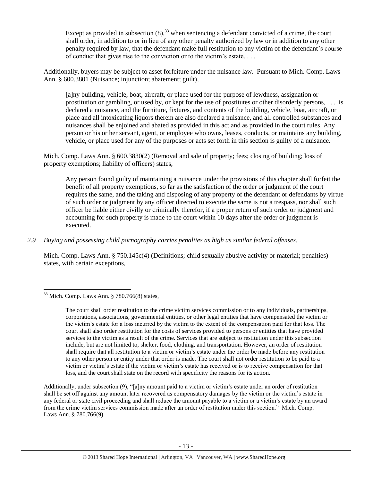<span id="page-12-0"></span>Except as provided in subsection  $(8)$ ,  $(3)$  when sentencing a defendant convicted of a crime, the court shall order, in addition to or in lieu of any other penalty authorized by law or in addition to any other penalty required by law, that the defendant make full restitution to any victim of the defendant's course of conduct that gives rise to the conviction or to the victim's estate. . . .

Additionally, buyers may be subject to asset forfeiture under the nuisance law. Pursuant to Mich. Comp. Laws Ann. § 600.3801 (Nuisance; injunction; abatement; guilt),

[a]ny building, vehicle, boat, aircraft, or place used for the purpose of lewdness, assignation or prostitution or gambling, or used by, or kept for the use of prostitutes or other disorderly persons, . . . is declared a nuisance, and the furniture, fixtures, and contents of the building, vehicle, boat, aircraft, or place and all intoxicating liquors therein are also declared a nuisance, and all controlled substances and nuisances shall be enjoined and abated as provided in this act and as provided in the court rules. Any person or his or her servant, agent, or employee who owns, leases, conducts, or maintains any building, vehicle, or place used for any of the purposes or acts set forth in this section is guilty of a nuisance.

Mich. Comp. Laws Ann. § 600.3830(2) (Removal and sale of property; fees; closing of building; loss of property exemptions; liability of officers) states,

Any person found guilty of maintaining a nuisance under the provisions of this chapter shall forfeit the benefit of all property exemptions, so far as the satisfaction of the order or judgment of the court requires the same, and the taking and disposing of any property of the defendant or defendants by virtue of such order or judgment by any officer directed to execute the same is not a trespass, nor shall such officer be liable either civilly or criminally therefor, if a proper return of such order or judgment and accounting for such property is made to the court within 10 days after the order or judgment is executed.

*2.9 Buying and possessing child pornography carries penalties as high as similar federal offenses.*

Mich. Comp. Laws Ann. § 750.145c(4) (Definitions; child sexually abusive activity or material; penalties) states, with certain exceptions,

 $\overline{\phantom{a}}$ 

Additionally, under subsection (9), "[a]ny amount paid to a victim or victim's estate under an order of restitution shall be set off against any amount later recovered as compensatory damages by the victim or the victim's estate in any federal or state civil proceeding and shall reduce the amount payable to a victim or a victim's estate by an award from the crime victim services commission made after an order of restitution under this section." Mich. Comp. Laws Ann. § 780.766(9).

 $33$  Mich. Comp. Laws Ann. § 780.766(8) states,

The court shall order restitution to the crime victim services commission or to any individuals, partnerships, corporations, associations, governmental entities, or other legal entities that have compensated the victim or the victim's estate for a loss incurred by the victim to the extent of the compensation paid for that loss. The court shall also order restitution for the costs of services provided to persons or entities that have provided services to the victim as a result of the crime. Services that are subject to restitution under this subsection include, but are not limited to, shelter, food, clothing, and transportation. However, an order of restitution shall require that all restitution to a victim or victim's estate under the order be made before any restitution to any other person or entity under that order is made. The court shall not order restitution to be paid to a victim or victim's estate if the victim or victim's estate has received or is to receive compensation for that loss, and the court shall state on the record with specificity the reasons for its action.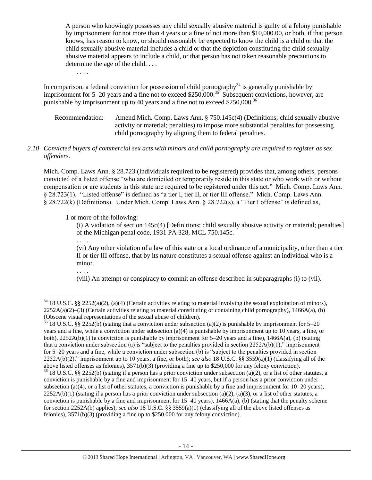A person who knowingly possesses any child sexually abusive material is guilty of a felony punishable by imprisonment for not more than 4 years or a fine of not more than \$10,000.00, or both, if that person knows, has reason to know, or should reasonably be expected to know the child is a child or that the child sexually abusive material includes a child or that the depiction constituting the child sexually abusive material appears to include a child, or that person has not taken reasonable precautions to determine the age of the child. . . .

In comparison, a federal conviction for possession of child pornography<sup>34</sup> is generally punishable by imprisonment for 5–20 years and a fine not to exceed \$250,000.<sup>35</sup> Subsequent convictions, however, are punishable by imprisonment up to 40 years and a fine not to exceed \$250,000.<sup>36</sup>

Recommendation: Amend Mich. Comp. Laws Ann. § 750.145c(4) (Definitions; child sexually abusive activity or material; penalties) to impose more substantial penalties for possessing child pornography by aligning them to federal penalties.

## *2.10 Convicted buyers of commercial sex acts with minors and child pornography are required to register as sex offenders.*

Mich. Comp. Laws Ann. § 28.723 (Individuals required to be registered) provides that, among others, persons convicted of a listed offense "who are domiciled or temporarily reside in this state or who work with or without compensation or are students in this state are required to be registered under this act." Mich. Comp. Laws Ann. § 28.723(1). "Listed offense" is defined as "a tier I, tier II, or tier III offense." Mich. Comp. Laws Ann. § 28.722(k) (Definitions). Under Mich. Comp. Laws Ann. § 28.722(s), a "Tier I offense" is defined as,

1 or more of the following:

(i) A violation of section 145c(4) [Definitions; child sexually abusive activity or material; penalties] of the Michigan penal code, 1931 PA 328, MCL 750.145c.

(vi) Any other violation of a law of this state or a local ordinance of a municipality, other than a tier II or tier III offense, that by its nature constitutes a sexual offense against an individual who is a minor.

. . . .

l

. . . .

. . . .

(viii) An attempt or conspiracy to commit an offense described in subparagraphs (i) to (vii).

 $34\,18$  U.S.C. §§ 2252(a)(2), (a)(4) (Certain activities relating to material involving the sexual exploitation of minors),  $2252A(a)(2)$ –(3) (Certain activities relating to material constituting or containing child pornography), 1466A(a), (b) (Obscene visual representations of the sexual abuse of children).

<sup>&</sup>lt;sup>35</sup> 18 U.S.C. §§ 2252(b) (stating that a conviction under subsection (a)(2) is punishable by imprisonment for 5–20 years and a fine, while a conviction under subsection (a)(4) is punishable by imprisonment up to 10 years, a fine, or both),  $2252A(b)(1)$  (a conviction is punishable by imprisonment for 5–20 years and a fine),  $1466A(a)$ , (b) (stating that a conviction under subsection (a) is "subject to the penalties provided in section  $2252A(b)(1)$ ," imprisonment for 5–20 years and a fine, while a conviction under subsection (b) is "subject to the penalties provided in section 2252A(b)(2)," imprisonment up to 10 years, a fine, or both); *see also* 18 U.S.C. §§ 3559(a)(1) (classifying all of the above listed offenses as felonies), 3571(b)(3) (providing a fine up to \$250,000 for any felony conviction).  $36$  18 U.S.C. §§ 2252(b) (stating if a person has a prior conviction under subsection (a)(2), or a list of other statutes, a conviction is punishable by a fine and imprisonment for 15–40 years, but if a person has a prior conviction under subsection (a)(4), or a list of other statutes, a conviction is punishable by a fine and imprisonment for  $10-20$  years),  $2252A(b)(1)$  (stating if a person has a prior conviction under subsection (a)(2), (a)(3), or a list of other statutes, a conviction is punishable by a fine and imprisonment for  $15-40$  years),  $1466A(a)$ , (b) (stating that the penalty scheme for section 2252A(b) applies); *see also* 18 U.S.C. §§ 3559(a)(1) (classifying all of the above listed offenses as felonies), 3571(b)(3) (providing a fine up to \$250,000 for any felony conviction).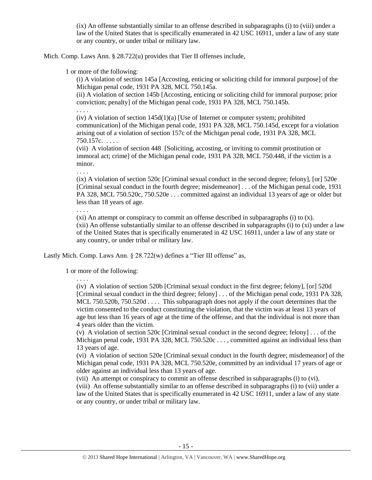(ix) An offense substantially similar to an offense described in subparagraphs (i) to (viii) under a law of the United States that is specifically enumerated in 42 USC 16911, under a law of any state or any country, or under tribal or military law.

Mich. Comp. Laws Ann. § 28.722(u) provides that Tier II offenses include,

1 or more of the following:

(i) A violation of section 145a [Accosting, enticing or soliciting child for immoral purpose] of the Michigan penal code, 1931 PA 328, MCL 750.145a.

(ii) A violation of section 145b [Accosting, enticing or soliciting child for immoral purpose; prior conviction; penalty] of the Michigan penal code, 1931 PA 328, MCL 750.145b.

. . . .

 $(iv)$  A violation of section 145d $(1)(a)$  [Use of Internet or computer system; prohibited communication] of the Michigan penal code, 1931 PA 328, MCL 750.145d, except for a violation arising out of a violation of section 157c of the Michigan penal code, 1931 PA 328, MCL 750.157c. . . . .

(vii) A violation of section 448 [Soliciting, accosting, or inviting to commit prostitution or immoral act; crime] of the Michigan penal code, 1931 PA 328, MCL 750.448, if the victim is a minor.

. . . .

(ix) A violation of section 520c [Criminal sexual conduct in the second degree; felony], [or] 520e [Criminal sexual conduct in the fourth degree; misdemeanor] . . . of the Michigan penal code, 1931 PA 328, MCL 750.520c, 750.520e . . . committed against an individual 13 years of age or older but less than 18 years of age.

. . . .

 $(xi)$  An attempt or conspiracy to commit an offense described in subparagraphs  $(i)$  to  $(x)$ .

(xii) An offense substantially similar to an offense described in subparagraphs (i) to (xi) under a law of the United States that is specifically enumerated in 42 USC 16911, under a law of any state or any country, or under tribal or military law.

Lastly Mich. Comp. Laws Ann. § 28.722(w) defines a "Tier III offense" as,

1 or more of the following:

. . . .

(iv) A violation of section 520b [Criminal sexual conduct in the first degree; felony], [or] 520d [Criminal sexual conduct in the third degree; felony] . . . of the Michigan penal code, 1931 PA 328, MCL 750.520b, 750.520d . . . . This subparagraph does not apply if the court determines that the victim consented to the conduct constituting the violation, that the victim was at least 13 years of age but less than 16 years of age at the time of the offense, and that the individual is not more than 4 years older than the victim.

(v) A violation of section 520c [Criminal sexual conduct in the second degree; felony] . . . of the Michigan penal code, 1931 PA 328, MCL 750.520c . . . , committed against an individual less than 13 years of age.

(vi) A violation of section 520e [Criminal sexual conduct in the fourth degree; misdemeanor] of the Michigan penal code, 1931 PA 328, MCL 750.520e, committed by an individual 17 years of age or older against an individual less than 13 years of age.

(vii) An attempt or conspiracy to commit an offense described in subparagraphs (i) to (vi).

(viii) An offense substantially similar to an offense described in subparagraphs (i) to (vii) under a law of the United States that is specifically enumerated in 42 USC 16911, under a law of any state or any country, or under tribal or military law.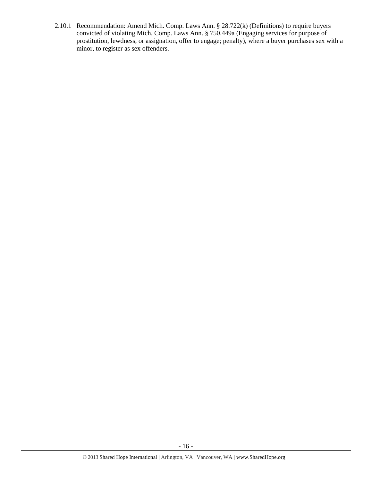2.10.1 Recommendation: Amend Mich. Comp. Laws Ann. § 28.722(k) (Definitions) to require buyers convicted of violating Mich. Comp. Laws Ann. § 750.449a (Engaging services for purpose of prostitution, lewdness, or assignation, offer to engage; penalty), where a buyer purchases sex with a minor, to register as sex offenders.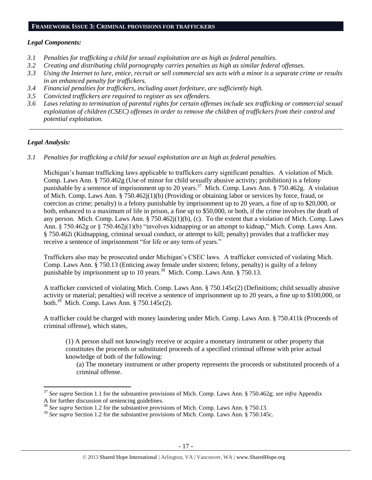#### **FRAMEWORK ISSUE 3: CRIMINAL PROVISIONS FOR TRAFFICKERS**

## *Legal Components:*

- *3.1 Penalties for trafficking a child for sexual exploitation are as high as federal penalties.*
- *3.2 Creating and distributing child pornography carries penalties as high as similar federal offenses.*
- *3.3 Using the Internet to lure, entice, recruit or sell commercial sex acts with a minor is a separate crime or results in an enhanced penalty for traffickers.*
- *3.4 Financial penalties for traffickers, including asset forfeiture, are sufficiently high.*
- *3.5 Convicted traffickers are required to register as sex offenders.*
- *3.6 Laws relating to termination of parental rights for certain offenses include sex trafficking or commercial sexual exploitation of children (CSEC) offenses in order to remove the children of traffickers from their control and potential exploitation.*

*\_\_\_\_\_\_\_\_\_\_\_\_\_\_\_\_\_\_\_\_\_\_\_\_\_\_\_\_\_\_\_\_\_\_\_\_\_\_\_\_\_\_\_\_\_\_\_\_\_\_\_\_\_\_\_\_\_\_\_\_\_\_\_\_\_\_\_\_\_\_\_\_\_\_\_\_\_\_\_\_\_\_\_\_\_\_\_\_\_\_\_\_\_\_*

#### *Legal Analysis:*

 $\overline{a}$ 

*3.1 Penalties for trafficking a child for sexual exploitation are as high as federal penalties.* 

Michigan's human trafficking laws applicable to traffickers carry significant penalties. A violation of Mich. Comp. Laws Ann. § 750.462g (Use of minor for child sexually abusive activity; prohibition) is a felony punishable by a sentence of imprisonment up to 20 years.<sup>37</sup> Mich. Comp. Laws Ann. § 750.462g. A violation of Mich. Comp. Laws Ann. § 750.462j(1)(b) (Providing or obtaining labor or services by force, fraud, or coercion as crime; penalty) is a felony punishable by imprisonment up to 20 years, a fine of up to \$20,000, or both, enhanced to a maximum of life in prison, a fine up to \$50,000, or both, if the crime involves the death of any person. Mich. Comp. Laws Ann. § 750.462 $j(1)(b)$ , (c). To the extent that a violation of Mich. Comp. Laws Ann. § 750.462g or § 750.462j(1)(b) "involves kidnapping or an attempt to kidnap," Mich. Comp. Laws Ann. § 750.462i (Kidnapping, criminal sexual conduct, or attempt to kill; penalty) provides that a trafficker may receive a sentence of imprisonment "for life or any term of years."

Traffickers also may be prosecuted under Michigan's CSEC laws. A trafficker convicted of violating Mich. Comp. Laws Ann. § 750.13 (Enticing away female under sixteen; felony, penalty) is guilty of a felony punishable by imprisonment up to 10 years.<sup>38</sup> Mich. Comp. Laws Ann. § 750.13.

A trafficker convicted of violating Mich. Comp. Laws Ann. § 750.145c(2) (Definitions; child sexually abusive activity or material; penalties) will receive a sentence of imprisonment up to 20 years, a fine up to \$100,000, or both. $^{39}$  Mich. Comp. Laws Ann. § 750.145c(2).

A trafficker could be charged with money laundering under Mich. Comp. Laws Ann. § 750.411k (Proceeds of criminal offense), which states,

(1) A person shall not knowingly receive or acquire a monetary instrument or other property that constitutes the proceeds or substituted proceeds of a specified criminal offense with prior actual knowledge of both of the following:

(a) The monetary instrument or other property represents the proceeds or substituted proceeds of a criminal offense.

<sup>37</sup> *See supra* Section 1.1 for the substantive provisions of Mich. Comp. Laws Ann. § 750.462g; *see infra* Appendix A for further discussion of sentencing guidelines.

<sup>38</sup> *See supra* Section 1.2 for the substantive provisions of Mich. Comp. Laws Ann. § 750.13.

<sup>&</sup>lt;sup>39</sup> See supra Section 1.2 for the substantive provisions of Mich. Comp. Laws Ann. § 750.145c.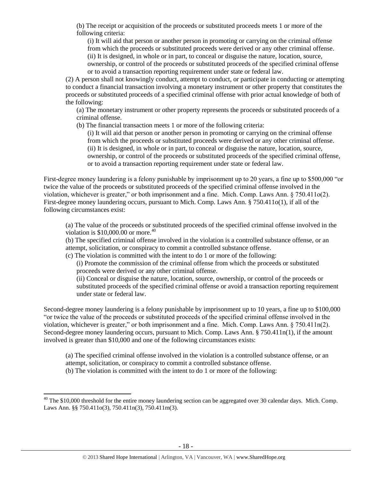(b) The receipt or acquisition of the proceeds or substituted proceeds meets 1 or more of the following criteria:

(i) It will aid that person or another person in promoting or carrying on the criminal offense from which the proceeds or substituted proceeds were derived or any other criminal offense. (ii) It is designed, in whole or in part, to conceal or disguise the nature, location, source, ownership, or control of the proceeds or substituted proceeds of the specified criminal offense or to avoid a transaction reporting requirement under state or federal law.

(2) A person shall not knowingly conduct, attempt to conduct, or participate in conducting or attempting to conduct a financial transaction involving a monetary instrument or other property that constitutes the proceeds or substituted proceeds of a specified criminal offense with prior actual knowledge of both of the following:

(a) The monetary instrument or other property represents the proceeds or substituted proceeds of a criminal offense.

(b) The financial transaction meets 1 or more of the following criteria:

(i) It will aid that person or another person in promoting or carrying on the criminal offense from which the proceeds or substituted proceeds were derived or any other criminal offense. (ii) It is designed, in whole or in part, to conceal or disguise the nature, location, source, ownership, or control of the proceeds or substituted proceeds of the specified criminal offense, or to avoid a transaction reporting requirement under state or federal law.

First-degree money laundering is a felony punishable by imprisonment up to 20 years, a fine up to \$500,000 "or twice the value of the proceeds or substituted proceeds of the specified criminal offense involved in the violation, whichever is greater," or both imprisonment and a fine. Mich. Comp. Laws Ann. § 750.411o(2). First-degree money laundering occurs, pursuant to Mich. Comp. Laws Ann. § 750.411o(1), if all of the following circumstances exist:

(a) The value of the proceeds or substituted proceeds of the specified criminal offense involved in the violation is  $$10,000.00$  or more.<sup>40</sup>

(b) The specified criminal offense involved in the violation is a controlled substance offense, or an attempt, solicitation, or conspiracy to commit a controlled substance offense.

(c) The violation is committed with the intent to do 1 or more of the following:

(i) Promote the commission of the criminal offense from which the proceeds or substituted proceeds were derived or any other criminal offense.

(ii) Conceal or disguise the nature, location, source, ownership, or control of the proceeds or substituted proceeds of the specified criminal offense or avoid a transaction reporting requirement under state or federal law.

Second-degree money laundering is a felony punishable by imprisonment up to 10 years, a fine up to \$100,000 "or twice the value of the proceeds or substituted proceeds of the specified criminal offense involved in the violation, whichever is greater," or both imprisonment and a fine. Mich. Comp. Laws Ann. § 750.411n(2). Second-degree money laundering occurs, pursuant to Mich. Comp. Laws Ann. § 750.411n(1), if the amount involved is greater than \$10,000 and one of the following circumstances exists:

(a) The specified criminal offense involved in the violation is a controlled substance offense, or an attempt, solicitation, or conspiracy to commit a controlled substance offense. (b) The violation is committed with the intent to do 1 or more of the following:

 $\overline{\phantom{a}}$ 

 $40$  The \$10,000 threshold for the entire money laundering section can be aggregated over 30 calendar days. Mich. Comp. Laws Ann. §§ 750.411o(3), 750.411n(3), 750.411m(3).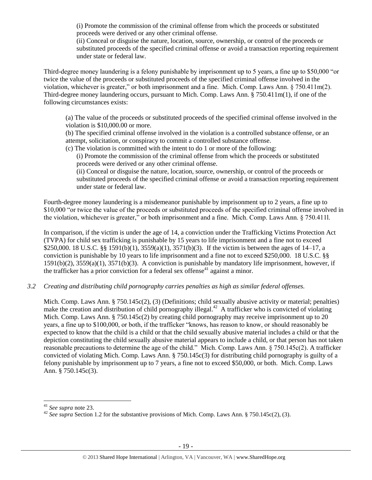(i) Promote the commission of the criminal offense from which the proceeds or substituted proceeds were derived or any other criminal offense.

(ii) Conceal or disguise the nature, location, source, ownership, or control of the proceeds or substituted proceeds of the specified criminal offense or avoid a transaction reporting requirement under state or federal law.

Third-degree money laundering is a felony punishable by imprisonment up to 5 years, a fine up to \$50,000 "or twice the value of the proceeds or substituted proceeds of the specified criminal offense involved in the violation, whichever is greater," or both imprisonment and a fine. Mich. Comp. Laws Ann. § 750.411m(2). Third-degree money laundering occurs, pursuant to Mich. Comp. Laws Ann. § 750.411m(1), if one of the following circumstances exists:

(a) The value of the proceeds or substituted proceeds of the specified criminal offense involved in the violation is \$10,000.00 or more.

(b) The specified criminal offense involved in the violation is a controlled substance offense, or an attempt, solicitation, or conspiracy to commit a controlled substance offense.

(c) The violation is committed with the intent to do 1 or more of the following:

(i) Promote the commission of the criminal offense from which the proceeds or substituted proceeds were derived or any other criminal offense.

(ii) Conceal or disguise the nature, location, source, ownership, or control of the proceeds or substituted proceeds of the specified criminal offense or avoid a transaction reporting requirement under state or federal law.

Fourth-degree money laundering is a misdemeanor punishable by imprisonment up to 2 years, a fine up to \$10,000 "or twice the value of the proceeds or substituted proceeds of the specified criminal offense involved in the violation, whichever is greater," or both imprisonment and a fine. Mich. Comp. Laws Ann. § 750.411l.

In comparison, if the victim is under the age of 14, a conviction under the Trafficking Victims Protection Act (TVPA) for child sex trafficking is punishable by 15 years to life imprisonment and a fine not to exceed \$250,000. 18 U.S.C. §§ 1591(b)(1), 3559(a)(1), 3571(b)(3). If the victim is between the ages of 14–17, a conviction is punishable by 10 years to life imprisonment and a fine not to exceed \$250,000. 18 U.S.C. §§ 1591(b)(2), 3559(a)(1), 3571(b)(3). A conviction is punishable by mandatory life imprisonment, however, if the trafficker has a prior conviction for a federal sex offense<sup>41</sup> against a minor.

*3.2 Creating and distributing child pornography carries penalties as high as similar federal offenses.*

Mich. Comp. Laws Ann. § 750.145c(2), (3) (Definitions; child sexually abusive activity or material; penalties) make the creation and distribution of child pornography illegal. $42$  A trafficker who is convicted of violating Mich. Comp. Laws Ann. § 750.145c(2) by creating child pornography may receive imprisonment up to 20 years, a fine up to \$100,000, or both, if the trafficker "knows, has reason to know, or should reasonably be expected to know that the child is a child or that the child sexually abusive material includes a child or that the depiction constituting the child sexually abusive material appears to include a child, or that person has not taken reasonable precautions to determine the age of the child." Mich. Comp. Laws Ann. § 750.145c(2). A trafficker convicted of violating Mich. Comp. Laws Ann. § 750.145c(3) for distributing child pornography is guilty of a felony punishable by imprisonment up to 7 years, a fine not to exceed \$50,000, or both. Mich. Comp. Laws Ann. § 750.145c(3).

 $\overline{\phantom{a}}$ 

<sup>41</sup> *See supra* note [23.](#page-9-0) 

<sup>&</sup>lt;sup>42</sup> *See supra* Section 1.2 for the substantive provisions of Mich. Comp. Laws Ann. § 750.145c(2), (3).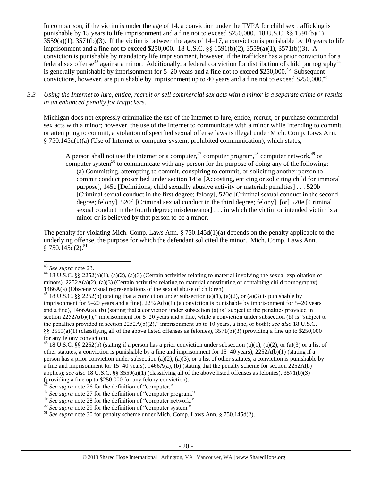In comparison, if the victim is under the age of 14, a conviction under the TVPA for child sex trafficking is punishable by 15 years to life imprisonment and a fine not to exceed \$250,000. 18 U.S.C. §§ 1591(b)(1),  $3559(a)(1)$ ,  $3571(b)(3)$ . If the victim is between the ages of  $14-17$ , a conviction is punishable by 10 years to life imprisonment and a fine not to exceed \$250,000. 18 U.S.C. §§ 1591(b)(2), 3559(a)(1), 3571(b)(3). A conviction is punishable by mandatory life imprisonment, however, if the trafficker has a prior conviction for a federal sex offense<sup>43</sup> against a minor. Additionally, a federal conviction for distribution of child pornography<sup>44</sup> is generally punishable by imprisonment for  $5-20$  years and a fine not to exceed \$250,000.<sup>45</sup> Subsequent convictions, however, are punishable by imprisonment up to 40 years and a fine not to exceed \$250,000.<sup>46</sup>

*3.3 Using the Internet to lure, entice, recruit or sell commercial sex acts with a minor is a separate crime or results in an enhanced penalty for traffickers.*

Michigan does not expressly criminalize the use of the Internet to lure, entice, recruit, or purchase commercial sex acts with a minor; however, the use of the Internet to communicate with a minor while intending to commit, or attempting to commit, a violation of specified sexual offense laws is illegal under Mich. Comp. Laws Ann. § 750.145d(1)(a) (Use of Internet or computer system; prohibited communication), which states,

A person shall not use the internet or a computer,<sup>47</sup> computer program,<sup>48</sup> computer network,<sup>49</sup> or computer system<sup>50</sup> to communicate with any person for the purpose of doing any of the following: (a) Committing, attempting to commit, conspiring to commit, or soliciting another person to commit conduct proscribed under section 145a [Accosting, enticing or soliciting child for immoral purpose], 145c [Definitions; child sexually abusive activity or material; penalties] . . . 520b [Criminal sexual conduct in the first degree; felony], 520c [Criminal sexual conduct in the second degree; felony], 520d [Criminal sexual conduct in the third degree; felony], [or] 520e [Criminal sexual conduct in the fourth degree; misdemeanor] . . . in which the victim or intended victim is a minor or is believed by that person to be a minor.

The penalty for violating Mich. Comp. Laws Ann. § 750.145d(1)(a) depends on the penalty applicable to the underlying offense, the purpose for which the defendant solicited the minor. Mich. Comp. Laws Ann.  $§ 750.145d(2).^{51}$ 

 $\overline{a}$ 

<sup>43</sup> *See supra* note [23.](#page-9-0) 

<sup>&</sup>lt;sup>44</sup> 18 U.S.C. §§ 2252(a)(1), (a)(2), (a)(3) (Certain activities relating to material involving the sexual exploitation of minors),  $2252A(a)(2)$ , (a)(3) (Certain activities relating to material constituting or containing child pornography), 1466A(a) (Obscene visual representations of the sexual abuse of children).

<sup>&</sup>lt;sup>45</sup> 18 U.S.C. §§ 2252(b) (stating that a conviction under subsection (a)(1), (a)(2), or (a)(3) is punishable by imprisonment for 5–20 years and a fine), 2252A(b)(1) (a conviction is punishable by imprisonment for 5–20 years and a fine), 1466A(a), (b) (stating that a conviction under subsection (a) is "subject to the penalties provided in section 2252A(b)(1)," imprisonment for 5–20 years and a fine, while a conviction under subsection (b) is "subject to the penalties provided in section 2252A(b)(2)," imprisonment up to 10 years, a fine, or both); *see also* 18 U.S.C. §§ 3559(a)(1) (classifying all of the above listed offenses as felonies),  $3571(b)(3)$  (providing a fine up to \$250,000 for any felony conviction).

<sup>&</sup>lt;sup>46</sup> 18 U.S.C. §§ 2252(b) (stating if a person has a prior conviction under subsection (a)(1), (a)(2), or (a)(3) or a list of other statutes, a conviction is punishable by a fine and imprisonment for 15–40 years), 2252A(b)(1) (stating if a person has a prior conviction under subsection (a)(2), (a)(3), or a list of other statutes, a conviction is punishable by a fine and imprisonment for 15–40 years), 1466A(a), (b) (stating that the penalty scheme for section 2252A(b) applies); *see also* 18 U.S.C. §§ 3559(a)(1) (classifying all of the above listed offenses as felonies), 3571(b)(3) (providing a fine up to \$250,000 for any felony conviction).

See supra note [26](#page-9-1) for the definition of "computer."

<sup>&</sup>lt;sup>48</sup> *See supra* note [27](#page-9-2) for the definition of "computer program."

<sup>49</sup> *See supra* note [28](#page-9-3) for the definition of "computer network."

<sup>&</sup>lt;sup>50</sup> See supra note [29](#page-9-4) for the definition of "computer system."

<sup>51</sup> *See supra* note [30](#page-10-0) for penalty scheme under Mich. Comp. Laws Ann. § 750.145d(2).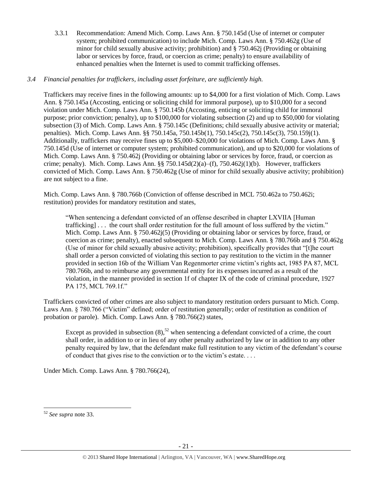3.3.1 Recommendation: Amend Mich. Comp. Laws Ann. § 750.145d (Use of internet or computer system; prohibited communication) to include Mich. Comp. Laws Ann. § 750.462g (Use of minor for child sexually abusive activity; prohibition) and § 750.462j (Providing or obtaining labor or services by force, fraud, or coercion as crime; penalty) to ensure availability of enhanced penalties when the Internet is used to commit trafficking offenses.

# *3.4 Financial penalties for traffickers, including asset forfeiture, are sufficiently high.*

Traffickers may receive fines in the following amounts: up to \$4,000 for a first violation of Mich. Comp. Laws Ann. § 750.145a (Accosting, enticing or soliciting child for immoral purpose), up to \$10,000 for a second violation under Mich. Comp. Laws Ann. § 750.145b (Accosting, enticing or soliciting child for immoral purpose; prior conviction; penalty), up to \$100,000 for violating subsection (2) and up to \$50,000 for violating subsection (3) of Mich. Comp. Laws Ann. § 750.145c (Definitions; child sexually abusive activity or material; penalties). Mich. Comp. Laws Ann. §§ 750.145a, 750.145b(1), 750.145c(2), 750.145c(3), 750.159j(1). Additionally, traffickers may receive fines up to \$5,000–\$20,000 for violations of Mich. Comp. Laws Ann. § 750.145d (Use of internet or computer system; prohibited communication), and up to \$20,000 for violations of Mich. Comp. Laws Ann. § 750.462j (Providing or obtaining labor or services by force, fraud, or coercion as crime; penalty). Mich. Comp. Laws Ann. §§ 750.145d(2)(a)–(f), 750.462 $i(1)(b)$ . However, traffickers convicted of Mich. Comp. Laws Ann. § 750.462g (Use of minor for child sexually abusive activity; prohibition) are not subject to a fine.

Mich. Comp. Laws Ann. § 780.766b (Conviction of offense described in MCL 750.462a to 750.462i; restitution) provides for mandatory restitution and states,

"When sentencing a defendant convicted of an offense described in chapter LXVIIA [Human trafficking] . . . the court shall order restitution for the full amount of loss suffered by the victim." Mich. Comp. Laws Ann. § 750.462j(5) (Providing or obtaining labor or services by force, fraud, or coercion as crime; penalty), enacted subsequent to Mich. Comp. Laws Ann. § 780.766b and § 750.462g (Use of minor for child sexually abusive activity; prohibition), specifically provides that "[t]he court shall order a person convicted of violating this section to pay restitution to the victim in the manner provided in section 16b of the William Van Regenmorter crime victim's rights act, 1985 PA 87, MCL 780.766b, and to reimburse any governmental entity for its expenses incurred as a result of the violation, in the manner provided in section 1f of chapter IX of the code of criminal procedure, 1927 PA 175, MCL 769.1f."

Traffickers convicted of other crimes are also subject to mandatory restitution orders pursuant to Mich. Comp. Laws Ann. § 780.766 ("Victim" defined; order of restitution generally; order of restitution as condition of probation or parole). Mich. Comp. Laws Ann. § 780.766(2) states,

Except as provided in subsection  $(8)$ ,<sup>52</sup> when sentencing a defendant convicted of a crime, the court shall order, in addition to or in lieu of any other penalty authorized by law or in addition to any other penalty required by law, that the defendant make full restitution to any victim of the defendant's course of conduct that gives rise to the conviction or to the victim's estate. . . .

Under Mich. Comp. Laws Ann. § 780.766(24),

l <sup>52</sup> *See supra* note [33.](#page-12-0)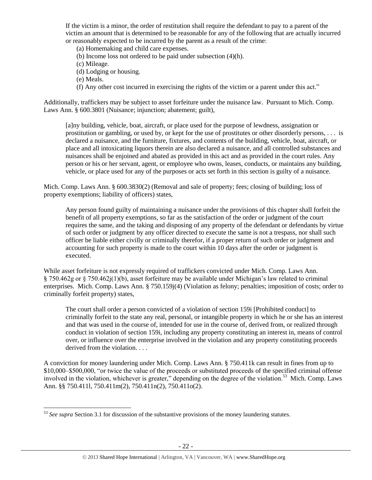If the victim is a minor, the order of restitution shall require the defendant to pay to a parent of the victim an amount that is determined to be reasonable for any of the following that are actually incurred or reasonably expected to be incurred by the parent as a result of the crime:

(a) Homemaking and child care expenses.

(b) Income loss not ordered to be paid under subsection (4)(h).

(c) Mileage.

- (d) Lodging or housing.
- (e) Meals.

l

(f) Any other cost incurred in exercising the rights of the victim or a parent under this act."

Additionally, traffickers may be subject to asset forfeiture under the nuisance law. Pursuant to Mich. Comp. Laws Ann. § 600.3801 (Nuisance; injunction; abatement; guilt),

[a]ny building, vehicle, boat, aircraft, or place used for the purpose of lewdness, assignation or prostitution or gambling, or used by, or kept for the use of prostitutes or other disorderly persons, . . . is declared a nuisance, and the furniture, fixtures, and contents of the building, vehicle, boat, aircraft, or place and all intoxicating liquors therein are also declared a nuisance, and all controlled substances and nuisances shall be enjoined and abated as provided in this act and as provided in the court rules. Any person or his or her servant, agent, or employee who owns, leases, conducts, or maintains any building, vehicle, or place used for any of the purposes or acts set forth in this section is guilty of a nuisance.

Mich. Comp. Laws Ann. § 600.3830(2) (Removal and sale of property; fees; closing of building; loss of property exemptions; liability of officers) states,

Any person found guilty of maintaining a nuisance under the provisions of this chapter shall forfeit the benefit of all property exemptions, so far as the satisfaction of the order or judgment of the court requires the same, and the taking and disposing of any property of the defendant or defendants by virtue of such order or judgment by any officer directed to execute the same is not a trespass, nor shall such officer be liable either civilly or criminally therefor, if a proper return of such order or judgment and accounting for such property is made to the court within 10 days after the order or judgment is executed.

While asset forfeiture is not expressly required of traffickers convicted under Mich. Comp. Laws Ann. § 750.462g or § 750.462j(1)(b), asset forfeiture may be available under Michigan's law related to criminal enterprises. Mich. Comp. Laws Ann. § 750.159j(4) (Violation as felony; penalties; imposition of costs; order to criminally forfeit property) states,

The court shall order a person convicted of a violation of section 159i [Prohibited conduct] to criminally forfeit to the state any real, personal, or intangible property in which he or she has an interest and that was used in the course of, intended for use in the course of, derived from, or realized through conduct in violation of section 159i, including any property constituting an interest in, means of control over, or influence over the enterprise involved in the violation and any property constituting proceeds derived from the violation. . . .

A conviction for money laundering under Mich. Comp. Laws Ann. § 750.411k can result in fines from up to \$10,000–\$500,000, "or twice the value of the proceeds or substituted proceeds of the specified criminal offense involved in the violation, whichever is greater," depending on the degree of the violation.<sup>53</sup> Mich. Comp. Laws Ann. §§ 750.411l, 750.411m(2), 750.411n(2), 750.411o(2).

<sup>53</sup> *See supra* Section 3.1 for discussion of the substantive provisions of the money laundering statutes.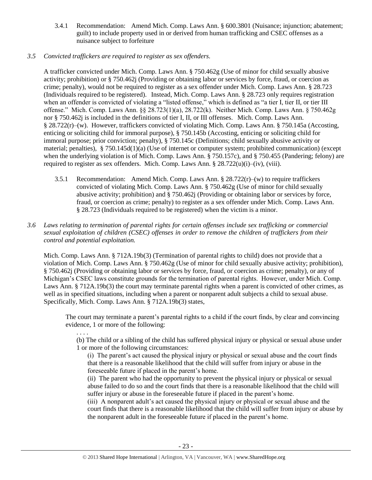- 3.4.1 Recommendation: Amend Mich. Comp. Laws Ann. § 600.3801 (Nuisance; injunction; abatement; guilt) to include property used in or derived from human trafficking and CSEC offenses as a nuisance subject to forfeiture
- *3.5 Convicted traffickers are required to register as sex offenders.*

A trafficker convicted under Mich. Comp. Laws Ann. § 750.462g (Use of minor for child sexually abusive activity; prohibition) or § 750.462j (Providing or obtaining labor or services by force, fraud, or coercion as crime; penalty), would not be required to register as a sex offender under Mich. Comp. Laws Ann. § 28.723 (Individuals required to be registered). Instead, Mich. Comp. Laws Ann. § 28.723 only requires registration when an offender is convicted of violating a "listed offense," which is defined as "a tier I, tier II, or tier III offense." Mich. Comp. Laws Ann. §§ 28.723(1)(a), 28.722(k). Neither Mich. Comp. Laws Ann. § 750.462g nor § 750.462j is included in the definitions of tier I, II, or III offenses. Mich. Comp. Laws Ann. § 28.722(r)–(w). However, traffickers convicted of violating Mich. Comp. Laws Ann. § 750.145a (Accosting, enticing or soliciting child for immoral purpose), § 750.145b (Accosting, enticing or soliciting child for immoral purpose; prior conviction; penalty), § 750.145c (Definitions; child sexually abusive activity or material; penalties), § 750.145d(1)(a) (Use of internet or computer system; prohibited communication) (except when the underlying violation is of Mich. Comp. Laws Ann. § 750.157c), and § 750.455 (Pandering; felony) are required to register as sex offenders. Mich. Comp. Laws Ann.  $\S 28.722(u)(i)–(iv), (viii)$ .

- 3.5.1 Recommendation: Amend Mich. Comp. Laws Ann.  $\S 28.722(r)$ –(w) to require traffickers convicted of violating Mich. Comp. Laws Ann. § 750.462g (Use of minor for child sexually abusive activity; prohibition) and § 750.462j (Providing or obtaining labor or services by force, fraud, or coercion as crime; penalty) to register as a sex offender under Mich. Comp. Laws Ann. § 28.723 (Individuals required to be registered) when the victim is a minor.
- *3.6 Laws relating to termination of parental rights for certain offenses include sex trafficking or commercial sexual exploitation of children (CSEC) offenses in order to remove the children of traffickers from their control and potential exploitation.*

Mich. Comp. Laws Ann. § 712A.19b(3) (Termination of parental rights to child) does not provide that a violation of Mich. Comp. Laws Ann. § 750.462g (Use of minor for child sexually abusive activity; prohibition), § 750.462j (Providing or obtaining labor or services by force, fraud, or coercion as crime; penalty), or any of Michigan's CSEC laws constitute grounds for the termination of parental rights. However, under Mich. Comp. Laws Ann. § 712A.19b(3) the court may terminate parental rights when a parent is convicted of other crimes, as well as in specified situations, including when a parent or nonparent adult subjects a child to sexual abuse. Specifically, Mich. Comp. Laws Ann. § 712A.19b(3) states,

The court may terminate a parent's parental rights to a child if the court finds, by clear and convincing evidence, 1 or more of the following:

. . . . (b) The child or a sibling of the child has suffered physical injury or physical or sexual abuse under 1 or more of the following circumstances:

(i) The parent's act caused the physical injury or physical or sexual abuse and the court finds that there is a reasonable likelihood that the child will suffer from injury or abuse in the foreseeable future if placed in the parent's home.

(ii) The parent who had the opportunity to prevent the physical injury or physical or sexual abuse failed to do so and the court finds that there is a reasonable likelihood that the child will suffer injury or abuse in the foreseeable future if placed in the parent's home.

(iii) A nonparent adult's act caused the physical injury or physical or sexual abuse and the court finds that there is a reasonable likelihood that the child will suffer from injury or abuse by the nonparent adult in the foreseeable future if placed in the parent's home.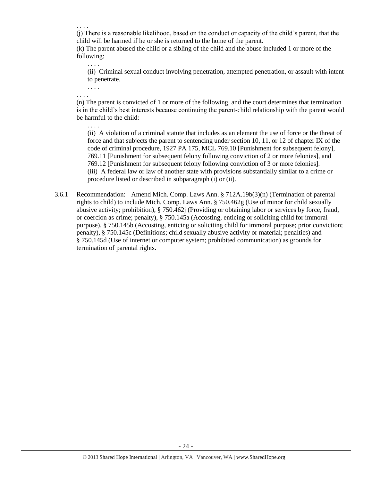. . . .

(j) There is a reasonable likelihood, based on the conduct or capacity of the child's parent, that the child will be harmed if he or she is returned to the home of the parent.

(k) The parent abused the child or a sibling of the child and the abuse included 1 or more of the following:

(ii) Criminal sexual conduct involving penetration, attempted penetration, or assault with intent to penetrate.

. . . . . . . .

. . . .

(n) The parent is convicted of 1 or more of the following, and the court determines that termination is in the child's best interests because continuing the parent-child relationship with the parent would be harmful to the child:

- . . . . (ii) A violation of a criminal statute that includes as an element the use of force or the threat of force and that subjects the parent to sentencing under section 10, 11, or 12 of chapter IX of the code of criminal procedure, 1927 PA 175, MCL 769.10 [Punishment for subsequent felony], 769.11 [Punishment for subsequent felony following conviction of 2 or more felonies], and 769.12 [Punishment for subsequent felony following conviction of 3 or more felonies]. (iii) A federal law or law of another state with provisions substantially similar to a crime or procedure listed or described in subparagraph (i) or (ii).
- 3.6.1 Recommendation: Amend Mich. Comp. Laws Ann. § 712A.19b(3)(n) (Termination of parental rights to child) to include Mich. Comp. Laws Ann. § 750.462g (Use of minor for child sexually abusive activity; prohibition), § 750.462j (Providing or obtaining labor or services by force, fraud, or coercion as crime; penalty), § 750.145a (Accosting, enticing or soliciting child for immoral purpose), § 750.145b (Accosting, enticing or soliciting child for immoral purpose; prior conviction; penalty), § 750.145c (Definitions; child sexually abusive activity or material; penalties) and § 750.145d (Use of internet or computer system; prohibited communication) as grounds for termination of parental rights.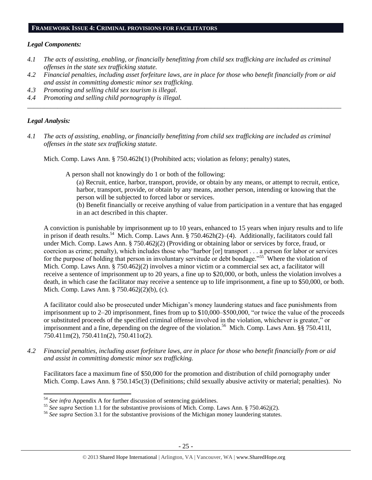#### **FRAMEWORK ISSUE 4: CRIMINAL PROVISIONS FOR FACILITATORS**

#### *Legal Components:*

- *4.1 The acts of assisting, enabling, or financially benefitting from child sex trafficking are included as criminal offenses in the state sex trafficking statute.*
- *4.2 Financial penalties, including asset forfeiture laws, are in place for those who benefit financially from or aid and assist in committing domestic minor sex trafficking.*

*\_\_\_\_\_\_\_\_\_\_\_\_\_\_\_\_\_\_\_\_\_\_\_\_\_\_\_\_\_\_\_\_\_\_\_\_\_\_\_\_\_\_\_\_\_\_\_\_\_\_\_\_\_\_\_\_\_\_\_\_\_\_\_\_\_\_\_\_\_\_\_\_\_\_\_\_\_\_\_\_\_\_\_\_\_\_\_\_\_\_\_\_\_\_*

- *4.3 Promoting and selling child sex tourism is illegal.*
- *4.4 Promoting and selling child pornography is illegal.*

## *Legal Analysis:*

 $\overline{\phantom{a}}$ 

*4.1 The acts of assisting, enabling, or financially benefitting from child sex trafficking are included as criminal offenses in the state sex trafficking statute.*

Mich. Comp. Laws Ann. § 750.462h(1) (Prohibited acts; violation as felony; penalty) states,

A person shall not knowingly do 1 or both of the following:

- (a) Recruit, entice, harbor, transport, provide, or obtain by any means, or attempt to recruit, entice, harbor, transport, provide, or obtain by any means, another person, intending or knowing that the person will be subjected to forced labor or services.
- (b) Benefit financially or receive anything of value from participation in a venture that has engaged in an act described in this chapter.

A conviction is punishable by imprisonment up to 10 years, enhanced to 15 years when injury results and to life in prison if death results.<sup>54</sup> Mich. Comp. Laws Ann. § 750.462h(2)–(4). Additionally, facilitators could fall under Mich. Comp. Laws Ann. § 750.462j(2) (Providing or obtaining labor or services by force, fraud, or coercion as crime; penalty), which includes those who "harbor [or] transport . . . a person for labor or services for the purpose of holding that person in involuntary servitude or debt bondage."<sup>55</sup> Where the violation of Mich. Comp. Laws Ann. § 750.462j(2) involves a minor victim or a commercial sex act, a facilitator will receive a sentence of imprisonment up to 20 years, a fine up to \$20,000, or both, unless the violation involves a death, in which case the facilitator may receive a sentence up to life imprisonment, a fine up to \$50,000, or both. Mich. Comp. Laws Ann. § 750.462j(2)(b), (c).

A facilitator could also be prosecuted under Michigan's money laundering statues and face punishments from imprisonment up to 2–20 imprisonment, fines from up to \$10,000–\$500,000, "or twice the value of the proceeds or substituted proceeds of the specified criminal offense involved in the violation, whichever is greater," or imprisonment and a fine, depending on the degree of the violation.<sup>56</sup> Mich. Comp. Laws Ann. §§ 750.4111, 750.411m(2), 750.411n(2), 750.411o(2).

*4.2 Financial penalties, including asset forfeiture laws, are in place for those who benefit financially from or aid and assist in committing domestic minor sex trafficking.*

Facilitators face a maximum fine of \$50,000 for the promotion and distribution of child pornography under Mich. Comp. Laws Ann. § 750.145c(3) (Definitions; child sexually abusive activity or material; penalties). No

<sup>54</sup> *See infra* Appendix A for further discussion of sentencing guidelines.

<sup>&</sup>lt;sup>55</sup> See supra Section 1.1 for the substantive provisions of Mich. Comp. Laws Ann. § 750.462j(2).

<sup>56</sup> *See supra* Section 3.1 for the substantive provisions of the Michigan money laundering statutes.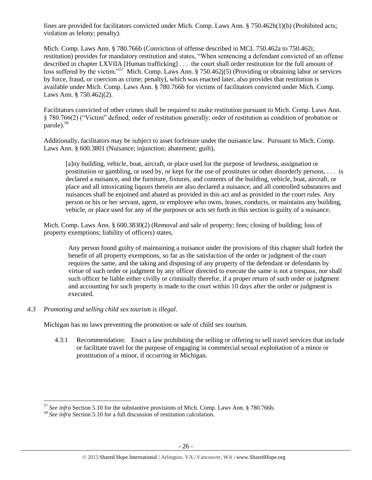fines are provided for facilitators convicted under Mich. Comp. Laws Ann. § 750.462h(1)(b) (Prohibited acts; violation as felony; penalty).

Mich. Comp. Laws Ann. § 780.766b (Conviction of offense described in MCL 750.462a to 750.462i; restitution) provides for mandatory restitution and states, "When sentencing a defendant convicted of an offense described in chapter LXVIIA [Human trafficking] . . . the court shall order restitution for the full amount of loss suffered by the victim."<sup>57</sup> Mich. Comp. Laws Ann. § 750.462 $j(5)$  (Providing or obtaining labor or services by force, fraud, or coercion as crime; penalty), which was enacted later, also provides that restitution is available under Mich. Comp. Laws Ann. § 780.766b for victims of facilitators convicted under Mich. Comp. Laws Ann. § 750.462j(2).

Facilitators convicted of other crimes shall be required to make restitution pursuant to Mich. Comp. Laws Ann. § 780.766(2) ("Victim" defined; order of restitution generally; order of restitution as condition of probation or parole).<sup>58</sup>

Additionally, facilitators may be subject to asset forfeiture under the nuisance law. Pursuant to Mich. Comp. Laws Ann. § 600.3801 (Nuisance; injunction; abatement; guilt),

[a]ny building, vehicle, boat, aircraft, or place used for the purpose of lewdness, assignation or prostitution or gambling, or used by, or kept for the use of prostitutes or other disorderly persons, . . . is declared a nuisance, and the furniture, fixtures, and contents of the building, vehicle, boat, aircraft, or place and all intoxicating liquors therein are also declared a nuisance, and all controlled substances and nuisances shall be enjoined and abated as provided in this act and as provided in the court rules. Any person or his or her servant, agent, or employee who owns, leases, conducts, or maintains any building, vehicle, or place used for any of the purposes or acts set forth in this section is guilty of a nuisance.

Mich. Comp. Laws Ann. § 600.3830(2) (Removal and sale of property; fees; closing of building; loss of property exemptions; liability of officers) states,

Any person found guilty of maintaining a nuisance under the provisions of this chapter shall forfeit the benefit of all property exemptions, so far as the satisfaction of the order or judgment of the court requires the same, and the taking and disposing of any property of the defendant or defendants by virtue of such order or judgment by any officer directed to execute the same is not a trespass, nor shall such officer be liable either civilly or criminally therefor, if a proper return of such order or judgment and accounting for such property is made to the court within 10 days after the order or judgment is executed.

## *4.3 Promoting and selling child sex tourism is illegal.*

 $\overline{\phantom{a}}$ 

Michigan has no laws preventing the promotion or sale of child sex tourism.

4.3.1 Recommendation: Enact a law prohibiting the selling or offering to sell travel services that include or facilitate travel for the purpose of engaging in commercial sexual exploitation of a minor or prostitution of a minor, if occurring in Michigan.

<sup>57</sup> *See infra* Section 5.10 for the substantive provisions of Mich. Comp. Laws Ann. § 780.766b.

<sup>58</sup> *See infra* Section 5.10 for a full discussion of restitution calculation.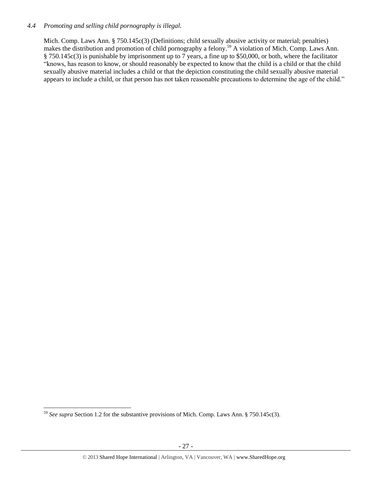## *4.4 Promoting and selling child pornography is illegal.*

Mich. Comp. Laws Ann. § 750.145c(3) (Definitions; child sexually abusive activity or material; penalties) makes the distribution and promotion of child pornography a felony.<sup>59</sup> A violation of Mich. Comp. Laws Ann. § 750.145c(3) is punishable by imprisonment up to 7 years, a fine up to \$50,000, or both, where the facilitator "knows, has reason to know, or should reasonably be expected to know that the child is a child or that the child sexually abusive material includes a child or that the depiction constituting the child sexually abusive material appears to include a child, or that person has not taken reasonable precautions to determine the age of the child."

l <sup>59</sup> *See supra* Section 1.2 for the substantive provisions of Mich. Comp. Laws Ann. § 750.145c(3).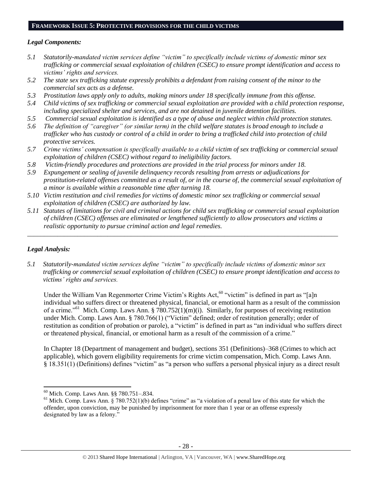#### **FRAMEWORK ISSUE 5: PROTECTIVE PROVISIONS FOR THE CHILD VICTIMS**

## *Legal Components:*

- *5.1 Statutorily-mandated victim services define "victim" to specifically include victims of domestic minor sex trafficking or commercial sexual exploitation of children (CSEC) to ensure prompt identification and access to victims' rights and services.*
- *5.2 The state sex trafficking statute expressly prohibits a defendant from raising consent of the minor to the commercial sex acts as a defense.*
- *5.3 Prostitution laws apply only to adults, making minors under 18 specifically immune from this offense.*
- *5.4 Child victims of sex trafficking or commercial sexual exploitation are provided with a child protection response, including specialized shelter and services, and are not detained in juvenile detention facilities.*
- *5.5 Commercial sexual exploitation is identified as a type of abuse and neglect within child protection statutes.*
- *5.6 The definition of "caregiver" (or similar term) in the child welfare statutes is broad enough to include a trafficker who has custody or control of a child in order to bring a trafficked child into protection of child protective services.*
- *5.7 Crime victims' compensation is specifically available to a child victim of sex trafficking or commercial sexual exploitation of children (CSEC) without regard to ineligibility factors.*
- *5.8 Victim-friendly procedures and protections are provided in the trial process for minors under 18.*
- *5.9 Expungement or sealing of juvenile delinquency records resulting from arrests or adjudications for prostitution-related offenses committed as a result of, or in the course of, the commercial sexual exploitation of a minor is available within a reasonable time after turning 18.*
- *5.10 Victim restitution and civil remedies for victims of domestic minor sex trafficking or commercial sexual exploitation of children (CSEC) are authorized by law.*
- *5.11 Statutes of limitations for civil and criminal actions for child sex trafficking or commercial sexual exploitation of children (CSEC) offenses are eliminated or lengthened sufficiently to allow prosecutors and victims a realistic opportunity to pursue criminal action and legal remedies.*

*\_\_\_\_\_\_\_\_\_\_\_\_\_\_\_\_\_\_\_\_\_\_\_\_\_\_\_\_\_\_\_\_\_\_\_\_\_\_\_\_\_\_\_\_\_\_\_\_\_\_\_\_\_\_\_\_\_\_\_\_\_\_\_\_\_\_\_\_\_\_\_\_\_\_\_\_\_\_\_\_\_\_\_\_\_\_\_\_\_\_\_\_\_*

# *Legal Analysis:*

 $\overline{a}$ 

*5.1 Statutorily-mandated victim services define "victim" to specifically include victims of domestic minor sex trafficking or commercial sexual exploitation of children (CSEC) to ensure prompt identification and access to victims' rights and services.*

Under the William Van Regenmorter Crime Victim's Rights Act,<sup>60</sup> "victim" is defined in part as "[a]n individual who suffers direct or threatened physical, financial, or emotional harm as a result of the commission of a crime."<sup>61</sup> Mich. Comp. Laws Ann. §  $\frac{780.752(1)(m)(i)}{i}$ . Similarly, for purposes of receiving restitution under Mich. Comp. Laws Ann. § 780.766(1) ("Victim" defined; order of restitution generally; order of restitution as condition of probation or parole), a "victim" is defined in part as "an individual who suffers direct or threatened physical, financial, or emotional harm as a result of the commission of a crime."

In Chapter 18 (Department of management and budget), sections 351 (Definitions)–368 (Crimes to which act applicable), which govern eligibility requirements for crime victim compensation, Mich. Comp. Laws Ann. § 18.351(1) (Definitions) defines "victim" as "a person who suffers a personal physical injury as a direct result

<sup>60</sup> Mich. Comp. Laws Ann. §§ 780.751–.834.

 $61$  Mich. Comp. Laws Ann. § 780.752(1)(b) defines "crime" as "a violation of a penal law of this state for which the offender, upon conviction, may be punished by imprisonment for more than 1 year or an offense expressly designated by law as a felony."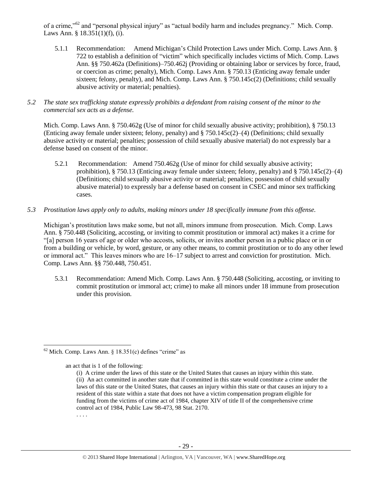of a crime,"<sup>62</sup> and "personal physical injury" as "actual bodily harm and includes pregnancy." Mich. Comp. Laws Ann. § 18.351(1)(f), (i).

- 5.1.1 Recommendation: Amend Michigan's Child Protection Laws under Mich. Comp. Laws Ann. § 722 to establish a definition of "victim" which specifically includes victims of Mich. Comp. Laws Ann. §§ 750.462a (Definitions)–750.462j (Providing or obtaining labor or services by force, fraud, or coercion as crime; penalty), Mich. Comp. Laws Ann. § 750.13 (Enticing away female under sixteen; felony, penalty), and Mich. Comp. Laws Ann. § 750.145c(2) (Definitions; child sexually abusive activity or material; penalties).
- *5.2 The state sex trafficking statute expressly prohibits a defendant from raising consent of the minor to the commercial sex acts as a defense.*

Mich. Comp. Laws Ann. § 750.462g (Use of minor for child sexually abusive activity; prohibition), § 750.13 (Enticing away female under sixteen; felony, penalty) and § 750.145c(2)–(4) (Definitions; child sexually abusive activity or material; penalties; possession of child sexually abusive material) do not expressly bar a defense based on consent of the minor.

- 5.2.1 Recommendation: Amend 750.462g (Use of minor for child sexually abusive activity; prohibition), § 750.13 (Enticing away female under sixteen; felony, penalty) and § 750.145c(2)–(4) (Definitions; child sexually abusive activity or material; penalties; possession of child sexually abusive material) to expressly bar a defense based on consent in CSEC and minor sex trafficking cases.
- *5.3 Prostitution laws apply only to adults, making minors under 18 specifically immune from this offense.*

Michigan's prostitution laws make some, but not all, minors immune from prosecution. Mich. Comp. Laws Ann. § 750.448 (Soliciting, accosting, or inviting to commit prostitution or immoral act) makes it a crime for "[a] person 16 years of age or older who accosts, solicits, or invites another person in a public place or in or from a building or vehicle, by word, gesture, or any other means, to commit prostitution or to do any other lewd or immoral act." This leaves minors who are 16–17 subject to arrest and conviction for prostitution. Mich. Comp. Laws Ann. §§ 750.448, 750.451.

5.3.1 Recommendation: Amend Mich. Comp. Laws Ann. § 750.448 (Soliciting, accosting, or inviting to commit prostitution or immoral act; crime) to make all minors under 18 immune from prosecution under this provision.

an act that is 1 of the following:

 $\overline{a}$  $62$  Mich. Comp. Laws Ann. § 18.351(c) defines "crime" as

<sup>(</sup>i) A crime under the laws of this state or the United States that causes an injury within this state. (ii) An act committed in another state that if committed in this state would constitute a crime under the laws of this state or the United States, that causes an injury within this state or that causes an injury to a resident of this state within a state that does not have a victim compensation program eligible for funding from the victims of crime act of 1984, chapter XIV of title II of the comprehensive crime control act of 1984, Public Law 98-473, 98 Stat. 2170. . . . .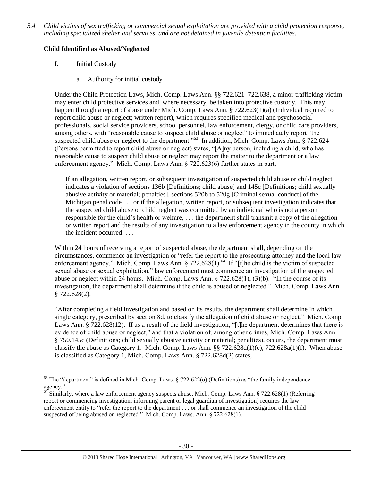*5.4 Child victims of sex trafficking or commercial sexual exploitation are provided with a child protection response, including specialized shelter and services, and are not detained in juvenile detention facilities.*

# **Child Identified as Abused/Neglected**

I. Initial Custody

 $\overline{\phantom{a}}$ 

a. Authority for initial custody

Under the Child Protection Laws, Mich. Comp. Laws Ann. §§ 722.621–722.638, a minor trafficking victim may enter child protective services and, where necessary, be taken into protective custody. This may happen through a report of abuse under Mich. Comp. Laws Ann. § 722.623(1)(a) (Individual required to report child abuse or neglect; written report), which requires specified medical and psychosocial professionals, social service providers, school personnel, law enforcement, clergy, or child care providers, among others, with "reasonable cause to suspect child abuse or neglect" to immediately report "the suspected child abuse or neglect to the department."<sup>63</sup> In addition, Mich. Comp. Laws Ann. § 722.624 (Persons permitted to report child abuse or neglect) states, "[A]ny person, including a child, who has reasonable cause to suspect child abuse or neglect may report the matter to the department or a law enforcement agency." Mich. Comp. Laws Ann. § 722.623(6) further states in part,

If an allegation, written report, or subsequent investigation of suspected child abuse or child neglect indicates a violation of sections 136b [Definitions; child abuse] and 145c [Definitions; child sexually abusive activity or material; penalties], sections 520b to 520g [Criminal sexual conduct] of the Michigan penal code . . . or if the allegation, written report, or subsequent investigation indicates that the suspected child abuse or child neglect was committed by an individual who is not a person responsible for the child's health or welfare, . . . the department shall transmit a copy of the allegation or written report and the results of any investigation to a law enforcement agency in the county in which the incident occurred. . . .

Within 24 hours of receiving a report of suspected abuse, the department shall, depending on the circumstances, commence an investigation or "refer the report to the prosecuting attorney and the local law enforcement agency." Mich. Comp. Laws Ann. § 722.628(1).<sup>64</sup> If "[t]he child is the victim of suspected sexual abuse or sexual exploitation," law enforcement must commence an investigation of the suspected abuse or neglect within 24 hours. Mich. Comp. Laws Ann. § 722.628(1), (3)(b). "In the course of its investigation, the department shall determine if the child is abused or neglected." Mich. Comp. Laws Ann. § 722.628(2).

"After completing a field investigation and based on its results, the department shall determine in which single category, prescribed by section 8d, to classify the allegation of child abuse or neglect." Mich. Comp. Laws Ann. § 722.628(12). If as a result of the field investigation, "[t]he department determines that there is evidence of child abuse or neglect," and that a violation of, among other crimes, Mich. Comp. Laws Ann. § 750.145c (Definitions; child sexually abusive activity or material; penalties), occurs, the department must classify the abuse as Category 1. Mich. Comp. Laws Ann. §§ 722.628d(1)(e), 722.628a(1)(f). When abuse is classified as Category 1, Mich. Comp. Laws Ann. § 722.628d(2) states,

 $^{63}$  The "department" is defined in Mich. Comp. Laws.  $\S$  722.622(o) (Definitions) as "the family independence agency."

<sup>64</sup> Similarly, where a law enforcement agency suspects abuse, Mich. Comp. Laws Ann. § 722.628(1) (Referring report or commencing investigation; informing parent or legal guardian of investigation) requires the law enforcement entity to "refer the report to the department . . . or shall commence an investigation of the child suspected of being abused or neglected." Mich. Comp. Laws. Ann. § 722.628(1).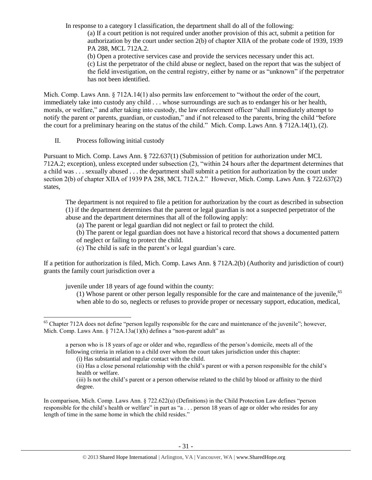In response to a category I classification, the department shall do all of the following:

(a) If a court petition is not required under another provision of this act, submit a petition for authorization by the court under section 2(b) of chapter XIIA of the probate code of 1939, 1939 PA 288, MCL 712A.2.

(b) Open a protective services case and provide the services necessary under this act.

(c) List the perpetrator of the child abuse or neglect, based on the report that was the subject of the field investigation, on the central registry, either by name or as "unknown" if the perpetrator has not been identified.

Mich. Comp. Laws Ann. § 712A.14(1) also permits law enforcement to "without the order of the court, immediately take into custody any child . . . whose surroundings are such as to endanger his or her health, morals, or welfare," and after taking into custody, the law enforcement officer "shall immediately attempt to notify the parent or parents, guardian, or custodian," and if not released to the parents, bring the child "before the court for a preliminary hearing on the status of the child." Mich. Comp. Laws Ann. § 712A.14(1), (2).

II. Process following initial custody

 $\overline{\phantom{a}}$ 

Pursuant to Mich. Comp. Laws Ann. § 722.637(1) (Submission of petition for authorization under MCL 712A.2; exception), unless excepted under subsection (2), "within 24 hours after the department determines that a child was . . . sexually abused . . . the department shall submit a petition for authorization by the court under section 2(b) of chapter XIIA of 1939 PA 288, MCL 712A.2." However, Mich. Comp. Laws Ann. § 722.637(2) states,

The department is not required to file a petition for authorization by the court as described in subsection (1) if the department determines that the parent or legal guardian is not a suspected perpetrator of the abuse and the department determines that all of the following apply:

(a) The parent or legal guardian did not neglect or fail to protect the child.

(b) The parent or legal guardian does not have a historical record that shows a documented pattern

of neglect or failing to protect the child.

(c) The child is safe in the parent's or legal guardian's care.

If a petition for authorization is filed, Mich. Comp. Laws Ann. § 712A.2(b) (Authority and jurisdiction of court) grants the family court jurisdiction over a

juvenile under 18 years of age found within the county:

(1) Whose parent or other person legally responsible for the care and maintenance of the juvenile,  $65$ when able to do so, neglects or refuses to provide proper or necessary support, education, medical,

In comparison, Mich. Comp. Laws Ann. § 722.622(u) (Definitions) in the Child Protection Law defines "person responsible for the child's health or welfare" in part as "a . . . person 18 years of age or older who resides for any length of time in the same home in which the child resides."

 $65$  Chapter 712A does not define "person legally responsible for the care and maintenance of the juvenile"; however, Mich. Comp. Laws Ann. § 712A.13a(1)(h) defines a "non-parent adult" as

a person who is 18 years of age or older and who, regardless of the person's domicile, meets all of the following criteria in relation to a child over whom the court takes jurisdiction under this chapter:

<sup>(</sup>i) Has substantial and regular contact with the child.

<sup>(</sup>ii) Has a close personal relationship with the child's parent or with a person responsible for the child's health or welfare.

<sup>(</sup>iii) Is not the child's parent or a person otherwise related to the child by blood or affinity to the third degree.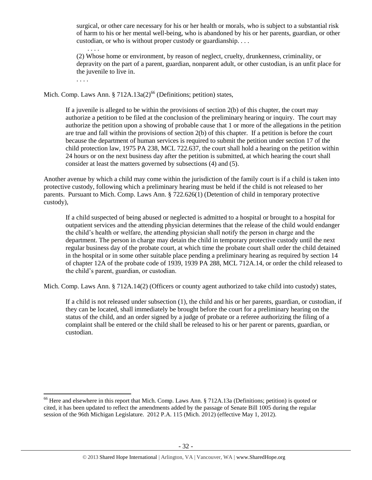surgical, or other care necessary for his or her health or morals, who is subject to a substantial risk of harm to his or her mental well-being, who is abandoned by his or her parents, guardian, or other custodian, or who is without proper custody or guardianship. . . .

. . . . (2) Whose home or environment, by reason of neglect, cruelty, drunkenness, criminality, or depravity on the part of a parent, guardian, nonparent adult, or other custodian, is an unfit place for the juvenile to live in.

. . . .

 $\overline{\phantom{a}}$ 

Mich. Comp. Laws Ann. § 712A.13a( $2$ )<sup>66</sup> (Definitions; petition) states,

If a juvenile is alleged to be within the provisions of section 2(b) of this chapter, the court may authorize a petition to be filed at the conclusion of the preliminary hearing or inquiry. The court may authorize the petition upon a showing of probable cause that 1 or more of the allegations in the petition are true and fall within the provisions of section 2(b) of this chapter. If a petition is before the court because the department of human services is required to submit the petition under section 17 of the child protection law, 1975 PA 238, MCL 722.637, the court shall hold a hearing on the petition within 24 hours or on the next business day after the petition is submitted, at which hearing the court shall consider at least the matters governed by subsections (4) and (5).

Another avenue by which a child may come within the jurisdiction of the family court is if a child is taken into protective custody, following which a preliminary hearing must be held if the child is not released to her parents. Pursuant to Mich. Comp. Laws Ann. § 722.626(1) (Detention of child in temporary protective custody),

If a child suspected of being abused or neglected is admitted to a hospital or brought to a hospital for outpatient services and the attending physician determines that the release of the child would endanger the child's health or welfare, the attending physician shall notify the person in charge and the department. The person in charge may detain the child in temporary protective custody until the next regular business day of the probate court, at which time the probate court shall order the child detained in the hospital or in some other suitable place pending a preliminary hearing as required by section 14 of chapter 12A of the probate code of 1939, 1939 PA 288, MCL 712A.14, or order the child released to the child's parent, guardian, or custodian.

Mich. Comp. Laws Ann. § 712A.14(2) (Officers or county agent authorized to take child into custody) states,

If a child is not released under subsection (1), the child and his or her parents, guardian, or custodian, if they can be located, shall immediately be brought before the court for a preliminary hearing on the status of the child, and an order signed by a judge of probate or a referee authorizing the filing of a complaint shall be entered or the child shall be released to his or her parent or parents, guardian, or custodian.

 $66$  Here and elsewhere in this report that Mich. Comp. Laws Ann. § 712A.13a (Definitions; petition) is quoted or cited, it has been updated to reflect the amendments added by the passage of Senate Bill 1005 during the regular session of the 96th Michigan Legislature. 2012 P.A. 115 (Mich. 2012) (effective May 1, 2012).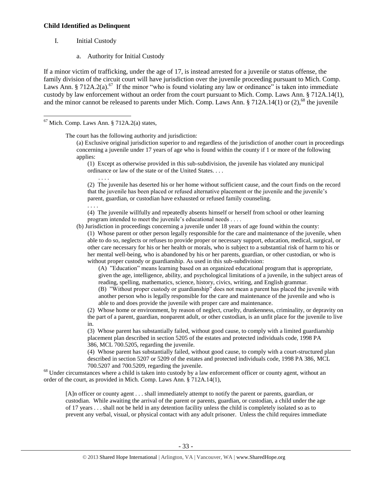#### **Child Identified as Delinquent**

I. Initial Custody

 $\overline{\phantom{a}}$ 

a. Authority for Initial Custody

If a minor victim of trafficking, under the age of 17, is instead arrested for a juvenile or status offense, the family division of the circuit court will have jurisdiction over the juvenile proceeding pursuant to Mich. Comp. Laws Ann. § 712A.2(a).<sup>67</sup> If the minor "who is found violating any law or ordinance" is taken into immediate custody by law enforcement without an order from the court pursuant to Mich. Comp. Laws Ann. § 712A.14(1), and the minor cannot be released to parents under Mich. Comp. Laws Ann.  $\S 712A.14(1)$  or (2),<sup>68</sup> the juvenile

 $67$  Mich. Comp. Laws Ann. § 712A.2(a) states,

. . . .

The court has the following authority and jurisdiction:

(a) Exclusive original jurisdiction superior to and regardless of the jurisdiction of another court in proceedings concerning a juvenile under 17 years of age who is found within the county if 1 or more of the following applies:

(1) Except as otherwise provided in this sub-subdivision, the juvenile has violated any municipal ordinance or law of the state or of the United States. . . .

(2) The juvenile has deserted his or her home without sufficient cause, and the court finds on the record that the juvenile has been placed or refused alternative placement or the juvenile and the juvenile's parent, guardian, or custodian have exhausted or refused family counseling.

. . . . (4) The juvenile willfully and repeatedly absents himself or herself from school or other learning program intended to meet the juvenile's educational needs . . . .

(b) Jurisdiction in proceedings concerning a juvenile under 18 years of age found within the county:

(1) Whose parent or other person legally responsible for the care and maintenance of the juvenile, when able to do so, neglects or refuses to provide proper or necessary support, education, medical, surgical, or other care necessary for his or her health or morals, who is subject to a substantial risk of harm to his or her mental well-being, who is abandoned by his or her parents, guardian, or other custodian, or who is without proper custody or guardianship. As used in this sub-subdivision:

(A) "Education" means learning based on an organized educational program that is appropriate, given the age, intelligence, ability, and psychological limitations of a juvenile, in the subject areas of reading, spelling, mathematics, science, history, civics, writing, and English grammar.

(B) "Without proper custody or guardianship" does not mean a parent has placed the juvenile with another person who is legally responsible for the care and maintenance of the juvenile and who is able to and does provide the juvenile with proper care and maintenance.

(2) Whose home or environment, by reason of neglect, cruelty, drunkenness, criminality, or depravity on the part of a parent, guardian, nonparent adult, or other custodian, is an unfit place for the juvenile to live in.

(3) Whose parent has substantially failed, without good cause, to comply with a limited guardianship placement plan described in section 5205 of the estates and protected individuals code, 1998 PA 386, MCL 700.5205, regarding the juvenile.

(4) Whose parent has substantially failed, without good cause, to comply with a court-structured plan described in section 5207 or 5209 of the estates and protected individuals code, 1998 PA 386, MCL 700.5207 and 700.5209, regarding the juvenile.

<sup>68</sup> Under circumstances where a child is taken into custody by a law enforcement officer or county agent, without an order of the court, as provided in Mich. Comp. Laws Ann. § 712A.14(1),

[A]n officer or county agent . . . shall immediately attempt to notify the parent or parents, guardian, or custodian. While awaiting the arrival of the parent or parents, guardian, or custodian, a child under the age of 17 years . . . shall not be held in any detention facility unless the child is completely isolated so as to prevent any verbal, visual, or physical contact with any adult prisoner. Unless the child requires immediate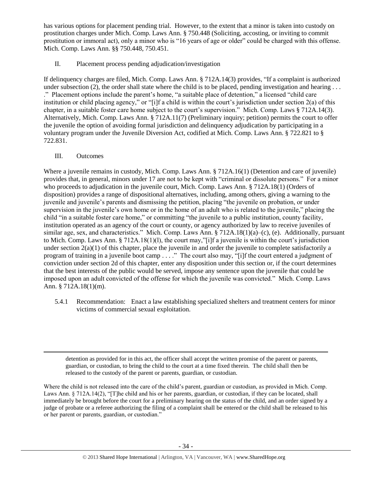has various options for placement pending trial. However, to the extent that a minor is taken into custody on prostitution charges under Mich. Comp. Laws Ann. § 750.448 (Soliciting, accosting, or inviting to commit prostitution or immoral act), only a minor who is "16 years of age or older" could be charged with this offense. Mich. Comp. Laws Ann. §§ 750.448, 750.451.

II. Placement process pending adjudication/investigation

If delinquency charges are filed, Mich. Comp. Laws Ann. § 712A.14(3) provides, "If a complaint is authorized under subsection (2), the order shall state where the child is to be placed, pending investigation and hearing ... ." Placement options include the parent's home, "a suitable place of detention," a licensed "child care institution or child placing agency," or "[i]f a child is within the court's jurisdiction under section 2(a) of this chapter, in a suitable foster care home subject to the court's supervision." Mich. Comp. Laws § 712A.14(3). Alternatively, Mich. Comp. Laws Ann. § 712A.11(7) (Preliminary inquiry; petition) permits the court to offer the juvenile the option of avoiding formal jurisdiction and delinquency adjudication by participating in a voluntary program under the Juvenile Diversion Act, codified at Mich. Comp. Laws Ann. § 722.821 to § 722.831.

III. Outcomes

 $\overline{\phantom{a}}$ 

Where a juvenile remains in custody, Mich. Comp. Laws Ann. § 712A.16(1) (Detention and care of juvenile) provides that, in general, minors under 17 are not to be kept with "criminal or dissolute persons." For a minor who proceeds to adjudication in the juvenile court, Mich. Comp. Laws Ann. § 712A.18(1) (Orders of disposition) provides a range of dispositional alternatives, including, among others, giving a warning to the juvenile and juvenile's parents and dismissing the petition, placing "the juvenile on probation, or under supervision in the juvenile's own home or in the home of an adult who is related to the juvenile," placing the child "in a suitable foster care home," or committing "the juvenile to a public institution, county facility, institution operated as an agency of the court or county, or agency authorized by law to receive juveniles of similar age, sex, and characteristics." Mich. Comp. Laws Ann. § 712A.18(1)(a)–(c), (e). Additionally, pursuant to Mich. Comp. Laws Ann. § 712A.18(1)(l), the court may,"[i]f a juvenile is within the court's jurisdiction under section  $2(a)(1)$  of this chapter, place the juvenile in and order the juvenile to complete satisfactorily a program of training in a juvenile boot camp . . . ." The court also may, "[i]f the court entered a judgment of conviction under section 2d of this chapter, enter any disposition under this section or, if the court determines that the best interests of the public would be served, impose any sentence upon the juvenile that could be imposed upon an adult convicted of the offense for which the juvenile was convicted." Mich. Comp. Laws Ann. § 712A.18(1)(m).

5.4.1 Recommendation: Enact a law establishing specialized shelters and treatment centers for minor victims of commercial sexual exploitation.

detention as provided for in this act, the officer shall accept the written promise of the parent or parents, guardian, or custodian, to bring the child to the court at a time fixed therein. The child shall then be released to the custody of the parent or parents, guardian, or custodian.

Where the child is not released into the care of the child's parent, guardian or custodian, as provided in Mich. Comp. Laws Ann. § 712A.14(2), "[T]he child and his or her parents, guardian, or custodian, if they can be located, shall immediately be brought before the court for a preliminary hearing on the status of the child, and an order signed by a judge of probate or a referee authorizing the filing of a complaint shall be entered or the child shall be released to his or her parent or parents, guardian, or custodian."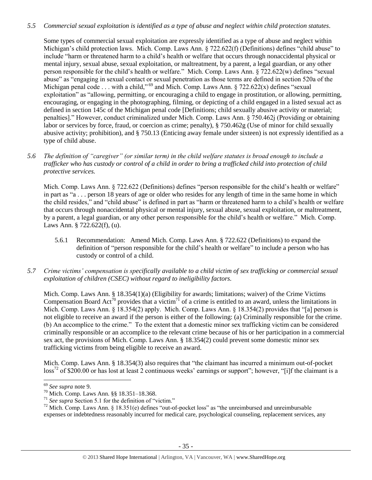# *5.5 Commercial sexual exploitation is identified as a type of abuse and neglect within child protection statutes.*

Some types of commercial sexual exploitation are expressly identified as a type of abuse and neglect within Michigan's child protection laws. Mich. Comp. Laws Ann. § 722.622(f) (Definitions) defines "child abuse" to include "harm or threatened harm to a child's health or welfare that occurs through nonaccidental physical or mental injury, sexual abuse, sexual exploitation, or maltreatment, by a parent, a legal guardian, or any other person responsible for the child's health or welfare." Mich. Comp. Laws Ann. § 722.622(w) defines "sexual abuse" as "engaging in sexual contact or sexual penetration as those terms are defined in section 520a of the Michigan penal code . . . with a child,"<sup>69</sup> and Mich. Comp. Laws Ann. § 722.622(x) defines "sexual exploitation" as "allowing, permitting, or encouraging a child to engage in prostitution, or allowing, permitting, encouraging, or engaging in the photographing, filming, or depicting of a child engaged in a listed sexual act as defined in section 145c of the Michigan penal code [Definitions; child sexually abusive activity or material; penalties]." However, conduct criminalized under Mich. Comp. Laws Ann. § 750.462j (Providing or obtaining labor or services by force, fraud, or coercion as crime; penalty), § 750.462g (Use of minor for child sexually abusive activity; prohibition), and § 750.13 (Enticing away female under sixteen) is not expressly identified as a type of child abuse.

*5.6 The definition of "caregiver" (or similar term) in the child welfare statutes is broad enough to include a trafficker who has custody or control of a child in order to bring a trafficked child into protection of child protective services.*

Mich. Comp. Laws Ann. § 722.622 (Definitions) defines "person responsible for the child's health or welfare" in part as "a . . . person 18 years of age or older who resides for any length of time in the same home in which the child resides," and "child abuse" is defined in part as "harm or threatened harm to a child's health or welfare that occurs through nonaccidental physical or mental injury, sexual abuse, sexual exploitation, or maltreatment, by a parent, a legal guardian, or any other person responsible for the child's health or welfare." Mich. Comp. Laws Ann. § 722.622(f), (u).

- 5.6.1 Recommendation: Amend Mich. Comp. Laws Ann. § 722.622 (Definitions) to expand the definition of "person responsible for the child's health or welfare" to include a person who has custody or control of a child.
- *5.7 Crime victims' compensation is specifically available to a child victim of sex trafficking or commercial sexual exploitation of children (CSEC) without regard to ineligibility factors.*

Mich. Comp. Laws Ann. § 18.354(1)(a) (Eligibility for awards; limitations; waiver) of the Crime Victims Compensation Board Act<sup>70</sup> provides that a victim<sup>71</sup> of a crime is entitled to an award, unless the limitations in Mich. Comp. Laws Ann. § 18.354(2) apply. Mich. Comp. Laws Ann. § 18.354(2) provides that "[a] person is not eligible to receive an award if the person is either of the following: (a) Criminally responsible for the crime. (b) An accomplice to the crime." To the extent that a domestic minor sex trafficking victim can be considered criminally responsible or an accomplice to the relevant crime because of his or her participation in a commercial sex act, the provisions of Mich. Comp. Laws Ann. § 18.354(2) could prevent some domestic minor sex trafficking victims from being eligible to receive an award.

Mich. Comp. Laws Ann. § 18.354(3) also requires that "the claimant has incurred a minimum out-of-pocket  $\cos^{72}$  of \$200.00 or has lost at least 2 continuous weeks' earnings or support"; however, "[i]f the claimant is a

l

<sup>69</sup> *See supra* note [9.](#page-2-0)

<sup>70</sup> Mich. Comp. Laws Ann. §§ 18.351–18.368.

<sup>71</sup> *See supra* Section 5.1 for the definition of "victim."

 $72$  Mich. Comp. Laws Ann. § 18.351(e) defines "out-of-pocket loss" as "the unreimbursed and unreimbursable expenses or indebtedness reasonably incurred for medical care, psychological counseling, replacement services, any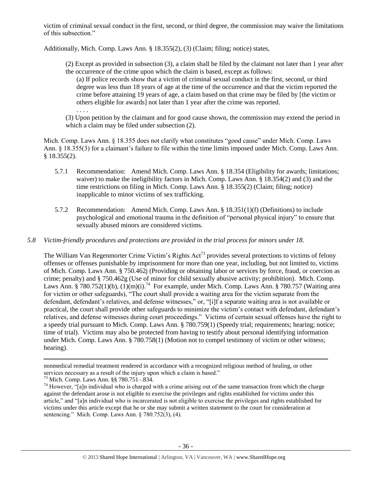victim of criminal sexual conduct in the first, second, or third degree, the commission may waive the limitations of this subsection."

Additionally, Mich. Comp. Laws Ann. § 18.355(2), (3) (Claim; filing; notice) states,

(2) Except as provided in subsection (3), a claim shall be filed by the claimant not later than 1 year after the occurrence of the crime upon which the claim is based, except as follows:

(a) If police records show that a victim of criminal sexual conduct in the first, second, or third degree was less than 18 years of age at the time of the occurrence and that the victim reported the crime before attaining 19 years of age, a claim based on that crime may be filed by [the victim or others eligible for awards] not later than 1 year after the crime was reported. . . . .

(3) Upon petition by the claimant and for good cause shown, the commission may extend the period in which a claim may be filed under subsection (2).

Mich. Comp. Laws Ann. § 18.355 does not clarify what constitutes "good cause" under Mich. Comp. Laws Ann. § 18.355(3) for a claimant's failure to file within the time limits imposed under Mich. Comp. Laws Ann. § 18.355(2).

- 5.7.1 Recommendation: Amend Mich. Comp. Laws Ann. § 18.354 (Eligibility for awards; limitations; waiver) to make the ineligibility factors in Mich. Comp. Laws Ann. § 18.354(2) and (3) and the time restrictions on filing in Mich. Comp. Laws Ann. § 18.355(2) (Claim; filing; notice) inapplicable to minor victims of sex trafficking.
- 5.7.2 Recommendation: Amend Mich. Comp. Laws Ann. § 18.351(1)(f) (Definitions) to include psychological and emotional trauma in the definition of "personal physical injury" to ensure that sexually abused minors are considered victims.

# *5.8 Victim-friendly procedures and protections are provided in the trial process for minors under 18.*

The William Van Regenmorter Crime Victim's Rights  $Act^{73}$  provides several protections to victims of felony offenses or offenses punishable by imprisonment for more than one year, including, but not limited to, victims of Mich. Comp. Laws Ann. § 750.462j (Providing or obtaining labor or services by force, fraud, or coercion as crime; penalty) and § 750.462g (Use of minor for child sexually abusive activity; prohibition). Mich. Comp. Laws Ann. § 780.752(1)(b),  $(1)(m)(i)$ .<sup>74</sup> For example, under Mich. Comp. Laws Ann. § 780.757 (Waiting area for victim or other safeguards), "The court shall provide a waiting area for the victim separate from the defendant, defendant's relatives, and defense witnesses," or, "[i]f a separate waiting area is not available or practical, the court shall provide other safeguards to minimize the victim's contact with defendant, defendant's relatives, and defense witnesses during court proceedings." Victims of certain sexual offenses have the right to a speedy trial pursuant to Mich. Comp. Laws Ann. § 780.759(1) (Speedy trial; requirements; hearing; notice; time of trial). Victims may also be protected from having to testify about personal identifying information under Mich. Comp. Laws Ann. § 780.758(1) (Motion not to compel testimony of victim or other witness; hearing).

 $\overline{\phantom{a}}$ 

nonmedical remedial treatment rendered in accordance with a recognized religious method of healing, or other services necessary as a result of the injury upon which a claim is based."

<sup>73</sup> Mich. Comp. Laws Ann. §§ 780.751–.834.

 $74$  However, "[a]n individual who is charged with a crime arising out of the same transaction from which the charge against the defendant arose is not eligible to exercise the privileges and rights established for victims under this article," and "[a]n individual who is incarcerated is not eligible to exercise the privileges and rights established for victims under this article except that he or she may submit a written statement to the court for consideration at sentencing." Mich. Comp. Laws Ann. § 780.752(3), (4).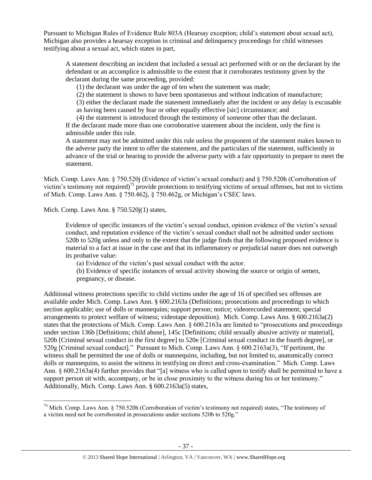Pursuant to Michigan Rules of Evidence Rule 803A (Hearsay exception; child's statement about sexual act), Michigan also provides a hearsay exception in criminal and delinquency proceedings for child witnesses testifying about a sexual act, which states in part,

A statement describing an incident that included a sexual act performed with or on the declarant by the defendant or an accomplice is admissible to the extent that it corroborates testimony given by the declarant during the same proceeding, provided:

(1) the declarant was under the age of ten when the statement was made;

(2) the statement is shown to have been spontaneous and without indication of manufacture;

(3) either the declarant made the statement immediately after the incident or any delay is excusable

as having been caused by fear or other equally effective [sic] circumstance; and

(4) the statement is introduced through the testimony of someone other than the declarant.

If the declarant made more than one corroborative statement about the incident, only the first is admissible under this rule.

A statement may not be admitted under this rule unless the proponent of the statement makes known to the adverse party the intent to offer the statement, and the particulars of the statement, sufficiently in advance of the trial or hearing to provide the adverse party with a fair opportunity to prepare to meet the statement.

Mich. Comp. Laws Ann. § 750.520j (Evidence of victim's sexual conduct) and § 750.520h (Corroboration of victim's testimony not required)<sup>75</sup> provide protections to testifying victims of sexual offenses, but not to victims of Mich. Comp. Laws Ann. § 750.462j, § 750.462g, or Michigan's CSEC laws.

Mich. Comp. Laws Ann. § 750.520j(1) states,

 $\overline{\phantom{a}}$ 

Evidence of specific instances of the victim's sexual conduct, opinion evidence of the victim's sexual conduct, and reputation evidence of the victim's sexual conduct shall not be admitted under sections 520b to 520g unless and only to the extent that the judge finds that the following proposed evidence is material to a fact at issue in the case and that its inflammatory or prejudicial nature does not outweigh its probative value:

(a) Evidence of the victim's past sexual conduct with the actor.

(b) Evidence of specific instances of sexual activity showing the source or origin of semen, pregnancy, or disease.

Additional witness protections specific to child victims under the age of 16 of specified sex offenses are available under Mich. Comp. Laws Ann. § 600.2163a (Definitions; prosecutions and proceedings to which section applicable; use of dolls or mannequins; support person; notice; videorecorded statement; special arrangements to protect welfare of witness; videotape deposition). Mich. Comp. Laws Ann. § 600.2163a(2) states that the protections of Mich. Comp. Laws Ann. § 600.2163a are limited to "prosecutions and proceedings under section 136b [Definitions; child abuse], 145c [Definitions; child sexually abusive activity or material], 520b [Criminal sexual conduct in the first degree] to 520e [Criminal sexual conduct in the fourth degree], or 520g [Criminal sexual conduct]." Pursuant to Mich. Comp. Laws Ann. § 600.2163a(3), "If pertinent, the witness shall be permitted the use of dolls or mannequins, including, but not limited to, anatomically correct dolls or mannequins, to assist the witness in testifying on direct and cross-examination." Mich. Comp. Laws Ann. § 600.2163a(4) further provides that "[a] witness who is called upon to testify shall be permitted to have a support person sit with, accompany, or be in close proximity to the witness during his or her testimony." Additionally, Mich. Comp. Laws Ann. § 600.2163a(5) states,

<sup>&</sup>lt;sup>75</sup> Mich. Comp. Laws Ann. § 750.520h (Corroboration of victim's testimony not required) states, "The testimony of a victim need not be corroborated in prosecutions under sections 520b to 520g."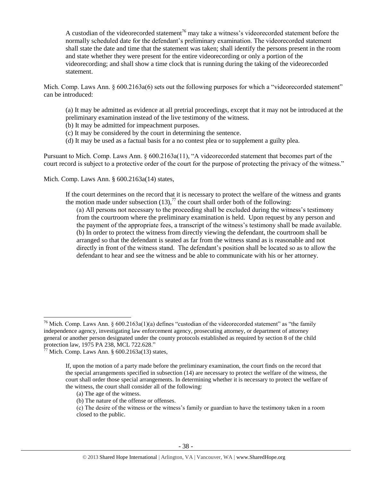A custodian of the videorecorded statement<sup>76</sup> may take a witness's videorecorded statement before the normally scheduled date for the defendant's preliminary examination. The videorecorded statement shall state the date and time that the statement was taken; shall identify the persons present in the room and state whether they were present for the entire videorecording or only a portion of the videorecording; and shall show a time clock that is running during the taking of the videorecorded statement.

Mich. Comp. Laws Ann. § 600.2163a(6) sets out the following purposes for which a "videorecorded statement" can be introduced:

(a) It may be admitted as evidence at all pretrial proceedings, except that it may not be introduced at the preliminary examination instead of the live testimony of the witness.

(b) It may be admitted for impeachment purposes.

- (c) It may be considered by the court in determining the sentence.
- (d) It may be used as a factual basis for a no contest plea or to supplement a guilty plea.

Pursuant to Mich. Comp. Laws Ann. § 600.2163a(11), "A videorecorded statement that becomes part of the court record is subject to a protective order of the court for the purpose of protecting the privacy of the witness."

Mich. Comp. Laws Ann. § 600.2163a(14) states,

If the court determines on the record that it is necessary to protect the welfare of the witness and grants the motion made under subsection  $(13)$ ,<sup>77</sup> the court shall order both of the following:

(a) All persons not necessary to the proceeding shall be excluded during the witness's testimony from the courtroom where the preliminary examination is held. Upon request by any person and the payment of the appropriate fees, a transcript of the witness's testimony shall be made available. (b) In order to protect the witness from directly viewing the defendant, the courtroom shall be arranged so that the defendant is seated as far from the witness stand as is reasonable and not directly in front of the witness stand. The defendant's position shall be located so as to allow the defendant to hear and see the witness and be able to communicate with his or her attorney.

 $\overline{\phantom{a}}$ 

<sup>&</sup>lt;sup>76</sup> Mich. Comp. Laws Ann. §  $600.2163a(1)(a)$  defines "custodian of the videorecorded statement" as "the family independence agency, investigating law enforcement agency, prosecuting attorney, or department of attorney general or another person designated under the county protocols established as required by section 8 of the child protection law, 1975 PA 238, [MCL 722.628.](https://www.lexis.com/research/buttonTFLink?_m=667b361992caab280f00d1e1265c8d77&_xfercite=%3ccite%20cc%3d%22USA%22%3e%3c%21%5bCDATA%5bMCLS%20%a7%20600.2163a%5d%5d%3e%3c%2fcite%3e&_butType=4&_butStat=0&_butNum=3&_butInline=1&_butinfo=MICODE%20722.628&_fmtstr=FULL&docnum=1&_startdoc=1&wchp=dGLbVzt-zSkAA&_md5=60270760332353995386710bada62b4a)"

 $77$  Mich. Comp. Laws Ann. § 600.2163a(13) states,

If, upon the motion of a party made before the preliminary examination, the court finds on the record that the special arrangements specified in subsection (14) are necessary to protect the welfare of the witness, the court shall order those special arrangements. In determining whether it is necessary to protect the welfare of the witness, the court shall consider all of the following:

<sup>(</sup>a) The age of the witness.

<sup>(</sup>b) The nature of the offense or offenses.

<sup>(</sup>c) The desire of the witness or the witness's family or guardian to have the testimony taken in a room closed to the public.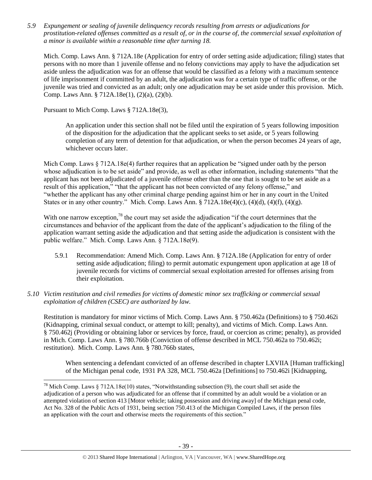*5.9 Expungement or sealing of juvenile delinquency records resulting from arrests or adjudications for prostitution-related offenses committed as a result of, or in the course of, the commercial sexual exploitation of a minor is available within a reasonable time after turning 18.*

Mich. Comp. Laws Ann. § 712A.18e (Application for entry of order setting aside adjudication; filing) states that persons with no more than 1 juvenile offense and no felony convictions may apply to have the adjudication set aside unless the adjudication was for an offense that would be classified as a felony with a maximum sentence of life imprisonment if committed by an adult, the adjudication was for a certain type of traffic offense, or the juvenile was tried and convicted as an adult; only one adjudication may be set aside under this provision. Mich. Comp. Laws Ann. § 712A.18e(1), (2)(a), (2)(b).

Pursuant to Mich Comp. Laws § 712A.18e(3),

l

An application under this section shall not be filed until the expiration of 5 years following imposition of the disposition for the adjudication that the applicant seeks to set aside, or 5 years following completion of any term of detention for that adjudication, or when the person becomes 24 years of age, whichever occurs later.

Mich Comp. Laws  $\S 712A.18e(4)$  further requires that an application be "signed under oath by the person whose adjudication is to be set aside" and provide, as well as other information, including statements "that the applicant has not been adjudicated of a juvenile offense other than the one that is sought to be set aside as a result of this application," "that the applicant has not been convicted of any felony offense," and "whether the applicant has any other criminal charge pending against him or her in any court in the United States or in any other country." Mich. Comp. Laws Ann.  $\S 712A.18e(4)(c)$ ,  $(4)(d)$ ,  $(4)(f)$ ,  $(4)(g)$ .

With one narrow exception,<sup>78</sup> the court may set aside the adjudication "if the court determines that the circumstances and behavior of the applicant from the date of the applicant's adjudication to the filing of the application warrant setting aside the adjudication and that setting aside the adjudication is consistent with the public welfare." Mich. Comp. Laws Ann. § 712A.18e(9).

- 5.9.1 Recommendation: Amend Mich. Comp. Laws Ann. § 712A.18e (Application for entry of order setting aside adjudication; filing) to permit automatic expungement upon application at age 18 of juvenile records for victims of commercial sexual exploitation arrested for offenses arising from their exploitation.
- *5.10 Victim restitution and civil remedies for victims of domestic minor sex trafficking or commercial sexual exploitation of children (CSEC) are authorized by law.*

Restitution is mandatory for minor victims of Mich. Comp. Laws Ann. § 750.462a (Definitions) to § 750.462i (Kidnapping, criminal sexual conduct, or attempt to kill; penalty), and victims of Mich. Comp. Laws Ann. § 750.462j (Providing or obtaining labor or services by force, fraud, or coercion as crime; penalty), as provided in Mich. Comp. Laws Ann. § 780.766b (Conviction of offense described in MCL 750.462a to 750.462i; restitution). Mich. Comp. Laws Ann. § 780.766b states,

When sentencing a defendant convicted of an offense described in chapter LXVIIA [Human trafficking] of the Michigan penal code, 1931 PA 328, MCL 750.462a [Definitions] to 750.462i [Kidnapping,

<sup>&</sup>lt;sup>78</sup> Mich Comp. Laws § 712A.18e(10) states, "Notwithstanding subsection (9), the court shall set aside the adjudication of a person who was adjudicated for an offense that if committed by an adult would be a violation or an attempted violation of section 413 [Motor vehicle; taking possession and driving away] of the Michigan penal code, Act No. 328 of the Public Acts of 1931, being section 750.413 of the Michigan Compiled Laws, if the person files an application with the court and otherwise meets the requirements of this section."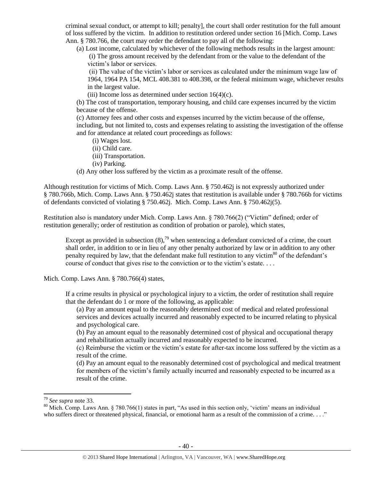criminal sexual conduct, or attempt to kill; penalty], the court shall order restitution for the full amount of loss suffered by the victim. In addition to restitution ordered under section 16 [Mich. Comp. Laws Ann. § 780.766, the court may order the defendant to pay all of the following:

(a) Lost income, calculated by whichever of the following methods results in the largest amount: (i) The gross amount received by the defendant from or the value to the defendant of the victim's labor or services.

(ii) The value of the victim's labor or services as calculated under the minimum wage law of 1964, 1964 PA 154, MCL 408.381 to 408.398, or the federal minimum wage, whichever results in the largest value.

(iii) Income loss as determined under section  $16(4)(c)$ .

(b) The cost of transportation, temporary housing, and child care expenses incurred by the victim because of the offense.

(c) Attorney fees and other costs and expenses incurred by the victim because of the offense, including, but not limited to, costs and expenses relating to assisting the investigation of the offense and for attendance at related court proceedings as follows:

- (i) Wages lost.
- (ii) Child care.
- (iii) Transportation.
- (iv) Parking.

(d) Any other loss suffered by the victim as a proximate result of the offense.

Although restitution for victims of Mich. Comp. Laws Ann. § 750.462j is not expressly authorized under § 780.766b, Mich. Comp. Laws Ann. § 750.462j states that restitution is available under § 780.766b for victims of defendants convicted of violating § 750.462j. Mich. Comp. Laws Ann. § 750.462j(5).

Restitution also is mandatory under Mich. Comp. Laws Ann. § 780.766(2) ("Victim" defined; order of restitution generally; order of restitution as condition of probation or parole), which states,

Except as provided in subsection  $(8)$ ,<sup>79</sup> when sentencing a defendant convicted of a crime, the court shall order, in addition to or in lieu of any other penalty authorized by law or in addition to any other penalty required by law, that the defendant make full restitution to any victim<sup>80</sup> of the defendant's course of conduct that gives rise to the conviction or to the victim's estate. . . .

Mich. Comp. Laws Ann. § 780.766(4) states,

If a crime results in physical or psychological injury to a victim, the order of restitution shall require that the defendant do 1 or more of the following, as applicable:

(a) Pay an amount equal to the reasonably determined cost of medical and related professional services and devices actually incurred and reasonably expected to be incurred relating to physical and psychological care.

(b) Pay an amount equal to the reasonably determined cost of physical and occupational therapy and rehabilitation actually incurred and reasonably expected to be incurred.

(c) Reimburse the victim or the victim's estate for after-tax income loss suffered by the victim as a result of the crime.

(d) Pay an amount equal to the reasonably determined cost of psychological and medical treatment for members of the victim's family actually incurred and reasonably expected to be incurred as a result of the crime.

 $\overline{\phantom{a}}$ 

<sup>79</sup> *See supra* note [33.](#page-12-0)

<sup>&</sup>lt;sup>80</sup> Mich. Comp. Laws Ann. § 780.766(1) states in part, "As used in this section only, 'victim' means an individual who suffers direct or threatened physical, financial, or emotional harm as a result of the commission of a crime. . . ."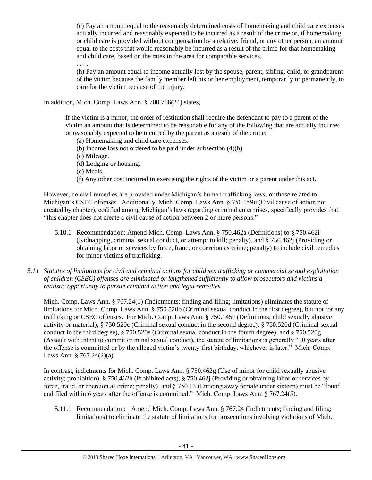(e) Pay an amount equal to the reasonably determined costs of homemaking and child care expenses actually incurred and reasonably expected to be incurred as a result of the crime or, if homemaking or child care is provided without compensation by a relative, friend, or any other person, an amount equal to the costs that would reasonably be incurred as a result of the crime for that homemaking and child care, based on the rates in the area for comparable services.

. . . .

(h) Pay an amount equal to income actually lost by the spouse, parent, sibling, child, or grandparent of the victim because the family member left his or her employment, temporarily or permanently, to care for the victim because of the injury.

In addition, Mich. Comp. Laws Ann. § 780.766(24) states,

If the victim is a minor, the order of restitution shall require the defendant to pay to a parent of the victim an amount that is determined to be reasonable for any of the following that are actually incurred or reasonably expected to be incurred by the parent as a result of the crime:

(a) Homemaking and child care expenses.

(b) Income loss not ordered to be paid under subsection (4)(h).

(c) Mileage.

(d) Lodging or housing.

(e) Meals.

(f) Any other cost incurred in exercising the rights of the victim or a parent under this act.

However, no civil remedies are provided under Michigan's human trafficking laws, or those related to Michigan's CSEC offenses. Additionally, Mich. Comp. Laws Ann. § 750.159u (Civil cause of action not created by chapter), codified among Michigan's laws regarding criminal enterprises, specifically provides that "this chapter does not create a civil cause of action between 2 or more persons."

- 5.10.1 Recommendation: Amend Mich. Comp. Laws Ann. § 750.462a (Definitions) to § 750.462i (Kidnapping, criminal sexual conduct, or attempt to kill; penalty), and § 750.462j (Providing or obtaining labor or services by force, fraud, or coercion as crime; penalty) to include civil remedies for minor victims of trafficking.
- *5.11 Statutes of limitations for civil and criminal actions for child sex trafficking or commercial sexual exploitation of children (CSEC) offenses are eliminated or lengthened sufficiently to allow prosecutors and victims a realistic opportunity to pursue criminal action and legal remedies.*

Mich. Comp. Laws Ann. § 767.24(1) (Indictments; finding and filing; limitations) eliminates the statute of limitations for Mich. Comp. Laws Ann. § 750.520b (Criminal sexual conduct in the first degree), but not for any trafficking or CSEC offenses. For Mich. Comp. Laws Ann. § 750.145c (Definitions; child sexually abusive activity or material), § 750.520c (Criminal sexual conduct in the second degree), § 750.520d (Criminal sexual conduct in the third degree), § 750.520e (Criminal sexual conduct in the fourth degree), and § 750.520g (Assault with intent to commit criminal sexual conduct), the statute of limitations is generally "10 years after the offense is committed or by the alleged victim's twenty-first birthday, whichever is later." Mich. Comp. Laws Ann.  $\frac{6}{9}$  767.24(2)(a).

In contrast, indictments for Mich. Comp. Laws Ann. § 750.462g (Use of minor for child sexually abusive activity; prohibition), § 750.462h (Prohibited acts), § 750.462j (Providing or obtaining labor or services by force, fraud, or coercion as crime; penalty), and § 750.13 (Enticing away female under sixteen) must be "found and filed within 6 years after the offense is committed." Mich. Comp. Laws Ann. § 767.24(5).

5.11.1 Recommendation: Amend Mich. Comp. Laws Ann. § 767.24 (Indictments; finding and filing; limitations) to eliminate the statute of limitations for prosecutions involving violations of Mich.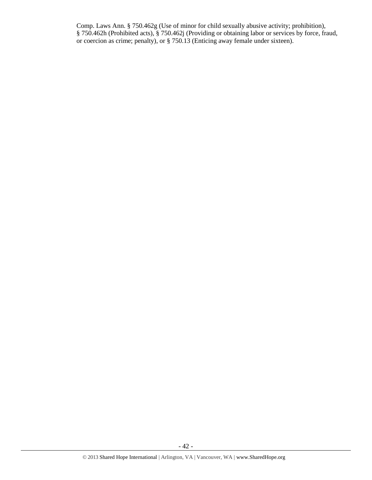Comp. Laws Ann. § 750.462g (Use of minor for child sexually abusive activity; prohibition), § 750.462h (Prohibited acts), § 750.462j (Providing or obtaining labor or services by force, fraud, or coercion as crime; penalty), or § 750.13 (Enticing away female under sixteen).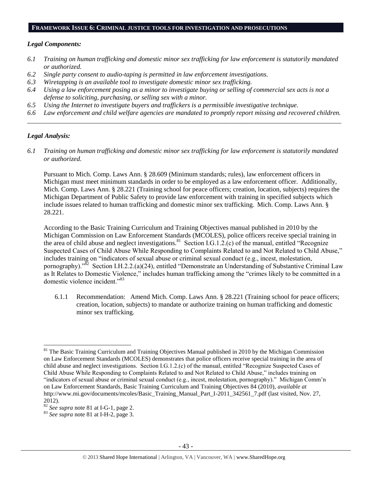#### **FRAMEWORK ISSUE 6: CRIMINAL JUSTICE TOOLS FOR INVESTIGATION AND PROSECUTIONS**

#### *Legal Components:*

- *6.1 Training on human trafficking and domestic minor sex trafficking for law enforcement is statutorily mandated or authorized.*
- *6.2 Single party consent to audio-taping is permitted in law enforcement investigations.*
- *6.3 Wiretapping is an available tool to investigate domestic minor sex trafficking.*
- *6.4 Using a law enforcement posing as a minor to investigate buying or selling of commercial sex acts is not a defense to soliciting, purchasing, or selling sex with a minor.*
- *6.5 Using the Internet to investigate buyers and traffickers is a permissible investigative technique.*
- *6.6 Law enforcement and child welfare agencies are mandated to promptly report missing and recovered children. \_\_\_\_\_\_\_\_\_\_\_\_\_\_\_\_\_\_\_\_\_\_\_\_\_\_\_\_\_\_\_\_\_\_\_\_\_\_\_\_\_\_\_\_\_\_\_\_\_\_\_\_\_\_\_\_\_\_\_\_\_\_\_\_\_\_\_\_\_\_\_\_\_\_\_\_\_\_\_\_\_\_\_\_\_\_\_\_\_\_\_\_\_\_*

#### *Legal Analysis:*

 $\overline{a}$ 

*6.1 Training on human trafficking and domestic minor sex trafficking for law enforcement is statutorily mandated or authorized.*

Pursuant to Mich. Comp. Laws Ann. § 28.609 (Minimum standards; rules), law enforcement officers in Michigan must meet minimum standards in order to be employed as a law enforcement officer. Additionally, Mich. Comp. Laws Ann. § 28.221 (Training school for peace officers; creation, location, subjects) requires the Michigan Department of Public Safety to provide law enforcement with training in specified subjects which include issues related to human trafficking and domestic minor sex trafficking. Mich. Comp. Laws Ann. § 28.221.

According to the Basic Training Curriculum and Training Objectives manual published in 2010 by the Michigan Commission on Law Enforcement Standards (MCOLES), police officers receive special training in the area of child abuse and neglect investigations.<sup>81</sup> Section I.G.1.2. $(c)$  of the manual, entitled "Recognize" Suspected Cases of Child Abuse While Responding to Complaints Related to and Not Related to Child Abuse," includes training on "indicators of sexual abuse or criminal sexual conduct (e.g., incest, molestation, pornography)."<sup>82</sup> Section I.H.2.2.(a)(24), entitled "Demonstrate an Understanding of Substantive Criminal Law as It Relates to Domestic Violence," includes human trafficking among the "crimes likely to be committed in a domestic violence incident."<sup>83</sup>

<span id="page-42-0"></span>6.1.1 Recommendation: Amend Mich. Comp. Laws Ann. § 28.221 (Training school for peace officers; creation, location, subjects) to mandate or authorize training on human trafficking and domestic minor sex trafficking.

<sup>&</sup>lt;sup>81</sup> The Basic Training Curriculum and Training Objectives Manual published in 2010 by the Michigan Commission on Law Enforcement Standards (MCOLES) demonstrates that police officers receive special training in the area of child abuse and neglect investigations. Section I.G.1.2.(c) of the manual, entitled "Recognize Suspected Cases of Child Abuse While Responding to Complaints Related to and Not Related to Child Abuse," includes training on "indicators of sexual abuse or criminal sexual conduct (e.g., incest, molestation, pornography)." Michigan Comm'n on Law Enforcement Standards, Basic Training Curriculum and Training Objectives 84 (2010), *available at* [http://www.mi.gov/documents/mcoles/Basic\\_Training\\_Manual\\_Part\\_I-2011\\_342561\\_7.pdf](http://www.mi.gov/documents/mcoles/Basic_Training_Manual_Part_I-2011_342561_7.pdf) (last visited, Nov. 27, 2012).

<sup>82</sup> *See supra* note [81](#page-42-0) at I-G-1, page 2.

<sup>83</sup> *See supra* note [81](#page-42-0) at I-H-2, page 3.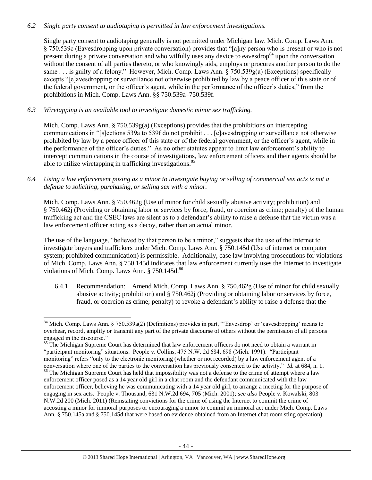## *6.2 Single party consent to audiotaping is permitted in law enforcement investigations.*

Single party consent to audiotaping generally is not permitted under Michigan law. Mich. Comp. Laws Ann. § 750.539c (Eavesdropping upon private conversation) provides that "[a]ny person who is present or who is not present during a private conversation and who wilfully uses any device to eavesdrop<sup>84</sup> upon the conversation without the consent of all parties thereto, or who knowingly aids, employs or procures another person to do the same . . . is guilty of a felony." However, Mich. Comp. Laws Ann. § 750.539g(a) (Exceptions) specifically excepts "[e]avesdropping or surveillance not otherwise prohibited by law by a peace officer of this state or of the federal government, or the officer's agent, while in the performance of the officer's duties," from the prohibitions in Mich. Comp. Laws Ann. §§ 750.539a–750.539f.

*6.3 Wiretapping is an available tool to investigate domestic minor sex trafficking.* 

 $\overline{\phantom{a}}$ 

Mich. Comp. Laws Ann. § 750.539g(a) (Exceptions) provides that the prohibitions on intercepting communications in "[s]ections 539a to 539f do not prohibit . . . [e]avesdropping or surveillance not otherwise prohibited by law by a peace officer of this state or of the federal government, or the officer's agent, while in the performance of the officer's duties." As no other statutes appear to limit law enforcement's ability to intercept communications in the course of investigations, law enforcement officers and their agents should be able to utilize wiretapping in trafficking investigations. $85$ 

*6.4 Using a law enforcement posing as a minor to investigate buying or selling of commercial sex acts is not a defense to soliciting, purchasing, or selling sex with a minor.*

Mich. Comp. Laws Ann. § 750.462g (Use of minor for child sexually abusive activity; prohibition) and § 750.462j (Providing or obtaining labor or services by force, fraud, or coercion as crime; penalty) of the human trafficking act and the CSEC laws are silent as to a defendant's ability to raise a defense that the victim was a law enforcement officer acting as a decoy, rather than an actual minor.

The use of the language, "believed by that person to be a minor," suggests that the use of the Internet to investigate buyers and traffickers under Mich. Comp. Laws Ann. § 750.145d (Use of internet or computer system; prohibited communication) is permissible. Additionally, case law involving prosecutions for violations of Mich. Comp. Laws Ann. § 750.145d indicates that law enforcement currently uses the Internet to investigate violations of Mich. Comp. Laws Ann.  $8750.145d<sup>86</sup>$ 

<span id="page-43-0"></span>6.4.1 Recommendation: Amend Mich. Comp. Laws Ann. § 750.462g (Use of minor for child sexually abusive activity; prohibition) and § 750.462j (Providing or obtaining labor or services by force, fraud, or coercion as crime; penalty) to revoke a defendant's ability to raise a defense that the

 $84$  Mich. Comp. Laws Ann. § 750.539a(2) (Definitions) provides in part, "Eavesdrop' or 'eavesdropping' means to overhear, record, amplify or transmit any part of the private discourse of others without the permission of all persons engaged in the discourse."

<sup>&</sup>lt;sup>85</sup> The Michigan Supreme Court has determined that law enforcement officers do not need to obtain a warrant in "participant monitoring" situations. People v. Collins, 475 N.W. 2d 684, 698 (Mich. 1991). "Participant monitoring" refers "only to the electronic monitoring (whether or not recorded) by a law enforcement agent of a conversation where one of the parties to the conversation has previously consented to the activity." *Id.* at 684, n. 1. <sup>86</sup> The Michigan Supreme Court has held that impossibility was not a defense to the crime of attempt where a law enforcement officer posed as a 14 year old girl in a chat room and the defendant communicated with the law enforcement officer, believing he was communicating with a 14 year old girl, to arrange a meeting for the purpose of

engaging in sex acts. People v. Thousand, 631 N.W.2d 694, 705 (Mich. 2001); *see also* People v. Kowalski, 803 N.W.2d 200 (Mich. 2011) (Reinstating convictions for the crime of using the Internet to commit the crime of accosting a minor for immoral purposes or encouraging a minor to commit an immoral act under Mich. Comp. Laws Ann. § 750.145a and § 750.145d that were based on evidence obtained from an Internet chat room sting operation).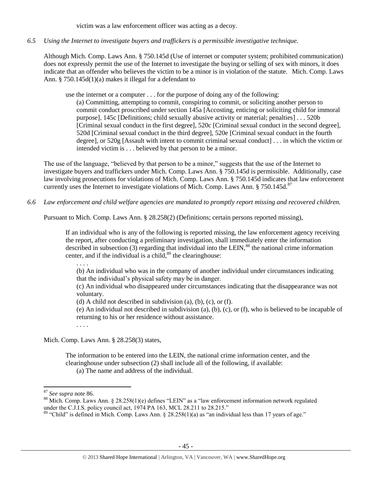victim was a law enforcement officer was acting as a decoy.

*6.5 Using the Internet to investigate buyers and traffickers is a permissible investigative technique.*

Although Mich. Comp. Laws Ann. § 750.145d (Use of internet or computer system; prohibited communication) does not expressly permit the use of the Internet to investigate the buying or selling of sex with minors, it does indicate that an offender who believes the victim to be a minor is in violation of the statute. Mich. Comp. Laws Ann. § 750.145d(1)(a) makes it illegal for a defendant to

use the internet or a computer . . . for the purpose of doing any of the following:

(a) Committing, attempting to commit, conspiring to commit, or soliciting another person to commit conduct proscribed under section 145a [Accosting, enticing or soliciting child for immoral purpose], 145c [Definitions; child sexually abusive activity or material; penalties] . . . 520b [Criminal sexual conduct in the first degree], 520c [Criminal sexual conduct in the second degree], 520d [Criminal sexual conduct in the third degree], 520e [Criminal sexual conduct in the fourth degree], or 520g [Assault with intent to commit criminal sexual conduct] . . . in which the victim or intended victim is . . . believed by that person to be a minor.

The use of the language, "believed by that person to be a minor," suggests that the use of the Internet to investigate buyers and traffickers under Mich. Comp. Laws Ann. § 750.145d is permissible. Additionally, case law involving prosecutions for violations of Mich. Comp. Laws Ann. § 750.145d indicates that law enforcement currently uses the Internet to investigate violations of Mich. Comp. Laws Ann.  $\S 750.145d.87$ 

*6.6 Law enforcement and child welfare agencies are mandated to promptly report missing and recovered children.* 

Pursuant to Mich. Comp. Laws Ann. § 28.258(2) (Definitions; certain persons reported missing),

If an individual who is any of the following is reported missing, the law enforcement agency receiving the report, after conducting a preliminary investigation, shall immediately enter the information described in subsection  $(3)$  regarding that individual into the LEIN,<sup>88</sup> the national crime information center, and if the individual is a child, $89$  the clearinghouse:

. . . .

(b) An individual who was in the company of another individual under circumstances indicating that the individual's physical safety may be in danger.

(c) An individual who disappeared under circumstances indicating that the disappearance was not voluntary.

(d) A child not described in subdivision (a), (b), (c), or (f).

(e) An individual not described in subdivision (a), (b), (c), or (f), who is believed to be incapable of returning to his or her residence without assistance.

. . . .

Mich. Comp. Laws Ann. § 28.258(3) states,

The information to be entered into the LEIN, the national crime information center, and the clearinghouse under subsection (2) shall include all of the following, if available:

(a) The name and address of the individual.

 $\overline{a}$ 

<sup>87</sup> *See supra* note [86.](#page-43-0)

<sup>&</sup>lt;sup>88</sup> Mich. Comp. Laws Ann. § 28.258(1)(e) defines "LEIN" as a "law enforcement information network regulated under the C.J.I.S. policy council act,  $1974$  PA 163, MCL 28.211 to 28.215."

<sup>&</sup>lt;sup>89</sup> "Child" is defined in Mich. Comp. Laws Ann. § 28.258(1)(a) as "an individual less than 17 years of age."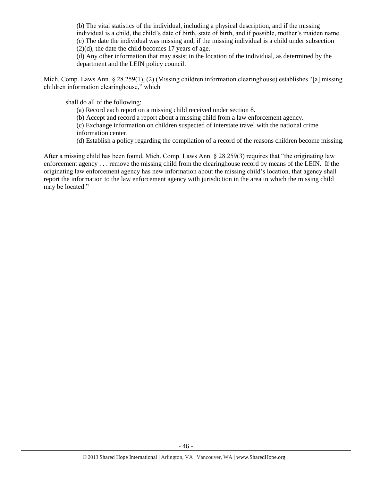(b) The vital statistics of the individual, including a physical description, and if the missing individual is a child, the child's date of birth, state of birth, and if possible, mother's maiden name. (c) The date the individual was missing and, if the missing individual is a child under subsection  $(2)(d)$ , the date the child becomes 17 years of age.

(d) Any other information that may assist in the location of the individual, as determined by the department and the LEIN policy council.

Mich. Comp. Laws Ann. § 28.259(1), (2) (Missing children information clearinghouse) establishes "[a] missing children information clearinghouse," which

shall do all of the following:

(a) Record each report on a missing child received under section 8.

(b) Accept and record a report about a missing child from a law enforcement agency.

(c) Exchange information on children suspected of interstate travel with the national crime information center.

(d) Establish a policy regarding the compilation of a record of the reasons children become missing.

After a missing child has been found, Mich. Comp. Laws Ann. § 28.259(3) requires that "the originating law enforcement agency . . . remove the missing child from the clearinghouse record by means of the LEIN. If the originating law enforcement agency has new information about the missing child's location, that agency shall report the information to the law enforcement agency with jurisdiction in the area in which the missing child may be located."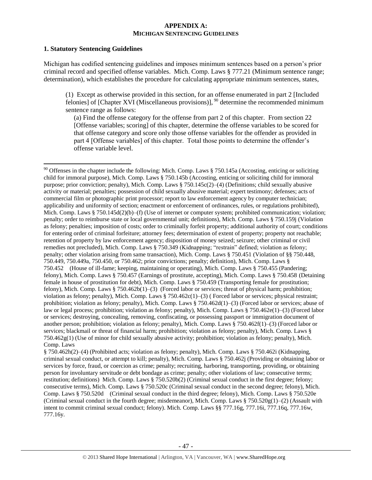#### **APPENDIX A: MICHIGAN SENTENCING GUIDELINES**

#### **1. Statutory Sentencing Guidelines**

 $\overline{\phantom{a}}$ 

Michigan has codified sentencing guidelines and imposes minimum sentences based on a person's prior criminal record and specified offense variables. Mich. Comp. Laws § 777.21 (Minimum sentence range; determination), which establishes the procedure for calculating appropriate minimum sentences, states,

(1) Except as otherwise provided in this section, for an offense enumerated in part 2 [Included felonies] of [Chapter XVI (Miscellaneous provisions)],  $^{90}$  determine the recommended minimum sentence range as follows:

(a) Find the offense category for the offense from part 2 of this chapter. From section 22 [Offense variables; scoring] of this chapter, determine the offense variables to be scored for that offense category and score only those offense variables for the offender as provided in part 4 [Offense variables] of this chapter. Total those points to determine the offender's offense variable level.

 $90$  Offenses in the chapter include the following: Mich. Comp. Laws § 750.145a (Accosting, enticing or soliciting child for immoral purpose), Mich. Comp. Laws § 750.145b (Accosting, enticing or soliciting child for immoral purpose; prior conviction; penalty), Mich. Comp. Laws § 750.145c(2)–(4) (Definitions; child sexually abusive activity or material; penalties; possession of child sexually abusive material; expert testimony; defenses; acts of commercial film or photographic print processor; report to law enforcement agency by computer technician; applicability and uniformity of section; enactment or enforcement of ordinances, rules, or regulations prohibited), Mich. Comp. Laws § 750.145d(2)(b)–(f) (Use of internet or computer system; prohibited communication; violation; penalty; order to reimburse state or local governmental unit; definitions), Mich. Comp. Laws § 750.159j (Violation as felony; penalties; imposition of costs; order to criminally forfeit property; additional authority of court; conditions for entering order of criminal forfeiture; attorney fees; determination of extent of property; property not reachable; retention of property by law enforcement agency; disposition of money seized; seizure; other criminal or civil remedies not precluded), Mich. Comp. Laws § 750.349 (Kidnapping; "restrain" defined; violation as felony; penalty; other violation arising from same transaction), Mich. Comp. Laws § 750.451 (Violation of §§ 750.448, 750.449, 750.449a, 750.450, or 750.462; prior convictions; penalty; definition), Mich. Comp. Laws § 750.452 (House of ill-fame; keeping, maintaining or operating), Mich. Comp. Laws § 750.455 (Pandering; felony), Mich. Comp. Laws § 750.457 (Earnings of prostitute, accepting), Mich. Comp. Laws § 750.458 (Detaining female in house of prostitution for debt), Mich. Comp. Laws § 750.459 (Transporting female for prostitution; felony), Mich. Comp. Laws § 750.462b(1)–(3) (Forced labor or services; threat of physical harm; prohibition; violation as felony; penalty), Mich. Comp. Laws § 750.462c(1)–(3) ( Forced labor or services; physical restraint; prohibition; violation as felony; penalty), Mich. Comp. Laws § 750.462d(1)–(3) (Forced labor or services; abuse of law or legal process; prohibition; violation as felony; penalty), Mich. Comp. Laws § 750.462e(1)–(3) (Forced labor or services; destroying, concealing, removing, confiscating, or possessing passport or immigration document of another person; prohibition; violation as felony; penalty), Mich. Comp. Laws § 750.462f(1)–(3) (Forced labor or services; blackmail or threat of financial harm; prohibition; violation as felony; penalty), Mich. Comp. Laws § 750.462g(1) (Use of minor for child sexually abusive activity; prohibition; violation as felony; penalty), Mich. Comp. Laws

<sup>§ 750.462</sup>h(2)–(4) (Prohibited acts; violation as felony; penalty), Mich. Comp. Laws § 750.462i (Kidnapping, criminal sexual conduct, or attempt to kill; penalty), Mich. Comp. Laws § 750.462j (Providing or obtaining labor or services by force, fraud, or coercion as crime; penalty; recruiting, harboring, transporting, providing, or obtaining person for involuntary servitude or debt bondage as crime; penalty; other violations of law; consecutive terms; restitution; definitions) Mich. Comp. Laws § 750.520b(2) (Criminal sexual conduct in the first degree; felony; consecutive terms), Mich. Comp. Laws § 750.520c (Criminal sexual conduct in the second degree; felony), Mich. Comp. Laws § 750.520d (Criminal sexual conduct in the third degree; felony), Mich. Comp. Laws § 750.520e (Criminal sexual conduct in the fourth degree; misdemeanor), Mich. Comp. Laws  $\S 750.520g(1)$ –(2) (Assault with intent to commit criminal sexual conduct; felony). Mich. Comp. Laws §§ 777.16g, 777.16i, 777.16q, 777.16w, 777.16y.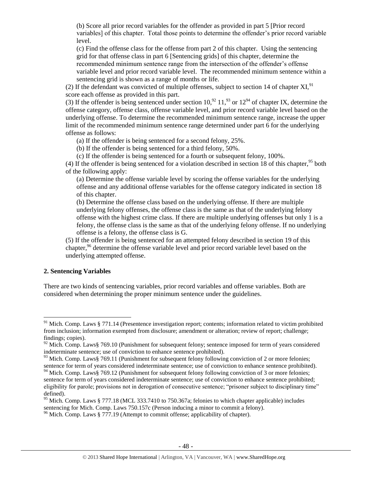(b) Score all prior record variables for the offender as provided in part 5 [Prior record variables] of this chapter. Total those points to determine the offender's prior record variable level.

(c) Find the offense class for the offense from part 2 of this chapter. Using the sentencing grid for that offense class in part 6 [Sentencing grids] of this chapter, determine the recommended minimum sentence range from the intersection of the offender's offense variable level and prior record variable level. The recommended minimum sentence within a sentencing grid is shown as a range of months or life.

(2) If the defendant was convicted of multiple offenses, subject to section 14 of chapter  $XI$ ,  $91$ score each offense as provided in this part.

(3) If the offender is being sentenced under section  $10^{92}$ ,  $11^{93}$  or  $12^{94}$  of chapter IX, determine the offense category, offense class, offense variable level, and prior record variable level based on the underlying offense. To determine the recommended minimum sentence range, increase the upper limit of the recommended minimum sentence range determined under part 6 for the underlying offense as follows:

(a) If the offender is being sentenced for a second felony, 25%.

(b) If the offender is being sentenced for a third felony, 50%.

(c) If the offender is being sentenced for a fourth or subsequent felony, 100%.

(4) If the offender is being sentenced for a violation described in section 18 of this chapter,  $95$  both of the following apply:

(a) Determine the offense variable level by scoring the offense variables for the underlying offense and any additional offense variables for the offense category indicated in section 18 of this chapter.

(b) Determine the offense class based on the underlying offense. If there are multiple underlying felony offenses, the offense class is the same as that of the underlying felony offense with the highest crime class. If there are multiple underlying offenses but only 1 is a felony, the offense class is the same as that of the underlying felony offense. If no underlying offense is a felony, the offense class is G.

(5) If the offender is being sentenced for an attempted felony described in section 19 of this chapter,<sup>96</sup> determine the offense variable level and prior record variable level based on the underlying attempted offense.

#### **2. Sentencing Variables**

 $\overline{\phantom{a}}$ 

There are two kinds of sentencing variables, prior record variables and offense variables. Both are considered when determining the proper minimum sentence under the guidelines.

 $91$  Mich. Comp. Laws § 771.14 (Presentence investigation report; contents; information related to victim prohibited from inclusion; information exempted from disclosure; amendment or alteration; review of report; challenge; findings; copies).

 $92$  Mich. Comp. Laws§ 769.10 (Punishment for subsequent felony; sentence imposed for term of years considered indeterminate sentence; use of conviction to enhance sentence prohibited).

<sup>&</sup>lt;sup>93</sup> Mich. Comp. Laws§ 769.11 (Punishment for subsequent felony following conviction of 2 or more felonies; sentence for term of years considered indeterminate sentence; use of conviction to enhance sentence prohibited).

<sup>&</sup>lt;sup>94</sup> Mich. Comp. Laws§ 769.12 (Punishment for subsequent felony following conviction of 3 or more felonies; sentence for term of years considered indeterminate sentence; use of conviction to enhance sentence prohibited; eligibility for parole; provisions not in derogation of consecutive sentence; "prisoner subject to disciplinary time" defined).

<sup>&</sup>lt;sup>95</sup> Mich. Comp. Laws § 777.18 (MCL 333.7410 to 750.367a; felonies to which chapter applicable) includes sentencing for Mich. Comp. Laws 750.157c (Person inducing a minor to commit a felony).

 $96$  Mich. Comp. Laws § 777.19 (Attempt to commit offense; applicability of chapter).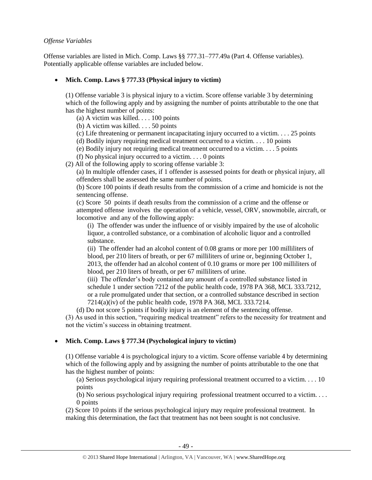## *Offense Variables*

Offense variables are listed in Mich. Comp. Laws §§ 777.31–777.49a (Part 4. Offense variables). Potentially applicable offense variables are included below.

# **Mich. Comp. Laws § 777.33 (Physical injury to victim)**

(1) Offense variable 3 is physical injury to a victim. Score offense variable 3 by determining which of the following apply and by assigning the number of points attributable to the one that has the highest number of points:

- (a) A victim was killed. . . . 100 points
- (b) A victim was killed. . . . 50 points
- (c) Life threatening or permanent incapacitating injury occurred to a victim. . . . 25 points
- (d) Bodily injury requiring medical treatment occurred to a victim. . . . 10 points
- (e) Bodily injury not requiring medical treatment occurred to a victim. . . . 5 points
- (f) No physical injury occurred to a victim.  $\ldots$  0 points
- (2) All of the following apply to scoring offense variable 3:

(a) In multiple offender cases, if 1 offender is assessed points for death or physical injury, all offenders shall be assessed the same number of points.

(b) Score 100 points if death results from the commission of a crime and homicide is not the sentencing offense.

(c) Score 50 points if death results from the commission of a crime and the offense or attempted offense involves the operation of a vehicle, vessel, ORV, snowmobile, aircraft, or locomotive and any of the following apply:

(i) The offender was under the influence of or visibly impaired by the use of alcoholic liquor, a controlled substance, or a combination of alcoholic liquor and a controlled substance.

(ii) The offender had an alcohol content of 0.08 grams or more per 100 milliliters of blood, per 210 liters of breath, or per 67 milliliters of urine or, beginning October 1, 2013, the offender had an alcohol content of 0.10 grams or more per 100 milliliters of blood, per 210 liters of breath, or per 67 milliliters of urine.

(iii) The offender's body contained any amount of a controlled substance listed in schedule 1 under section 7212 of the public health code, 1978 PA 368, MCL 333.7212, or a rule promulgated under that section, or a controlled substance described in section 7214(a)(iv) of the public health code, 1978 PA 368, MCL 333.7214.

(d) Do not score 5 points if bodily injury is an element of the sentencing offense. (3) As used in this section, "requiring medical treatment" refers to the necessity for treatment and not the victim's success in obtaining treatment.

# **Mich. Comp. Laws § 777.34 (Psychological injury to victim)**

(1) Offense variable 4 is psychological injury to a victim. Score offense variable 4 by determining which of the following apply and by assigning the number of points attributable to the one that has the highest number of points:

(a) Serious psychological injury requiring professional treatment occurred to a victim. . . . 10 points

(b) No serious psychological injury requiring professional treatment occurred to a victim. . . . 0 points

(2) Score 10 points if the serious psychological injury may require professional treatment. In making this determination, the fact that treatment has not been sought is not conclusive.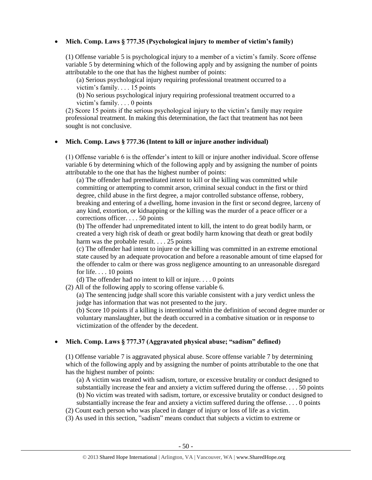# **Mich. Comp. Laws § 777.35 (Psychological injury to member of victim's family)**

(1) Offense variable 5 is psychological injury to a member of a victim's family. Score offense variable 5 by determining which of the following apply and by assigning the number of points attributable to the one that has the highest number of points:

(a) Serious psychological injury requiring professional treatment occurred to a victim's family. . . . 15 points

(b) No serious psychological injury requiring professional treatment occurred to a victim's family. . . . 0 points

(2) Score 15 points if the serious psychological injury to the victim's family may require professional treatment. In making this determination, the fact that treatment has not been sought is not conclusive.

## **Mich. Comp. Laws § 777.36 (Intent to kill or injure another individual)**

(1) Offense variable 6 is the offender's intent to kill or injure another individual. Score offense variable 6 by determining which of the following apply and by assigning the number of points attributable to the one that has the highest number of points:

(a) The offender had premeditated intent to kill or the killing was committed while committing or attempting to commit arson, criminal sexual conduct in the first or third degree, child abuse in the first degree, a major controlled substance offense, robbery, breaking and entering of a dwelling, home invasion in the first or second degree, larceny of any kind, extortion, or kidnapping or the killing was the murder of a peace officer or a corrections officer. . . . 50 points

(b) The offender had unpremeditated intent to kill, the intent to do great bodily harm, or created a very high risk of death or great bodily harm knowing that death or great bodily harm was the probable result. . . . 25 points

(c) The offender had intent to injure or the killing was committed in an extreme emotional state caused by an adequate provocation and before a reasonable amount of time elapsed for the offender to calm or there was gross negligence amounting to an unreasonable disregard for life. . . . 10 points

(d) The offender had no intent to kill or injure. . . . 0 points

(2) All of the following apply to scoring offense variable 6.

(a) The sentencing judge shall score this variable consistent with a jury verdict unless the judge has information that was not presented to the jury.

(b) Score 10 points if a killing is intentional within the definition of second degree murder or voluntary manslaughter, but the death occurred in a combative situation or in response to victimization of the offender by the decedent.

# **Mich. Comp. Laws § 777.37 (Aggravated physical abuse; "sadism" defined)**

(1) Offense variable 7 is aggravated physical abuse. Score offense variable 7 by determining which of the following apply and by assigning the number of points attributable to the one that has the highest number of points:

(a) A victim was treated with sadism, torture, or excessive brutality or conduct designed to substantially increase the fear and anxiety a victim suffered during the offense.  $\dots$  50 points (b) No victim was treated with sadism, torture, or excessive brutality or conduct designed to substantially increase the fear and anxiety a victim suffered during the offense. . . . 0 points

- (2) Count each person who was placed in danger of injury or loss of life as a victim.
- (3) As used in this section, "sadism" means conduct that subjects a victim to extreme or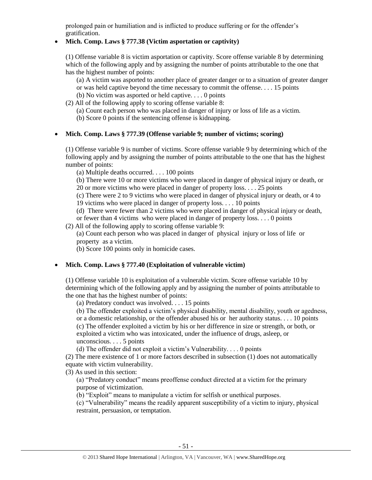prolonged pain or humiliation and is inflicted to produce suffering or for the offender's gratification.

# **Mich. Comp. Laws § 777.38 (Victim asportation or captivity)**

(1) Offense variable 8 is victim asportation or captivity. Score offense variable 8 by determining which of the following apply and by assigning the number of points attributable to the one that has the highest number of points:

(a) A victim was asported to another place of greater danger or to a situation of greater danger or was held captive beyond the time necessary to commit the offense. . . . 15 points

- (b) No victim was asported or held captive. . . . 0 points
- (2) All of the following apply to scoring offense variable 8:
	- (a) Count each person who was placed in danger of injury or loss of life as a victim.
	- (b) Score 0 points if the sentencing offense is kidnapping.

# **Mich. Comp. Laws § 777.39 (Offense variable 9; number of victims; scoring)**

(1) Offense variable 9 is number of victims. Score offense variable 9 by determining which of the following apply and by assigning the number of points attributable to the one that has the highest number of points:

(a) Multiple deaths occurred. . . . 100 points

(b) There were 10 or more victims who were placed in danger of physical injury or death, or 20 or more victims who were placed in danger of property loss. . . . 25 points

(c) There were 2 to 9 victims who were placed in danger of physical injury or death, or 4 to 19 victims who were placed in danger of property loss. . . . 10 points

(d) There were fewer than 2 victims who were placed in danger of physical injury or death,

or fewer than 4 victims who were placed in danger of property loss. . . . 0 points

(2) All of the following apply to scoring offense variable 9:

(a) Count each person who was placed in danger of physical injury or loss of life or property as a victim.

(b) Score 100 points only in homicide cases.

# **Mich. Comp. Laws § 777.40 (Exploitation of vulnerable victim)**

(1) Offense variable 10 is exploitation of a vulnerable victim. Score offense variable 10 by determining which of the following apply and by assigning the number of points attributable to the one that has the highest number of points:

(a) Predatory conduct was involved. . . . 15 points

(b) The offender exploited a victim's physical disability, mental disability, youth or agedness, or a domestic relationship, or the offender abused his or her authority status. . . . 10 points (c) The offender exploited a victim by his or her difference in size or strength, or both, or

exploited a victim who was intoxicated, under the influence of drugs, asleep, or unconscious. . . . 5 points

(d) The offender did not exploit a victim's Vulnerability. . . . 0 points

(2) The mere existence of 1 or more factors described in subsection (1) does not automatically equate with victim vulnerability.

(3) As used in this section:

(a) "Predatory conduct" means preoffense conduct directed at a victim for the primary purpose of victimization.

(b) "Exploit" means to manipulate a victim for selfish or unethical purposes.

(c) "Vulnerability" means the readily apparent susceptibility of a victim to injury, physical restraint, persuasion, or temptation.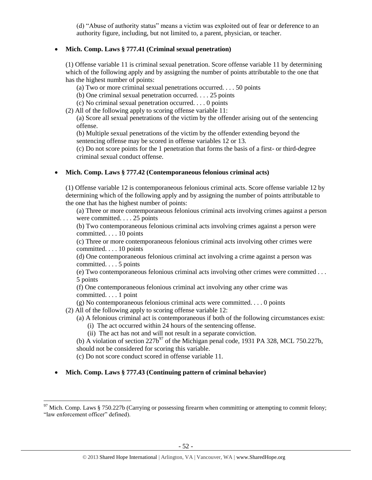(d) "Abuse of authority status" means a victim was exploited out of fear or deference to an authority figure, including, but not limited to, a parent, physician, or teacher.

# **Mich. Comp. Laws § 777.41 (Criminal sexual penetration)**

(1) Offense variable 11 is criminal sexual penetration. Score offense variable 11 by determining which of the following apply and by assigning the number of points attributable to the one that has the highest number of points:

- (a) Two or more criminal sexual penetrations occurred. . . . 50 points
- (b) One criminal sexual penetration occurred. . . . 25 points
- (c) No criminal sexual penetration occurred. . . . 0 points
- (2) All of the following apply to scoring offense variable 11:

(a) Score all sexual penetrations of the victim by the offender arising out of the sentencing offense.

(b) Multiple sexual penetrations of the victim by the offender extending beyond the sentencing offense may be scored in offense variables 12 or 13.

(c) Do not score points for the 1 penetration that forms the basis of a first- or third-degree criminal sexual conduct offense.

## **Mich. Comp. Laws § 777.42 (Contemporaneous felonious criminal acts)**

(1) Offense variable 12 is contemporaneous felonious criminal acts. Score offense variable 12 by determining which of the following apply and by assigning the number of points attributable to the one that has the highest number of points:

(a) Three or more contemporaneous felonious criminal acts involving crimes against a person were committed. . . . 25 points

(b) Two contemporaneous felonious criminal acts involving crimes against a person were committed. . . . 10 points

(c) Three or more contemporaneous felonious criminal acts involving other crimes were committed. . . . 10 points

(d) One contemporaneous felonious criminal act involving a crime against a person was committed. . . . 5 points

(e) Two contemporaneous felonious criminal acts involving other crimes were committed . . . 5 points

(f) One contemporaneous felonious criminal act involving any other crime was committed. . . . 1 point

(g) No contemporaneous felonious criminal acts were committed. . . . 0 points

(2) All of the following apply to scoring offense variable 12:

- (a) A felonious criminal act is contemporaneous if both of the following circumstances exist:
	- (i) The act occurred within 24 hours of the sentencing offense.
	- (ii) The act has not and will not result in a separate conviction.

(b) A violation of section  $227b^{97}$  of the Michigan penal code, 1931 PA 328, MCL 750.227b, should not be considered for scoring this variable.

(c) Do not score conduct scored in offense variable 11.

 $\overline{\phantom{a}}$ 

**Mich. Comp. Laws § 777.43 (Continuing pattern of criminal behavior)** 

<sup>&</sup>lt;sup>97</sup> Mich. Comp. Laws § 750.227b (Carrying or possessing firearm when committing or attempting to commit felony; "law enforcement officer" defined).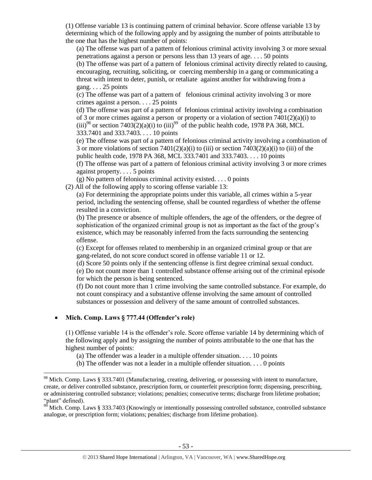(1) Offense variable 13 is continuing pattern of criminal behavior. Score offense variable 13 by determining which of the following apply and by assigning the number of points attributable to the one that has the highest number of points:

(a) The offense was part of a pattern of felonious criminal activity involving 3 or more sexual penetrations against a person or persons less than 13 years of age. . . . 50 points

(b) The offense was part of a pattern of felonious criminal activity directly related to causing, encouraging, recruiting, soliciting, or coercing membership in a gang or communicating a threat with intent to deter, punish, or retaliate against another for withdrawing from a gang.  $\ldots$  25 points

(c) The offense was part of a pattern of felonious criminal activity involving 3 or more crimes against a person. . . . 25 points

(d) The offense was part of a pattern of felonious criminal activity involving a combination of 3 or more crimes against a person or property or a violation of section 7401(2)(a)(i) to  $(iii)^{98}$  or section 7403(2)(a)(i) to (iii)<sup>99</sup> of the public health code, 1978 PA 368, MCL 333.7401 and 333.7403. . . . 10 points

(e) The offense was part of a pattern of felonious criminal activity involving a combination of 3 or more violations of section  $7401(2)(a)(i)$  to (iii) or section  $7403(2)(a)(i)$  to (iii) of the public health code, 1978 PA 368, MCL 333.7401 and 333.7403. . . . 10 points

(f) The offense was part of a pattern of felonious criminal activity involving 3 or more crimes against property. . . . 5 points

(g) No pattern of felonious criminal activity existed. . . . 0 points

(2) All of the following apply to scoring offense variable 13:

(a) For determining the appropriate points under this variable, all crimes within a 5-year period, including the sentencing offense, shall be counted regardless of whether the offense resulted in a conviction.

(b) The presence or absence of multiple offenders, the age of the offenders, or the degree of sophistication of the organized criminal group is not as important as the fact of the group's existence, which may be reasonably inferred from the facts surrounding the sentencing offense.

(c) Except for offenses related to membership in an organized criminal group or that are gang-related, do not score conduct scored in offense variable 11 or 12.

(d) Score 50 points only if the sentencing offense is first degree criminal sexual conduct.

(e) Do not count more than 1 controlled substance offense arising out of the criminal episode for which the person is being sentenced.

(f) Do not count more than 1 crime involving the same controlled substance. For example, do not count conspiracy and a substantive offense involving the same amount of controlled substances or possession and delivery of the same amount of controlled substances.

## **Mich. Comp. Laws § 777.44 (Offender's role)**

 $\overline{\phantom{a}}$ 

(1) Offense variable 14 is the offender's role. Score offense variable 14 by determining which of the following apply and by assigning the number of points attributable to the one that has the highest number of points:

(a) The offender was a leader in a multiple offender situation. . . . 10 points

(b) The offender was not a leader in a multiple offender situation. . . . 0 points

<sup>&</sup>lt;sup>98</sup> Mich. Comp. Laws § 333.7401 (Manufacturing, creating, delivering, or possessing with intent to manufacture, create, or deliver controlled substance, prescription form, or counterfeit prescription form; dispensing, prescribing, or administering controlled substance; violations; penalties; consecutive terms; discharge from lifetime probation; "plant" defined).

 $99$  Mich. Comp. Laws § 333.7403 (Knowingly or intentionally possessing controlled substance, controlled substance analogue, or prescription form; violations; penalties; discharge from lifetime probation).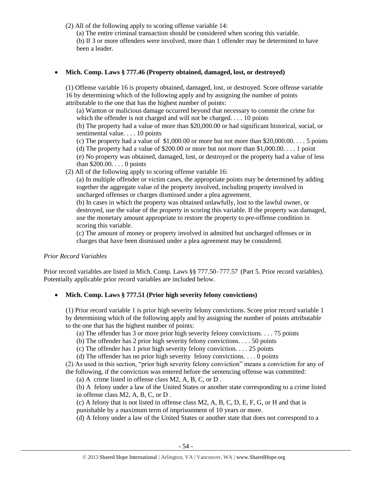(2) All of the following apply to scoring offense variable 14:

(a) The entire criminal transaction should be considered when scoring this variable.

(b) If 3 or more offenders were involved, more than 1 offender may be determined to have been a leader.

# **Mich. Comp. Laws § 777.46 (Property obtained, damaged, lost, or destroyed)**

(1) Offense variable 16 is property obtained, damaged, lost, or destroyed. Score offense variable 16 by determining which of the following apply and by assigning the number of points attributable to the one that has the highest number of points:

(a) Wanton or malicious damage occurred beyond that necessary to commit the crime for which the offender is not charged and will not be charged. . . . 10 points

(b) The property had a value of more than \$20,000.00 or had significant historical, social, or sentimental value. . . . 10 points

(c) The property had a value of  $$1,000.00$  or more but not more than  $$20,000.00$ .... 5 points

(d) The property had a value of \$200.00 or more but not more than \$1,000.00. . . . 1 point (e) No property was obtained, damaged, lost, or destroyed or the property had a value of less than \$200.00. . . . 0 points

(2) All of the following apply to scoring offense variable 16:

(a) In multiple offender or victim cases, the appropriate points may be determined by adding together the aggregate value of the property involved, including property involved in uncharged offenses or charges dismissed under a plea agreement.

(b) In cases in which the property was obtained unlawfully, lost to the lawful owner, or destroyed, use the value of the property in scoring this variable. If the property was damaged, use the monetary amount appropriate to restore the property to pre-offense condition in scoring this variable.

(c) The amount of money or property involved in admitted but uncharged offenses or in charges that have been dismissed under a plea agreement may be considered.

# *Prior Record Variables*

Prior record variables are listed in Mich. Comp. Laws §§ 777.50–777.57 (Part 5. Prior record variables). Potentially applicable prior record variables are included below.

# **Mich. Comp. Laws § 777.51 (Prior high severity felony convictions)**

(1) Prior record variable 1 is prior high severity felony convictions. Score prior record variable 1 by determining which of the following apply and by assigning the number of points attributable to the one that has the highest number of points:

(a) The offender has 3 or more prior high severity felony convictions. . . . 75 points

(b) The offender has 2 prior high severity felony convictions. . . . 50 points

(c) The offender has 1 prior high severity felony conviction. . . . 25 points

(d) The offender has no prior high severity felony convictions. . . . 0 points

(2) As used in this section, "prior high severity felony conviction" means a conviction for any of the following, if the conviction was entered before the sentencing offense was committed:

(a) A crime listed in offense class M2, A, B, C, or D .

(b) A felony under a law of the United States or another state corresponding to a crime listed in offense class M2, A, B, C, or D .

(c) A felony that is not listed in offense class M2, A, B, C, D, E, F, G, or H and that is punishable by a maximum term of imprisonment of 10 years or more.

(d) A felony under a law of the United States or another state that does not correspond to a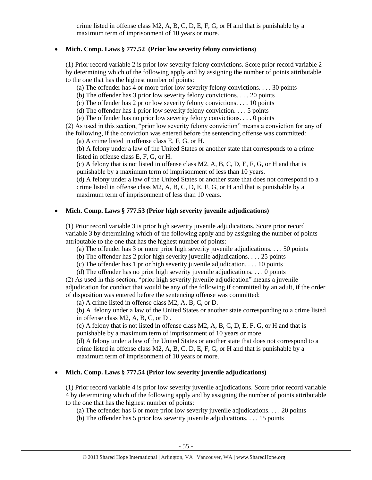crime listed in offense class M2, A, B, C, D, E, F, G, or H and that is punishable by a maximum term of imprisonment of 10 years or more.

# **Mich. Comp. Laws § 777.52 (Prior low severity felony convictions)**

(1) Prior record variable 2 is prior low severity felony convictions. Score prior record variable 2 by determining which of the following apply and by assigning the number of points attributable to the one that has the highest number of points:

(a) The offender has 4 or more prior low severity felony convictions. . . . 30 points

(b) The offender has 3 prior low severity felony convictions. . . . 20 points

(c) The offender has 2 prior low severity felony convictions. . . . 10 points

(d) The offender has 1 prior low severity felony conviction.  $\dots$  5 points

(e) The offender has no prior low severity felony convictions. . . . 0 points

(2) As used in this section, "prior low severity felony conviction" means a conviction for any of the following, if the conviction was entered before the sentencing offense was committed:

(a) A crime listed in offense class E, F, G, or H.

(b) A felony under a law of the United States or another state that corresponds to a crime listed in offense class E, F, G, or H.

(c) A felony that is not listed in offense class M2, A, B, C, D, E, F, G, or H and that is punishable by a maximum term of imprisonment of less than 10 years.

(d) A felony under a law of the United States or another state that does not correspond to a crime listed in offense class  $M2$ , A, B, C, D, E, F, G, or H and that is punishable by a maximum term of imprisonment of less than 10 years.

# **Mich. Comp. Laws § 777.53 (Prior high severity juvenile adjudications)**

(1) Prior record variable 3 is prior high severity juvenile adjudications. Score prior record variable 3 by determining which of the following apply and by assigning the number of points attributable to the one that has the highest number of points:

(a) The offender has 3 or more prior high severity juvenile adjudications. . . . 50 points

(b) The offender has 2 prior high severity juvenile adjudications. . . . 25 points

(c) The offender has 1 prior high severity juvenile adjudication. . . . 10 points

(d) The offender has no prior high severity juvenile adjudications. . . . 0 points

(2) As used in this section, "prior high severity juvenile adjudication" means a juvenile adjudication for conduct that would be any of the following if committed by an adult, if the order of disposition was entered before the sentencing offense was committed:

(a) A crime listed in offense class M2, A, B, C, or D.

(b) A felony under a law of the United States or another state corresponding to a crime listed in offense class M2, A, B, C, or D .

(c) A felony that is not listed in offense class M2, A, B, C, D, E, F, G, or H and that is punishable by a maximum term of imprisonment of 10 years or more.

(d) A felony under a law of the United States or another state that does not correspond to a crime listed in offense class  $M2$ , A, B, C, D, E, F, G, or H and that is punishable by a maximum term of imprisonment of 10 years or more.

# **Mich. Comp. Laws § 777.54 (Prior low severity juvenile adjudications)**

(1) Prior record variable 4 is prior low severity juvenile adjudications. Score prior record variable 4 by determining which of the following apply and by assigning the number of points attributable to the one that has the highest number of points:

(a) The offender has 6 or more prior low severity juvenile adjudications. . . . 20 points

(b) The offender has 5 prior low severity juvenile adjudications. . . . 15 points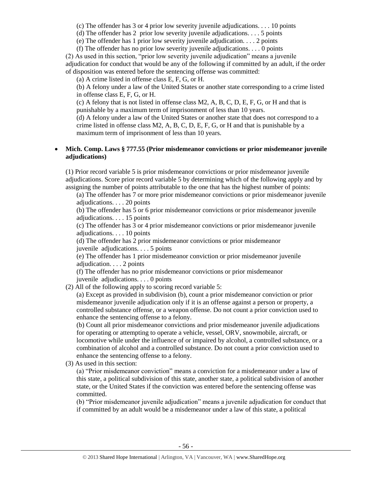(c) The offender has 3 or 4 prior low severity juvenile adjudications. . . . 10 points

(d) The offender has 2 prior low severity juvenile adjudications. . . . 5 points

(e) The offender has 1 prior low severity juvenile adjudication. . . . 2 points

(f) The offender has no prior low severity juvenile adjudications. . . . 0 points

(2) As used in this section, "prior low severity juvenile adjudication" means a juvenile adjudication for conduct that would be any of the following if committed by an adult, if the order of disposition was entered before the sentencing offense was committed:

(a) A crime listed in offense class E, F, G, or H.

(b) A felony under a law of the United States or another state corresponding to a crime listed in offense class E, F, G, or H.

(c) A felony that is not listed in offense class M2, A, B, C, D, E, F, G, or H and that is punishable by a maximum term of imprisonment of less than 10 years.

(d) A felony under a law of the United States or another state that does not correspond to a crime listed in offense class  $M2$ , A, B, C, D, E, F, G, or H and that is punishable by a maximum term of imprisonment of less than 10 years.

## **Mich. Comp. Laws § 777.55 (Prior misdemeanor convictions or prior misdemeanor juvenile adjudications)**

(1) Prior record variable 5 is prior misdemeanor convictions or prior misdemeanor juvenile adjudications. Score prior record variable 5 by determining which of the following apply and by assigning the number of points attributable to the one that has the highest number of points:

(a) The offender has 7 or more prior misdemeanor convictions or prior misdemeanor juvenile adjudications. . . . 20 points

(b) The offender has 5 or 6 prior misdemeanor convictions or prior misdemeanor juvenile adjudications. . . . 15 points

(c) The offender has 3 or 4 prior misdemeanor convictions or prior misdemeanor juvenile adjudications. . . . 10 points

(d) The offender has 2 prior misdemeanor convictions or prior misdemeanor

juvenile adjudications. . . . 5 points

(e) The offender has 1 prior misdemeanor conviction or prior misdemeanor juvenile adjudication. . . . 2 points

(f) The offender has no prior misdemeanor convictions or prior misdemeanor juvenile adjudications. . . . 0 points

(2) All of the following apply to scoring record variable 5:

(a) Except as provided in subdivision (b), count a prior misdemeanor conviction or prior misdemeanor juvenile adjudication only if it is an offense against a person or property, a controlled substance offense, or a weapon offense. Do not count a prior conviction used to enhance the sentencing offense to a felony.

(b) Count all prior misdemeanor convictions and prior misdemeanor juvenile adjudications for operating or attempting to operate a vehicle, vessel, ORV, snowmobile, aircraft, or locomotive while under the influence of or impaired by alcohol, a controlled substance, or a combination of alcohol and a controlled substance. Do not count a prior conviction used to enhance the sentencing offense to a felony.

(3) As used in this section:

(a) "Prior misdemeanor conviction" means a conviction for a misdemeanor under a law of this state, a political subdivision of this state, another state, a political subdivision of another state, or the United States if the conviction was entered before the sentencing offense was committed.

(b) "Prior misdemeanor juvenile adjudication" means a juvenile adjudication for conduct that if committed by an adult would be a misdemeanor under a law of this state, a political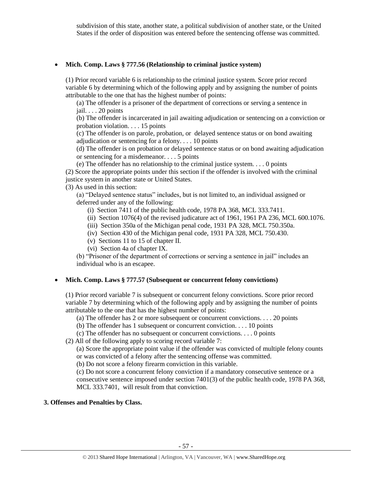subdivision of this state, another state, a political subdivision of another state, or the United States if the order of disposition was entered before the sentencing offense was committed.

## **Mich. Comp. Laws § 777.56 (Relationship to criminal justice system)**

(1) Prior record variable 6 is relationship to the criminal justice system. Score prior record variable 6 by determining which of the following apply and by assigning the number of points attributable to the one that has the highest number of points:

(a) The offender is a prisoner of the department of corrections or serving a sentence in jail. . . . 20 points

(b) The offender is incarcerated in jail awaiting adjudication or sentencing on a conviction or probation violation. . . . 15 points

(c) The offender is on parole, probation, or delayed sentence status or on bond awaiting adjudication or sentencing for a felony. . . . 10 points

(d) The offender is on probation or delayed sentence status or on bond awaiting adjudication or sentencing for a misdemeanor. . . . 5 points

(e) The offender has no relationship to the criminal justice system. . . . 0 points

(2) Score the appropriate points under this section if the offender is involved with the criminal justice system in another state or United States.

(3) As used in this section:

(a) "Delayed sentence status" includes, but is not limited to, an individual assigned or deferred under any of the following:

(i) Section 7411 of the public health code, 1978 PA 368, MCL 333.7411.

(ii) Section 1076(4) of the revised judicature act of 1961, 1961 PA 236, MCL 600.1076.

(iii) Section 350a of the Michigan penal code, 1931 PA 328, MCL 750.350a.

(iv) Section 430 of the Michigan penal code, 1931 PA 328, MCL 750.430.

(v) Sections 11 to 15 of chapter II.

(vi) Section 4a of chapter IX.

(b) "Prisoner of the department of corrections or serving a sentence in jail" includes an individual who is an escapee.

# **Mich. Comp. Laws § 777.57 (Subsequent or concurrent felony convictions)**

(1) Prior record variable 7 is subsequent or concurrent felony convictions. Score prior record variable 7 by determining which of the following apply and by assigning the number of points attributable to the one that has the highest number of points:

(a) The offender has 2 or more subsequent or concurrent convictions. . . . 20 points

(b) The offender has 1 subsequent or concurrent conviction. . . . 10 points

(c) The offender has no subsequent or concurrent convictions. . . . 0 points

(2) All of the following apply to scoring record variable 7:

(a) Score the appropriate point value if the offender was convicted of multiple felony counts or was convicted of a felony after the sentencing offense was committed.

(b) Do not score a felony firearm conviction in this variable.

(c) Do not score a concurrent felony conviction if a mandatory consecutive sentence or a consecutive sentence imposed under section 7401(3) of the public health code, 1978 PA 368, MCL 333.7401, will result from that conviction.

# **3. Offenses and Penalties by Class.**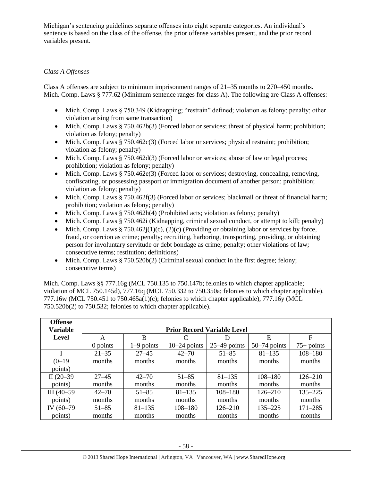Michigan's sentencing guidelines separate offenses into eight separate categories. An individual's sentence is based on the class of the offense, the prior offense variables present, and the prior record variables present.

# *Class A Offenses*

Class A offenses are subject to minimum imprisonment ranges of 21–35 months to 270–450 months. Mich. Comp. Laws § 777.62 (Minimum sentence ranges for class A). The following are Class A offenses:

- Mich. Comp. Laws § 750.349 (Kidnapping; "restrain" defined; violation as felony; penalty; other violation arising from same transaction)
- Mich. Comp. Laws § 750.462b(3) (Forced labor or services; threat of physical harm; prohibition; violation as felony; penalty)
- $\bullet$  Mich. Comp. Laws § 750.462c(3) (Forced labor or services; physical restraint; prohibition; violation as felony; penalty)
- $\bullet$  Mich. Comp. Laws § 750.462d(3) (Forced labor or services; abuse of law or legal process; prohibition; violation as felony; penalty)
- Mich. Comp. Laws § 750.462e(3) (Forced labor or services; destroying, concealing, removing, confiscating, or possessing passport or immigration document of another person; prohibition; violation as felony; penalty)
- Mich. Comp. Laws  $\S 750.462f(3)$  (Forced labor or services; blackmail or threat of financial harm; prohibition; violation as felony; penalty)
- Mich. Comp. Laws  $\S 750.462h(4)$  (Prohibited acts; violation as felony; penalty)
- Mich. Comp. Laws § 750.462i (Kidnapping, criminal sexual conduct, or attempt to kill; penalty)
- Mich. Comp. Laws § 750.462 $j(1)(c)$ , (2)(c) (Providing or obtaining labor or services by force, fraud, or coercion as crime; penalty; recruiting, harboring, transporting, providing, or obtaining person for involuntary servitude or debt bondage as crime; penalty; other violations of law; consecutive terms; restitution; definitions)
- $\bullet$  Mich. Comp. Laws § 750.520b(2) (Criminal sexual conduct in the first degree; felony; consecutive terms)

Mich. Comp. Laws §§ 777.16g (MCL 750.135 to 750.147b; felonies to which chapter applicable; violation of MCL 750.145d), 777.16q (MCL 750.332 to 750.350a; felonies to which chapter applicable). 777.16w (MCL 750.451 to 750.465a(1)(c); felonies to which chapter applicable), 777.16y (MCL 750.520b(2) to 750.532; felonies to which chapter applicable).

| <b>Offense</b>  |            |                                    |                |                |                |              |  |  |  |
|-----------------|------------|------------------------------------|----------------|----------------|----------------|--------------|--|--|--|
| <b>Variable</b> |            | <b>Prior Record Variable Level</b> |                |                |                |              |  |  |  |
| Level           | A          | B                                  |                | Ð              | E              | F            |  |  |  |
|                 | $0$ points | $1-9$ points                       | $10-24$ points | $25-49$ points | $50-74$ points | $75+$ points |  |  |  |
|                 | $21 - 35$  | $27 - 45$                          | $42 - 70$      | $51 - 85$      | $81 - 135$     | $108 - 180$  |  |  |  |
| $(0-19)$        | months     | months                             | months         | months         | months         | months       |  |  |  |
| points)         |            |                                    |                |                |                |              |  |  |  |
| II $(20-39)$    | $27 - 45$  | $42 - 70$                          | $51 - 85$      | $81 - 135$     | $108 - 180$    | $126 - 210$  |  |  |  |
| points)         | months     | months                             | months         | months         | months         | months       |  |  |  |
| $III(40-59)$    | $42 - 70$  | $51 - 85$                          | $81 - 135$     | $108 - 180$    | $126 - 210$    | $135 - 225$  |  |  |  |
| points)         | months     | months                             | months         | months         | months         | months       |  |  |  |
| IV (60-79)      | $51 - 85$  | $81 - 135$                         | $108 - 180$    | $126 - 210$    | $135 - 225$    | $171 - 285$  |  |  |  |
| points)         | months     | months                             | months         | months         | months         | months       |  |  |  |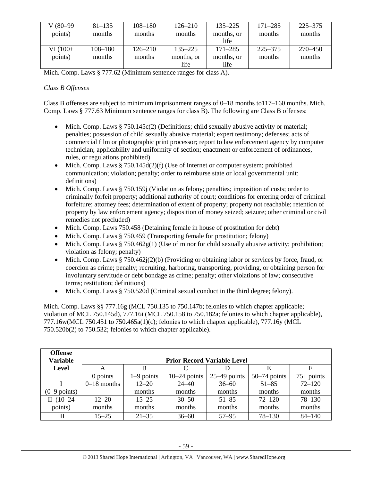| V (80–99) | $81 - 135$  | $108 - 180$ | $126 - 210$ | $135 - 225$ | $171 - 285$ | $225 - 375$ |
|-----------|-------------|-------------|-------------|-------------|-------------|-------------|
| points)   | months      | months      | months      | months, or  | months      | months      |
|           |             |             |             | life        |             |             |
| $VI(100+$ | $108 - 180$ | $126 - 210$ | $135 - 225$ | $171 - 285$ | $225 - 375$ | 270–450     |
| points)   | months      | months      | months, or  | months, or  | months      | months      |
|           |             |             | life        | life        |             |             |

Mich. Comp. Laws § 777.62 (Minimum sentence ranges for class A).

# *Class B Offenses*

Class B offenses are subject to minimum imprisonment ranges of 0–18 months to117–160 months. Mich. Comp. Laws § 777.63 Minimum sentence ranges for class B). The following are Class B offenses:

- Mich. Comp. Laws § 750.145c(2) (Definitions; child sexually abusive activity or material; penalties; possession of child sexually abusive material; expert testimony; defenses; acts of commercial film or photographic print processor; report to law enforcement agency by computer technician; applicability and uniformity of section; enactment or enforcement of ordinances, rules, or regulations prohibited)
- Mich. Comp. Laws  $§ 750.145d(2)(f)$  (Use of Internet or computer system; prohibited communication; violation; penalty; order to reimburse state or local governmental unit; definitions)
- Mich. Comp. Laws § 750.159j (Violation as felony; penalties; imposition of costs; order to criminally forfeit property; additional authority of court; conditions for entering order of criminal forfeiture; attorney fees; determination of extent of property; property not reachable; retention of property by law enforcement agency; disposition of money seized; seizure; other criminal or civil remedies not precluded)
- Mich. Comp. Laws 750.458 (Detaining female in house of prostitution for debt)
- Mich. Comp. Laws § 750.459 (Transporting female for prostitution; felony)
- Mich. Comp. Laws § 750.462 $g(1)$  (Use of minor for child sexually abusive activity; prohibition; violation as felony; penalty)
- Mich. Comp. Laws § 750.462j(2)(b) (Providing or obtaining labor or services by force, fraud, or coercion as crime; penalty; recruiting, harboring, transporting, providing, or obtaining person for involuntary servitude or debt bondage as crime; penalty; other violations of law; consecutive terms; restitution; definitions)
- Mich. Comp. Laws § 750.520d (Criminal sexual conduct in the third degree; felony).

Mich. Comp. Laws §§ 777.16g (MCL 750.135 to 750.147b; felonies to which chapter applicable; violation of MCL 750.145d), 777.16i (MCL 750.158 to 750.182a; felonies to which chapter applicable), 777.16w(MCL 750.451 to 750.465a(1)(c); felonies to which chapter applicable), 777.16y (MCL 750.520b(2) to 750.532; felonies to which chapter applicable).

| <b>Offense</b><br><b>Variable</b> |               |              |                    | <b>Prior Record Variable Level</b> |                |              |
|-----------------------------------|---------------|--------------|--------------------|------------------------------------|----------------|--------------|
| Level                             | A             | B            | $\curvearrowright$ |                                    | E              | F            |
|                                   | $0$ points    | $1-9$ points | $10-24$ points     | $25-49$ points                     | $50-74$ points | $75+$ points |
|                                   | $0-18$ months | $12 - 20$    | $24 - 40$          | $36 - 60$                          | $51 - 85$      | $72 - 120$   |
| $(0-9$ points)                    |               | months       | months             | months                             | months         | months       |
| II $(10-24)$                      | $12 - 20$     | $15 - 25$    | $30 - 50$          | $51 - 85$                          | $72 - 120$     | $78 - 130$   |
| points)                           | months        | months       | months             | months                             | months         | months       |
| Ш                                 | $15 - 25$     | $21 - 35$    | $36 - 60$          | $57 - 95$                          | $78 - 130$     | $84 - 140$   |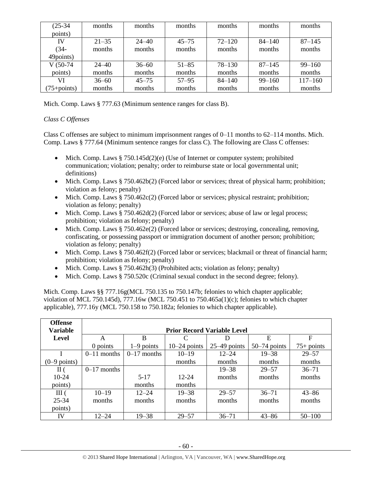| $(25-34)$       | months    | months    | months    | months     | months     | months      |
|-----------------|-----------|-----------|-----------|------------|------------|-------------|
| points)         |           |           |           |            |            |             |
| IV              | $21 - 35$ | $24 - 40$ | $45 - 75$ | $72 - 120$ | $84 - 140$ | $87 - 145$  |
| $(34 -$         | months    | months    | months    | months     | months     | months      |
| 49points)       |           |           |           |            |            |             |
| $V(50-74)$      | $24 - 40$ | $36 - 60$ | $51 - 85$ | $78 - 130$ | $87 - 145$ | $99 - 160$  |
| points)         | months    | months    | months    | months     | months     | months      |
| VI              | $36 - 60$ | $45 - 75$ | $57 - 95$ | $84 - 140$ | $99 - 160$ | $117 - 160$ |
| $(75 + points)$ | months    | months    | months    | months     | months     | months      |

Mich. Comp. Laws § 777.63 (Minimum sentence ranges for class B).

# *Class C Offenses*

Class C offenses are subject to minimum imprisonment ranges of  $0-11$  months to  $62-114$  months. Mich. Comp. Laws § 777.64 (Minimum sentence ranges for class C). The following are Class C offenses:

- Mich. Comp. Laws  $§ 750.145d(2)(e)$  (Use of Internet or computer system; prohibited communication; violation; penalty; order to reimburse state or local governmental unit; definitions)
- Mich. Comp. Laws § 750.462b(2) (Forced labor or services; threat of physical harm; prohibition; violation as felony; penalty)
- $\bullet$  Mich. Comp. Laws § 750.462c(2) (Forced labor or services; physical restraint; prohibition; violation as felony; penalty)
- Mich. Comp. Laws § 750.462d(2) (Forced labor or services; abuse of law or legal process; prohibition; violation as felony; penalty)
- $\bullet$  Mich. Comp. Laws § 750.462e(2) (Forced labor or services; destroying, concealing, removing, confiscating, or possessing passport or immigration document of another person; prohibition; violation as felony; penalty)
- Mich. Comp. Laws  $§ 750.462f(2)$  (Forced labor or services; blackmail or threat of financial harm; prohibition; violation as felony; penalty)
- Mich. Comp. Laws  $\S 750.462h(3)$  (Prohibited acts; violation as felony; penalty)
- Mich. Comp. Laws § 750.520c (Criminal sexual conduct in the second degree; felony).

Mich. Comp. Laws §§ 777.16g(MCL 750.135 to 750.147b; felonies to which chapter applicable; violation of MCL 750.145d), 777.16w (MCL 750.451 to 750.465a(1)(c); felonies to which chapter applicable), 777.16y (MCL 750.158 to 750.182a; felonies to which chapter applicable).

| <b>Offense</b>         |               |               |                                    |                |                |              |
|------------------------|---------------|---------------|------------------------------------|----------------|----------------|--------------|
| <b>Variable</b>        |               |               | <b>Prior Record Variable Level</b> |                |                |              |
| <b>Level</b>           | A             | B             |                                    |                | E              | $\mathbf F$  |
|                        | 0 points      | $1-9$ points  | $10-24$ points                     | $25-49$ points | $50-74$ points | $75+$ points |
|                        | $0-11$ months | $0-17$ months | $10 - 19$                          | $12 - 24$      | $19 - 38$      | $29 - 57$    |
| $(0-9 \text{ points})$ |               |               | months                             | months         | months         | months       |
| $\rm{II}$ (            | $0-17$ months |               |                                    | $19 - 38$      | $29 - 57$      | $36 - 71$    |
| 10-24                  |               | $5-17$        | $12 - 24$                          | months         | months         | months       |
| points)                |               | months        | months                             |                |                |              |
| III(                   | $10 - 19$     | $12 - 24$     | $19 - 38$                          | $29 - 57$      | $36 - 71$      | $43 - 86$    |
| 25-34                  | months        | months        | months                             | months         | months         | months       |
| points)                |               |               |                                    |                |                |              |
| IV                     | $12 - 24$     | $19 - 38$     | $29 - 57$                          | $36 - 71$      | $43 - 86$      | $50 - 100$   |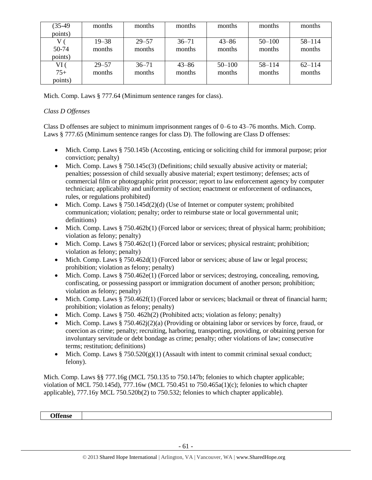| $(35-49)$ | months    | months    | months    | months     | months     | months     |
|-----------|-----------|-----------|-----------|------------|------------|------------|
| points)   |           |           |           |            |            |            |
|           | $19 - 38$ | $29 - 57$ | $36 - 71$ | $43 - 86$  | $50 - 100$ | $58 - 114$ |
| 50-74     | months    | months    | months    | months     | months     | months     |
| points)   |           |           |           |            |            |            |
| VI (      | $29 - 57$ | $36 - 71$ | $43 - 86$ | $50 - 100$ | $58 - 114$ | $62 - 114$ |
| $75+$     | months    | months    | months    | months     | months     | months     |
| points)   |           |           |           |            |            |            |

Mich. Comp. Laws § 777.64 (Minimum sentence ranges for class).

# *Class D Offenses*

Class D offenses are subject to minimum imprisonment ranges of 0–6 to 43–76 months. Mich. Comp. Laws § 777.65 (Minimum sentence ranges for class D). The following are Class D offenses:

- Mich. Comp. Laws § 750.145b (Accosting, enticing or soliciting child for immoral purpose; prior conviction; penalty)
- $\bullet$  Mich. Comp. Laws § 750.145c(3) (Definitions; child sexually abusive activity or material; penalties; possession of child sexually abusive material; expert testimony; defenses; acts of commercial film or photographic print processor; report to law enforcement agency by computer technician; applicability and uniformity of section; enactment or enforcement of ordinances, rules, or regulations prohibited)
- Mich. Comp. Laws  $§ 750.145d(2)(d)$  (Use of Internet or computer system; prohibited communication; violation; penalty; order to reimburse state or local governmental unit; definitions)
- $\bullet$  Mich. Comp. Laws § 750.462b(1) (Forced labor or services; threat of physical harm; prohibition; violation as felony; penalty)
- $\bullet$  Mich. Comp. Laws § 750.462c(1) (Forced labor or services; physical restraint; prohibition; violation as felony; penalty)
- Mich. Comp. Laws § 750.462d(1) (Forced labor or services; abuse of law or legal process; prohibition; violation as felony; penalty)
- $\bullet$  Mich. Comp. Laws § 750.462e(1) (Forced labor or services; destroying, concealing, removing, confiscating, or possessing passport or immigration document of another person; prohibition; violation as felony; penalty)
- Mich. Comp. Laws § 750.462f(1) (Forced labor or services; blackmail or threat of financial harm; prohibition; violation as felony; penalty)
- Mich. Comp. Laws  $§ 750.462h(2)$  (Prohibited acts; violation as felony; penalty)
- $\bullet$  Mich. Comp. Laws § 750.462j(2)(a) (Providing or obtaining labor or services by force, fraud, or coercion as crime; penalty; recruiting, harboring, transporting, providing, or obtaining person for involuntary servitude or debt bondage as crime; penalty; other violations of law; consecutive terms; restitution; definitions)
- Mich. Comp. Laws  $\S 750.520(g)(1)$  (Assault with intent to commit criminal sexual conduct; felony).

Mich. Comp. Laws §§ 777.16g (MCL 750.135 to 750.147b; felonies to which chapter applicable; violation of MCL 750.145d), 777.16w (MCL 750.451 to 750.465a(1)(c); felonies to which chapter applicable), 777.16y MCL 750.520b(2) to 750.532; felonies to which chapter applicable).

**Offense**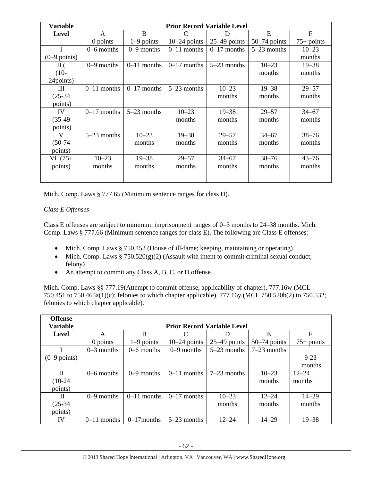| <b>Variable</b> |               |               |                | <b>Prior Record Variable Level</b> |                |                |
|-----------------|---------------|---------------|----------------|------------------------------------|----------------|----------------|
| <b>Level</b>    | A             | B             | C              | D                                  | E              | $\overline{F}$ |
|                 | 0 points      | $1-9$ points  | $10-24$ points | $25-49$ points                     | $50-74$ points | $75+$ points   |
|                 | $0-6$ months  | $0-9$ months  | $0-11$ months  | $0-17$ months                      | $5-23$ months  | $10 - 23$      |
| $(0-9$ points)  |               |               |                |                                    |                | months         |
| $\Pi$ (         | $0-9$ months  | $0-11$ months | $0-17$ months  | $5-23$ months                      | $10 - 23$      | $19 - 38$      |
| $(10-$          |               |               |                |                                    | months         | months         |
| 24points)       |               |               |                |                                    |                |                |
| Ш               | $0-11$ months | $0-17$ months | $5-23$ months  | $10 - 23$                          | $19 - 38$      | $29 - 57$      |
| $(25-34)$       |               |               |                | months                             | months         | months         |
| points)         |               |               |                |                                    |                |                |
| IV              | $0-17$ months | $5-23$ months | $10 - 23$      | $19 - 38$                          | $29 - 57$      | $34 - 67$      |
| $(35-49)$       |               |               | months         | months                             | months         | months         |
| points)         |               |               |                |                                    |                |                |
| V               | $5-23$ months | $10 - 23$     | $19 - 38$      | $29 - 57$                          | $34 - 67$      | $38 - 76$      |
| $(50-74)$       |               | months        | months         | months                             | months         | months         |
| points)         |               |               |                |                                    |                |                |
| $VI(75+)$       | $10 - 23$     | $19 - 38$     | $29 - 57$      | $34 - 67$                          | $38 - 76$      | $43 - 76$      |
| points)         | months        | months        | months         | months                             | months         | months         |
|                 |               |               |                |                                    |                |                |

Mich. Comp. Laws § 777.65 (Minimum sentence ranges for class D).

# *Class E Offenses*

Class E offenses are subject to minimum imprisonment ranges of 0–3 months to 24–38 months. Mich. Comp. Laws § 777.66 (Minimum sentence ranges for class E). The following are Class E offenses:

- Mich. Comp. Laws § 750.452 (House of ill-fame; keeping, maintaining or operating)
- Mich. Comp. Laws  $\S 750.520(g)(2)$  (Assault with intent to commit criminal sexual conduct; felony)
- An attempt to commit any Class A, B, C, or D offense

Mich. Comp. Laws §§ 777.19(Attempt to commit offense, applicability of chapter), 777.16w (MCL 750.451 to 750.465a(1)(c); felonies to which chapter applicable), 777.16y (MCL 750.520b(2) to 750.532; felonies to which chapter applicable).

| <b>Offense</b>         |               |                                    |                |                |                |              |  |  |  |
|------------------------|---------------|------------------------------------|----------------|----------------|----------------|--------------|--|--|--|
| <b>Variable</b>        |               | <b>Prior Record Variable Level</b> |                |                |                |              |  |  |  |
| Level                  | A             | B                                  | C              | D              | E              | F            |  |  |  |
|                        | 0 points      | $1-9$ points                       | $10-24$ points | $25-49$ points | $50-74$ points | $75+$ points |  |  |  |
|                        | $0-3$ months  | $0-6$ months                       | $0-9$ months   | $5-23$ months  | $7-23$ months  |              |  |  |  |
| $(0-9 \text{ points})$ |               |                                    |                |                |                | $9 - 23$     |  |  |  |
|                        |               |                                    |                |                |                | months       |  |  |  |
| $\mathbf{I}$           | $0-6$ months  | $0-9$ months                       | $0-11$ months  | $7-23$ months  | $10 - 23$      | $12 - 24$    |  |  |  |
| $(10-24)$              |               |                                    |                |                | months         | months       |  |  |  |
| points)                |               |                                    |                |                |                |              |  |  |  |
| Ш                      | $0-9$ months  | $0-11$ months                      | $0-17$ months  | $10 - 23$      | $12 - 24$      | $14 - 29$    |  |  |  |
| $(25-34)$              |               |                                    |                | months         | months         | months       |  |  |  |
| points)                |               |                                    |                |                |                |              |  |  |  |
| IV                     | $0-11$ months | $0-17$ months                      | $5-23$ months  | $12 - 24$      | $14 - 29$      | $19 - 38$    |  |  |  |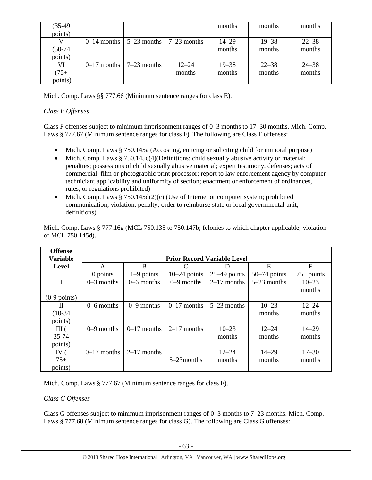| $(35-49)$ |                                                       |           | months    | months    | months    |
|-----------|-------------------------------------------------------|-----------|-----------|-----------|-----------|
| points)   |                                                       |           |           |           |           |
|           | $0-14$ months $\vert 5-23$ months $\vert 7-23$ months |           | $14 - 29$ | $19 - 38$ | $22 - 38$ |
| $(50-74)$ |                                                       |           | months    | months    | months    |
| points)   |                                                       |           |           |           |           |
| VI        | $0-17$ months $17-23$ months                          | $12 - 24$ | $19 - 38$ | $22 - 38$ | $24 - 38$ |
| $(75 +$   |                                                       | months    | months    | months    | months    |
| points)   |                                                       |           |           |           |           |

Mich. Comp. Laws §§ 777.66 (Minimum sentence ranges for class E).

# *Class F Offenses*

Class F offenses subject to minimum imprisonment ranges of 0–3 months to 17–30 months. Mich. Comp. Laws § 777.67 (Minimum sentence ranges for class F). The following are Class F offenses:

- Mich. Comp. Laws § 750.145a (Accosting, enticing or soliciting child for immoral purpose)
- $\bullet$  Mich. Comp. Laws § 750.145c(4)(Definitions; child sexually abusive activity or material; penalties; possessions of child sexually abusive material; expert testimony, defenses; acts of commercial film or photographic print processor; report to law enforcement agency by computer technician; applicability and uniformity of section; enactment or enforcement of ordinances, rules, or regulations prohibited)
- Mich. Comp. Laws  $§ 750.145d(2)(c)$  (Use of Internet or computer system; prohibited communication; violation; penalty; order to reimburse state or local governmental unit; definitions)

| <b>Offense</b>  |               |                                    |                |                |                |              |  |  |
|-----------------|---------------|------------------------------------|----------------|----------------|----------------|--------------|--|--|
| <b>Variable</b> |               | <b>Prior Record Variable Level</b> |                |                |                |              |  |  |
| <b>Level</b>    | A             | B                                  | C              | D              | E              | $\mathbf F$  |  |  |
|                 | 0 points      | $1-9$ points                       | $10-24$ points | $25-49$ points | $50-74$ points | $75+$ points |  |  |
|                 | $0-3$ months  | $0-6$ months                       | $0-9$ months   | $2-17$ months  | $5-23$ months  | $10 - 23$    |  |  |
|                 |               |                                    |                |                |                | months       |  |  |
| $(0-9$ points)  |               |                                    |                |                |                |              |  |  |
| П               | $0-6$ months  | $0-9$ months                       | $0-17$ months  | $5-23$ months  | $10 - 23$      | $12 - 24$    |  |  |
| $(10-34)$       |               |                                    |                |                | months         | months       |  |  |
| points)         |               |                                    |                |                |                |              |  |  |
| III(            | $0-9$ months  | $0-17$ months                      | $2-17$ months  | $10 - 23$      | $12 - 24$      | $14 - 29$    |  |  |
| 35-74           |               |                                    |                | months         | months         | months       |  |  |
| points)         |               |                                    |                |                |                |              |  |  |
| IV $($          | $0-17$ months | $2-17$ months                      |                | $12 - 24$      | $14 - 29$      | $17 - 30$    |  |  |
| $75+$           |               |                                    | 5–23 months    | months         | months         | months       |  |  |
| points)         |               |                                    |                |                |                |              |  |  |

Mich. Comp. Laws § 777.16g (MCL 750.135 to 750.147b; felonies to which chapter applicable; violation of MCL 750.145d).

Mich. Comp. Laws § 777.67 (Minimum sentence ranges for class F).

# *Class G Offenses*

Class G offenses subject to minimum imprisonment ranges of 0–3 months to 7–23 months. Mich. Comp. Laws § 777.68 (Minimum sentence ranges for class G). The following are Class G offenses: